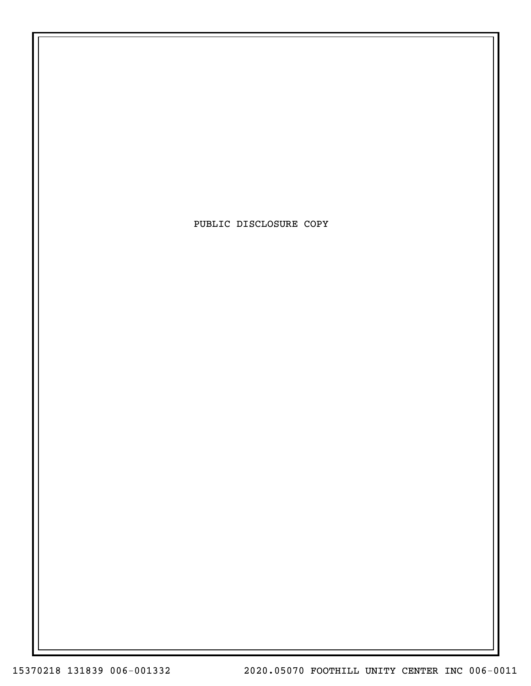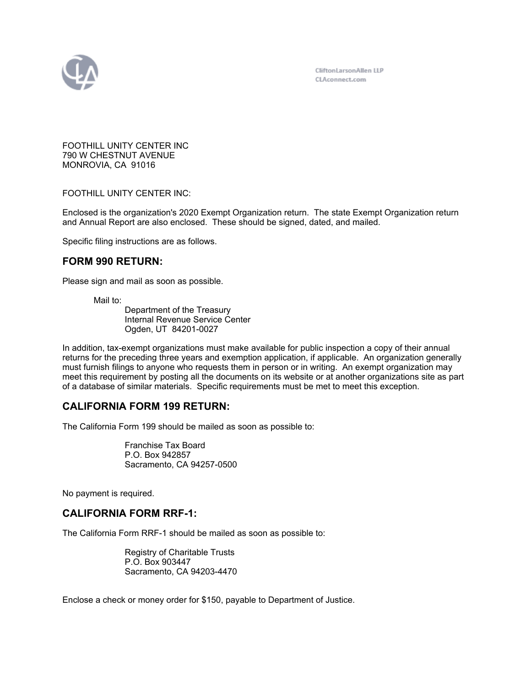

FOOTHILL UNITY CENTER INC 790 W CHESTNUT AVENUE MONROVIA, CA 91016

FOOTHILL UNITY CENTER INC:

Enclosed is the organization's 2020 Exempt Organization return. The state Exempt Organization return and Annual Report are also enclosed. These should be signed, dated, and mailed.

Specific filing instructions are as follows.

# **FORM 990 RETURN:**

Please sign and mail as soon as possible.

Mail to:

Department of the Treasury Internal Revenue Service Center Ogden, UT 84201-0027

In addition, tax-exempt organizations must make available for public inspection a copy of their annual returns for the preceding three years and exemption application, if applicable. An organization generally must furnish filings to anyone who requests them in person or in writing. An exempt organization may meet this requirement by posting all the documents on its website or at another organizations site as part of a database of similar materials. Specific requirements must be met to meet this exception.

# **CALIFORNIA FORM 199 RETURN:**

The California Form 199 should be mailed as soon as possible to:

Franchise Tax Board P.O. Box 942857 Sacramento, CA 94257-0500

No payment is required.

# **CALIFORNIA FORM RRF-1:**

The California Form RRF-1 should be mailed as soon as possible to:

Registry of Charitable Trusts P.O. Box 903447 Sacramento, CA 94203-4470

Enclose a check or money order for \$150, payable to Department of Justice.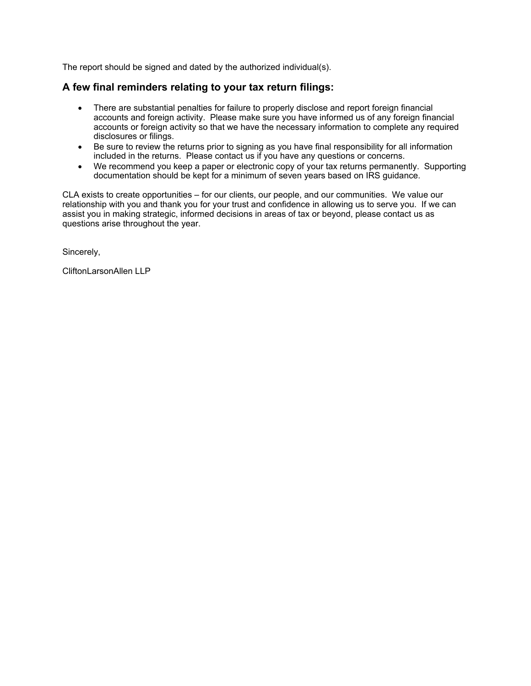The report should be signed and dated by the authorized individual(s).

# **A few final reminders relating to your tax return filings:**

- There are substantial penalties for failure to properly disclose and report foreign financial accounts and foreign activity. Please make sure you have informed us of any foreign financial accounts or foreign activity so that we have the necessary information to complete any required disclosures or filings.
- Be sure to review the returns prior to signing as you have final responsibility for all information included in the returns. Please contact us if you have any questions or concerns.
- We recommend you keep a paper or electronic copy of your tax returns permanently. Supporting documentation should be kept for a minimum of seven years based on IRS guidance.

CLA exists to create opportunities – for our clients, our people, and our communities. We value our relationship with you and thank you for your trust and confidence in allowing us to serve you. If we can assist you in making strategic, informed decisions in areas of tax or beyond, please contact us as questions arise throughout the year.

Sincerely,

CliftonLarsonAllen LLP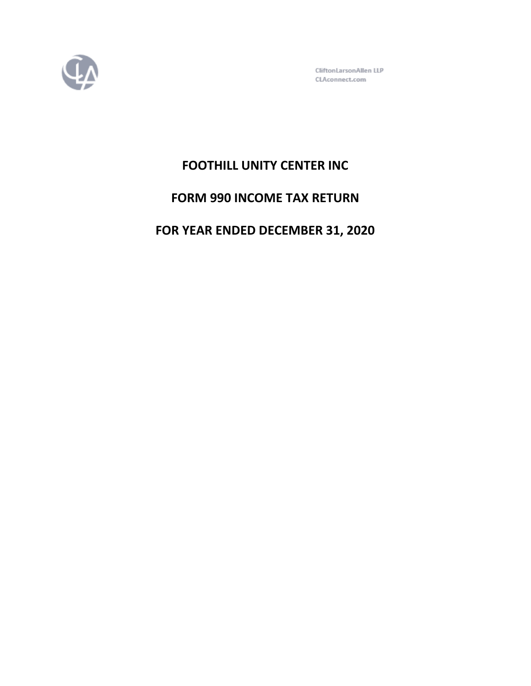

CliftonLarsonAllen LLP CLAconnect.com

# **FOOTHILL UNITY CENTER INC**

# **FORM 990 INCOME TAX RETURN**

# **FOR YEAR ENDED DECEMBER 31, 2020**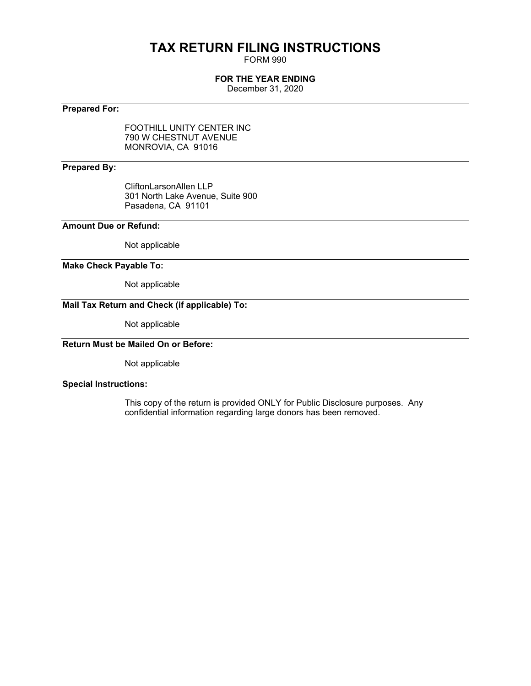# **TAX RETURN FILING INSTRUCTIONS**

FORM 990

## **FOR THE YEAR ENDING**

December 31, 2020

## **Prepared For:**

FOOTHILL UNITY CENTER INC 790 W CHESTNUT AVENUE MONROVIA, CA 91016

### **Prepared By:**

CliftonLarsonAllen LLP 301 North Lake Avenue, Suite 900 Pasadena, CA 91101

## **Amount Due or Refund:**

Not applicable

#### **Make Check Payable To:**

Not applicable

## **Mail Tax Return and Check (if applicable) To:**

Not applicable

# **Return Must be Mailed On or Before:**

Not applicable

## **Special Instructions:**

This copy of the return is provided ONLY for Public Disclosure purposes. Any confidential information regarding large donors has been removed.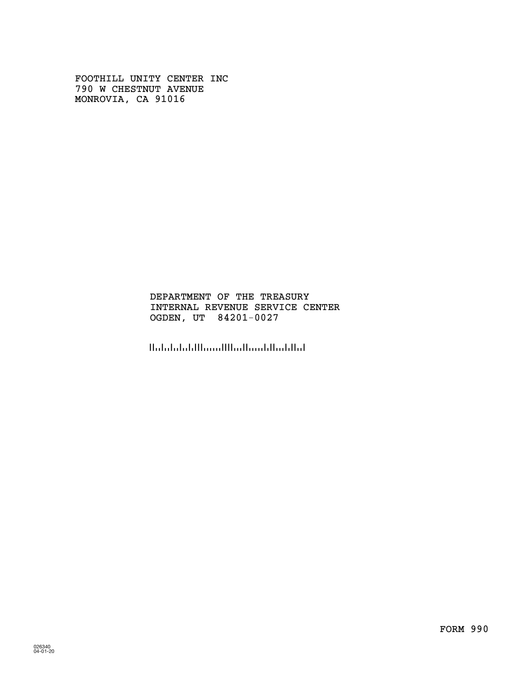FOOTHILL UNITY CENTER INC 790 W CHESTNUT AVENUE MONROVIA, CA 91016

## INTERNAL REVENUE SERVICE CENTER OGDEN, UT 84201-0027 DEPARTMENT OF THE TREASURY

الماليانية المستالية الاستنبا البلينانيلينا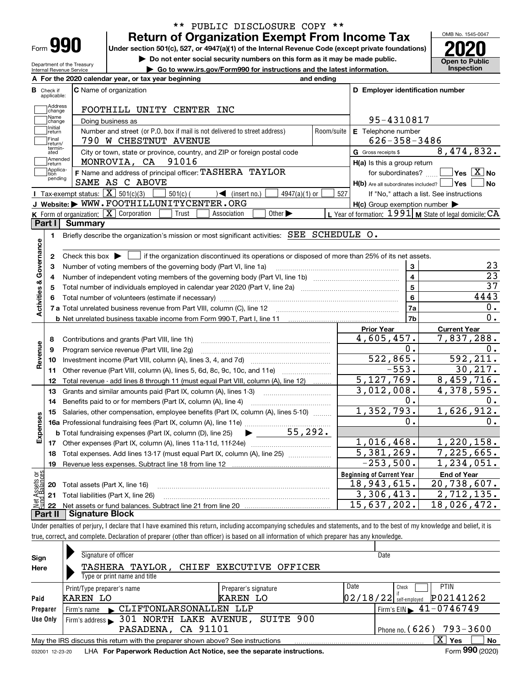| -orm |  |  |
|------|--|--|

**A**

Department of the Treasury Internal Revenue Service

## **Return of Organization Exempt From Income Tax** \*\* PUBLIC DISCLOSURE COPY \*\*

**Under section 501(c), 527, or 4947(a)(1) of the Internal Revenue Code (except private foundations) 2020**

**| Do not enter social security numbers on this form as it may be made public.**

**| Go to www.irs.gov/Form990 for instructions and the latest information. Inspection**



|                         |                         | A For the 2020 calendar year, or tax year beginning                                                                                                 | and ending |                                                     |                                                           |
|-------------------------|-------------------------|-----------------------------------------------------------------------------------------------------------------------------------------------------|------------|-----------------------------------------------------|-----------------------------------------------------------|
| В                       | Check if<br>applicable: | <b>C</b> Name of organization                                                                                                                       |            | D Employer identification number                    |                                                           |
|                         | Address<br>change       | FOOTHILL UNITY CENTER INC                                                                                                                           |            |                                                     |                                                           |
|                         | Name<br>change          | Doing business as                                                                                                                                   |            | 95-4310817                                          |                                                           |
|                         | Initial<br>return       | Number and street (or P.O. box if mail is not delivered to street address)                                                                          | Room/suite | E Telephone number                                  |                                                           |
|                         | Final<br>return/        | 790 W CHESTNUT AVENUE                                                                                                                               |            | $626 - 358 - 3486$                                  |                                                           |
|                         | termin-<br>ated         | City or town, state or province, country, and ZIP or foreign postal code                                                                            |            | G Gross receipts \$                                 | 8,474,832.                                                |
|                         | Amended<br>return       | 91016<br>MONROVIA, CA                                                                                                                               |            | H(a) Is this a group return                         |                                                           |
|                         | Applica-<br>tion        | F Name and address of principal officer: TASHERA TAYLOR                                                                                             |            | for subordinates?                                   | $\overline{\ }$ Yes $\overline{\phantom{X}}$ No           |
|                         | pending                 | SAME AS C ABOVE                                                                                                                                     |            | H(b) Are all subordinates included?   Yes           | No                                                        |
|                         |                         | Tax-exempt status: $\boxed{\mathbf{X}}$ 501(c)(3)<br>$\mathcal{A}$ (insert no.)<br>$501(c)$ (<br>$4947(a)(1)$ or                                    | 527        |                                                     | If "No," attach a list. See instructions                  |
|                         |                         | J Website: WWW.FOOTHILLUNITYCENTER.ORG                                                                                                              |            | $H(c)$ Group exemption number $\blacktriangleright$ |                                                           |
|                         |                         | K Form of organization: $X$ Corporation<br>Trust<br>Other $\blacktriangleright$<br>Association                                                      |            |                                                     | L Year of formation: $1991$ M State of legal domicile: CA |
|                         | Part I                  | Summary                                                                                                                                             |            |                                                     |                                                           |
|                         | 1.                      | Briefly describe the organization's mission or most significant activities: SEE SCHEDULE O.                                                         |            |                                                     |                                                           |
|                         |                         |                                                                                                                                                     |            |                                                     |                                                           |
| Activities & Governance | 2                       | Check this box $\blacktriangleright$ $\blacksquare$ if the organization discontinued its operations or disposed of more than 25% of its net assets. |            |                                                     |                                                           |
|                         | 3                       | Number of voting members of the governing body (Part VI, line 1a)                                                                                   |            | 3                                                   | 23                                                        |
|                         | 4                       |                                                                                                                                                     |            | $\overline{\mathbf{4}}$                             | $\overline{23}$                                           |
|                         | 5                       |                                                                                                                                                     |            | $5\phantom{a}$                                      | $\overline{37}$                                           |
|                         | 6                       |                                                                                                                                                     |            | $6\phantom{a}$                                      | 4443                                                      |
|                         |                         |                                                                                                                                                     |            | 7a                                                  | $\mathbf 0$ .                                             |
|                         |                         |                                                                                                                                                     |            | 7b                                                  | 0.                                                        |
|                         |                         |                                                                                                                                                     |            | <b>Prior Year</b>                                   | <b>Current Year</b>                                       |
|                         | 8                       | Contributions and grants (Part VIII, line 1h)                                                                                                       |            | 4,605,457.                                          | 7,837,288.                                                |
|                         | 9                       | Program service revenue (Part VIII, line 2g)                                                                                                        |            | 0.                                                  | 0.                                                        |
| Revenue                 | 10                      |                                                                                                                                                     |            | 522,865.                                            | 592, 211.                                                 |
|                         | 11                      | Other revenue (Part VIII, column (A), lines 5, 6d, 8c, 9c, 10c, and 11e)                                                                            |            | $-553.$                                             | 30, 217.                                                  |
|                         | 12                      | Total revenue - add lines 8 through 11 (must equal Part VIII, column (A), line 12)                                                                  |            | 5, 127, 769.                                        | 8,459,716.                                                |
|                         | 13                      | Grants and similar amounts paid (Part IX, column (A), lines 1-3)                                                                                    |            | 3,012,008.                                          | $\overline{4,378,595}$ .                                  |
|                         | 14                      | Benefits paid to or for members (Part IX, column (A), line 4)                                                                                       |            | 0.                                                  | 0.                                                        |
|                         | 15                      | Salaries, other compensation, employee benefits (Part IX, column (A), lines 5-10)                                                                   |            | 1,352,793.                                          | 1,626,912.                                                |
|                         |                         |                                                                                                                                                     |            |                                                     |                                                           |
|                         |                         |                                                                                                                                                     |            | О.                                                  | 0.                                                        |
|                         |                         | $\blacktriangleright$ 55,292.<br><b>b</b> Total fundraising expenses (Part IX, column (D), line 25)                                                 |            |                                                     |                                                           |
|                         |                         |                                                                                                                                                     |            | 1,016,468.                                          | 1,220,158.                                                |
|                         | 18                      | Total expenses. Add lines 13-17 (must equal Part IX, column (A), line 25) [                                                                         |            | 5,381,269.                                          | 7,225,665.                                                |
|                         | 19                      |                                                                                                                                                     |            | $-253,500.$                                         | 1, 234, 051.                                              |
|                         |                         |                                                                                                                                                     |            | <b>Beginning of Current Year</b>                    | <b>End of Year</b>                                        |
| Expenses<br>äğ          |                         | <b>20</b> Total assets (Part X, line 16)                                                                                                            |            | 18,943,615.                                         | 20,738,607.                                               |
| <b>Ssets</b><br>Ralam   |                         | 21 Total liabilities (Part X, line 26)                                                                                                              |            | 3,306,413.<br>15,637,202.                           | $\overline{2,712},135.$<br>18,026,472.                    |

Under penalties of perjury, I declare that I have examined this return, including accompanying schedules and statements, and to the best of my knowledge and belief, it is true, correct, and complete. Declaration of preparer (other than officer) is based on all information of which preparer has any knowledge.

| Sign            | Signature of officer                                                            |                      | Date                                         |
|-----------------|---------------------------------------------------------------------------------|----------------------|----------------------------------------------|
| Here            | TASHERA TAYLOR, CHIEF EXECUTIVE OFFICER                                         |                      |                                              |
|                 | Type or print name and title                                                    |                      |                                              |
|                 | Print/Type preparer's name                                                      | Preparer's signature | Date<br><b>PTIN</b><br>Check                 |
| Paid            | KAREN LO                                                                        | KAREN LO             | P02141262<br>$02/18/22$ self-employed        |
| Preparer        | CLIFTONLARSONALLEN LLP<br>Firm's name                                           |                      | $\frac{1}{2}$ Firm's EIN $\geq 41 - 0746749$ |
| Use Only        | Firm's address > 301 NORTH LAKE AVENUE, SUITE 900                               |                      |                                              |
|                 | PASADENA, CA 91101                                                              |                      | Phone no. $(626)$ 793-3600                   |
|                 | May the IRS discuss this return with the preparer shown above? See instructions |                      | x<br>No<br><b>Yes</b>                        |
| 032001 12-23-20 | LHA For Paperwork Reduction Act Notice, see the separate instructions.          |                      | Form 990 (2020)                              |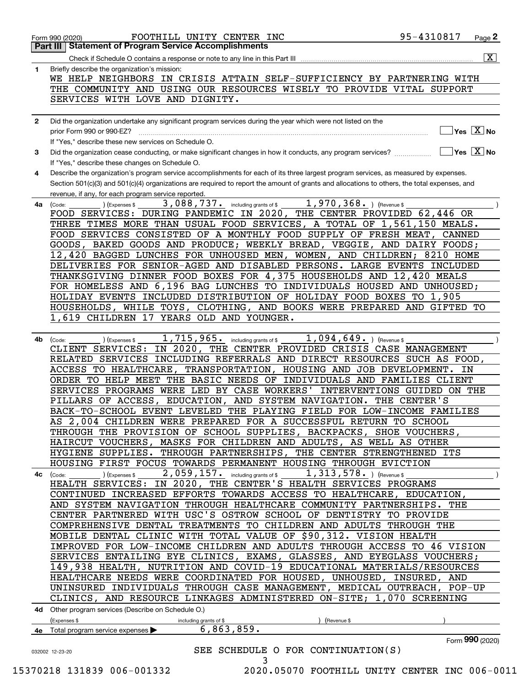| 1            | $\overline{\mathbf{x}}$<br>Briefly describe the organization's mission:                                                                                          |
|--------------|------------------------------------------------------------------------------------------------------------------------------------------------------------------|
|              | WE HELP NEIGHBORS IN CRISIS ATTAIN SELF-SUFFICIENCY BY PARTNERING WITH                                                                                           |
|              | THE COMMUNITY AND USING OUR RESOURCES WISELY TO PROVIDE VITAL SUPPORT                                                                                            |
|              | SERVICES WITH LOVE AND DIGNITY.                                                                                                                                  |
|              |                                                                                                                                                                  |
| $\mathbf{2}$ | Did the organization undertake any significant program services during the year which were not listed on the                                                     |
|              | $\sqrt{}$ Yes $\sqrt{X}$ No<br>prior Form 990 or 990-EZ?                                                                                                         |
|              | If "Yes," describe these new services on Schedule O.                                                                                                             |
| 3            | $\sqrt{}$ Yes $\sqrt{}$ $\overline{\text{X}}$ No<br>Did the organization cease conducting, or make significant changes in how it conducts, any program services? |
|              | If "Yes," describe these changes on Schedule O.                                                                                                                  |
| 4            | Describe the organization's program service accomplishments for each of its three largest program services, as measured by expenses.                             |
|              | Section 501(c)(3) and 501(c)(4) organizations are required to report the amount of grants and allocations to others, the total expenses, and                     |
|              | revenue, if any, for each program service reported.                                                                                                              |
| 4a           | 3,088,737. including grants of \$<br>1,970,368. ) (Revenue \$<br>(Code:<br>(Expenses \$                                                                          |
|              | THE CENTER PROVIDED 62,446 OR<br>FOOD SERVICES: DURING PANDEMIC IN 2020,                                                                                         |
|              | THREE TIMES MORE THAN USUAL FOOD SERVICES, A TOTAL OF 1,561,150 MEALS.                                                                                           |
|              | FOOD SERVICES CONSISTED OF A MONTHLY FOOD SUPPLY OF FRESH MEAT, CANNED                                                                                           |
|              | GOODS, BAKED GOODS AND PRODUCE; WEEKLY BREAD, VEGGIE, AND DAIRY FOODS;                                                                                           |
|              | 12,420 BAGGED LUNCHES FOR UNHOUSED MEN, WOMEN, AND CHILDREN; 8210 HOME                                                                                           |
|              | DELIVERIES FOR SENIOR-AGED AND DISABLED PERSONS. LARGE EVENTS INCLUDED                                                                                           |
|              | THANKSGIVING DINNER FOOD BOXES FOR 4,375 HOUSEHOLDS AND 12,420 MEALS                                                                                             |
|              | FOR HOMELESS AND 6,196 BAG LUNCHES TO INDIVIDUALS HOUSED AND UNHOUSED;                                                                                           |
|              | HOLIDAY EVENTS INCLUDED DISTRIBUTION OF HOLIDAY FOOD BOXES TO 1,905                                                                                              |
|              | HOUSEHOLDS, WHILE TOYS, CLOTHING, AND BOOKS WERE PREPARED AND GIFTED<br>TО                                                                                       |
|              | 1,619 CHILDREN 17 YEARS OLD AND YOUNGER.                                                                                                                         |
|              |                                                                                                                                                                  |
| 4b           | 1,715,965.<br>$1,094,649.$ (Revenue \$<br>including grants of \$<br>(Expenses \$<br>(Code:                                                                       |
|              | IN 2020, THE CENTER PROVIDED CRISIS CASE MANAGEMENT<br>CLIENT SERVICES:                                                                                          |
|              | RELATED SERVICES INCLUDING REFERRALS AND DIRECT RESOURCES SUCH AS FOOD,                                                                                          |
|              | ACCESS TO HEALTHCARE,<br><b>TRANSPORTATION,</b><br>HOUSING AND JOB DEVELOPMENT. IN                                                                               |
|              | ORDER TO HELP MEET THE BASIC NEEDS OF INDIVIDUALS AND FAMILIES CLIENT                                                                                            |
|              | SERVICES PROGRAMS WERE LED BY CASE WORKERS' INTERVENTIONS GUIDED ON THE                                                                                          |
|              | PILLARS OF ACCESS, EDUCATION, AND SYSTEM NAVIGATION. THE CENTER'S                                                                                                |
|              | BACK-TO-SCHOOL EVENT LEVELED THE PLAYING FIELD FOR LOW-INCOME FAMILIES                                                                                           |
|              | AS 2,004 CHILDREN WERE PREPARED FOR A SUCCESSFUL RETURN TO SCHOOL                                                                                                |
|              | THROUGH THE PROVISION OF SCHOOL SUPPLIES, BACKPACKS, SHOE VOUCHERS,                                                                                              |
|              | HAIRCUT VOUCHERS, MASKS FOR CHILDREN AND ADULTS, AS WELL AS OTHER                                                                                                |
|              | HYGIENE SUPPLIES. THROUGH PARTNERSHIPS, THE CENTER STRENGTHENED ITS                                                                                              |
|              | HOUSING FIRST FOCUS TOWARDS PERMANENT HOUSING THROUGH EVICTION<br>1, 313, 578. ) (Revenue \$                                                                     |
|              | 2,059,157. including grants of \$<br>) (Expenses \$<br>4c (Code:<br>HEALTH SERVICES: IN 2020, THE CENTER'S HEALTH SERVICES PROGRAMS                              |
|              | CONTINUED INCREASED EFFORTS TOWARDS ACCESS TO HEALTHCARE, EDUCATION,                                                                                             |
|              | AND SYSTEM NAVIGATION THROUGH HEALTHCARE COMMUNITY PARTNERSHIPS. THE                                                                                             |
|              | CENTER PARTNERED WITH USC'S OSTROW SCHOOL OF DENTISTRY TO PROVIDE                                                                                                |
|              | COMPREHENSIVE DENTAL TREATMENTS TO CHILDREN AND ADULTS THROUGH THE                                                                                               |
|              | MOBILE DENTAL CLINIC WITH TOTAL VALUE OF \$90,312. VISION HEALTH                                                                                                 |
|              | IMPROVED FOR LOW-INCOME CHILDREN AND ADULTS THROUGH ACCESS TO 46 VISION                                                                                          |
|              | SERVICES ENTAILING EYE CLINICS, EXAMS, GLASSES, AND EYEGLASS VOUCHERS;                                                                                           |
|              | 149,938 HEALTH, NUTRITION AND COVID-19 EDUCATIONAL MATERIALS/RESOURCES                                                                                           |
|              | HEALTHCARE NEEDS WERE COORDINATED FOR HOUSED, UNHOUSED, INSURED, AND                                                                                             |
|              | UNINSURED INDIVIDUALS THROUGH CASE MANAGEMENT, MEDICAL OUTREACH, POP-UP                                                                                          |
|              | CLINICS, AND RESOURCE LINKAGES ADMINISTERED ON-SITE; 1,070 SCREENING                                                                                             |
|              | 4d Other program services (Describe on Schedule O.)                                                                                                              |
|              | (Expenses \$<br>(Revenue \$<br>including grants of \$                                                                                                            |
|              | 6, 863, 859.<br>4e Total program service expenses $\blacktriangleright$                                                                                          |
|              |                                                                                                                                                                  |
|              | Form 990 (2020)                                                                                                                                                  |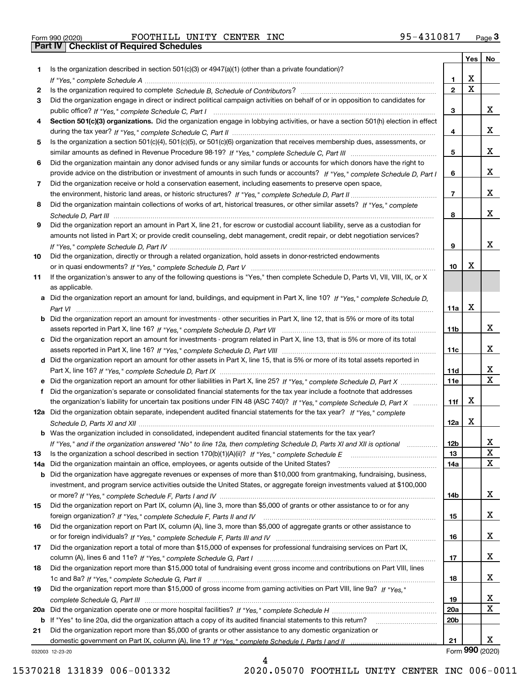|  | Form 990 (2020) |
|--|-----------------|

|     |                                                                                                                                       |                 | Yes | No              |
|-----|---------------------------------------------------------------------------------------------------------------------------------------|-----------------|-----|-----------------|
| 1.  | Is the organization described in section $501(c)(3)$ or $4947(a)(1)$ (other than a private foundation)?                               |                 |     |                 |
|     |                                                                                                                                       | 1.              | х   |                 |
| 2   |                                                                                                                                       | $\overline{2}$  | Χ   |                 |
| 3   | Did the organization engage in direct or indirect political campaign activities on behalf of or in opposition to candidates for       |                 |     |                 |
|     |                                                                                                                                       | 3               |     | x               |
| 4   | Section 501(c)(3) organizations. Did the organization engage in lobbying activities, or have a section 501(h) election in effect      |                 |     |                 |
|     |                                                                                                                                       | 4               |     | x               |
| 5   | Is the organization a section 501(c)(4), 501(c)(5), or 501(c)(6) organization that receives membership dues, assessments, or          |                 |     |                 |
|     |                                                                                                                                       | 5               |     | x               |
| 6   | Did the organization maintain any donor advised funds or any similar funds or accounts for which donors have the right to             |                 |     |                 |
|     | provide advice on the distribution or investment of amounts in such funds or accounts? If "Yes," complete Schedule D, Part I          | 6               |     | x               |
| 7   | Did the organization receive or hold a conservation easement, including easements to preserve open space,                             |                 |     |                 |
|     |                                                                                                                                       | $\overline{7}$  |     | x               |
| 8   | Did the organization maintain collections of works of art, historical treasures, or other similar assets? If "Yes," complete          |                 |     |                 |
|     |                                                                                                                                       | 8               |     | x               |
| 9   | Did the organization report an amount in Part X, line 21, for escrow or custodial account liability, serve as a custodian for         |                 |     |                 |
|     | amounts not listed in Part X; or provide credit counseling, debt management, credit repair, or debt negotiation services?             |                 |     |                 |
|     |                                                                                                                                       | 9               |     | х               |
| 10  | Did the organization, directly or through a related organization, hold assets in donor-restricted endowments                          |                 |     |                 |
|     |                                                                                                                                       | 10              | x   |                 |
| 11  | If the organization's answer to any of the following questions is "Yes," then complete Schedule D, Parts VI, VII, VIII, IX, or X      |                 |     |                 |
|     | as applicable.                                                                                                                        |                 |     |                 |
|     | a Did the organization report an amount for land, buildings, and equipment in Part X, line 10? If "Yes," complete Schedule D.         |                 | х   |                 |
|     |                                                                                                                                       | 11a             |     |                 |
|     | <b>b</b> Did the organization report an amount for investments - other securities in Part X, line 12, that is 5% or more of its total |                 |     | x               |
|     |                                                                                                                                       | 11 <sub>b</sub> |     |                 |
|     | c Did the organization report an amount for investments - program related in Part X, line 13, that is 5% or more of its total         | 11c             |     | x               |
|     |                                                                                                                                       |                 |     |                 |
|     | d Did the organization report an amount for other assets in Part X, line 15, that is 5% or more of its total assets reported in       | 11d             |     | x               |
|     |                                                                                                                                       | <b>11e</b>      |     | $\mathbf X$     |
| f   | Did the organization's separate or consolidated financial statements for the tax year include a footnote that addresses               |                 |     |                 |
|     | the organization's liability for uncertain tax positions under FIN 48 (ASC 740)? If "Yes," complete Schedule D, Part X                | 11f             | X   |                 |
|     | 12a Did the organization obtain separate, independent audited financial statements for the tax year? If "Yes," complete               |                 |     |                 |
|     |                                                                                                                                       | 12a             | x   |                 |
|     | <b>b</b> Was the organization included in consolidated, independent audited financial statements for the tax year?                    |                 |     |                 |
|     | If "Yes," and if the organization answered "No" to line 12a, then completing Schedule D, Parts XI and XII is optional                 | 12 <sub>b</sub> |     | х               |
| 13  |                                                                                                                                       | 13              |     | X               |
| 14a | Did the organization maintain an office, employees, or agents outside of the United States?                                           | 14a             |     | X               |
|     | <b>b</b> Did the organization have aggregate revenues or expenses of more than \$10,000 from grantmaking, fundraising, business,      |                 |     |                 |
|     | investment, and program service activities outside the United States, or aggregate foreign investments valued at \$100,000            |                 |     |                 |
|     |                                                                                                                                       | 14b             |     | x               |
| 15  | Did the organization report on Part IX, column (A), line 3, more than \$5,000 of grants or other assistance to or for any             |                 |     |                 |
|     |                                                                                                                                       | 15              |     | x               |
| 16  | Did the organization report on Part IX, column (A), line 3, more than \$5,000 of aggregate grants or other assistance to              |                 |     |                 |
|     |                                                                                                                                       | 16              |     | x               |
| 17  | Did the organization report a total of more than \$15,000 of expenses for professional fundraising services on Part IX,               |                 |     |                 |
|     |                                                                                                                                       | 17              |     | x               |
| 18  | Did the organization report more than \$15,000 total of fundraising event gross income and contributions on Part VIII, lines          |                 |     |                 |
|     |                                                                                                                                       | 18              |     | x               |
| 19  | Did the organization report more than \$15,000 of gross income from gaming activities on Part VIII, line 9a? If "Yes."                |                 |     |                 |
|     |                                                                                                                                       | 19              |     | X               |
|     |                                                                                                                                       | 20a             |     | $\mathbf x$     |
|     | b If "Yes" to line 20a, did the organization attach a copy of its audited financial statements to this return?                        | 20 <sub>b</sub> |     |                 |
| 21  | Did the organization report more than \$5,000 of grants or other assistance to any domestic organization or                           |                 |     |                 |
|     |                                                                                                                                       | 21              |     | x               |
|     | 032003 12-23-20                                                                                                                       |                 |     | Form 990 (2020) |

032003 12-23-20

4 15370218 131839 006-001332 2020.05070 FOOTHILL UNITY CENTER INC 006-0011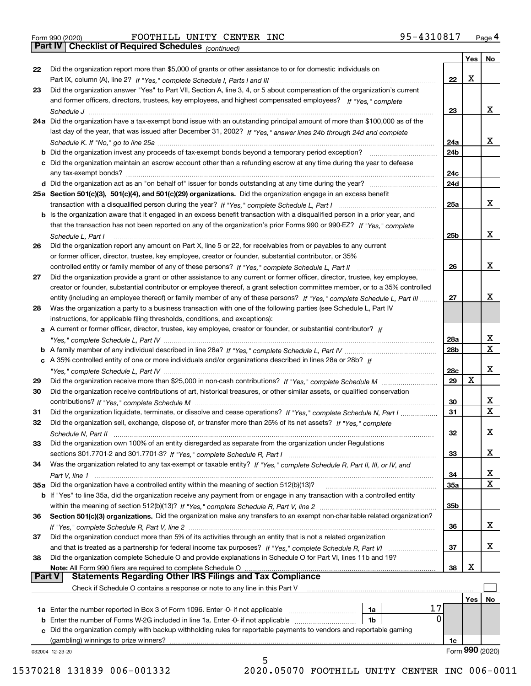*(continued)*

|               |                                                                                                                              |                 | Yes | No.              |
|---------------|------------------------------------------------------------------------------------------------------------------------------|-----------------|-----|------------------|
| 22            | Did the organization report more than \$5,000 of grants or other assistance to or for domestic individuals on                |                 |     |                  |
|               |                                                                                                                              | 22              | x   |                  |
| 23            | Did the organization answer "Yes" to Part VII, Section A, line 3, 4, or 5 about compensation of the organization's current   |                 |     |                  |
|               | and former officers, directors, trustees, key employees, and highest compensated employees? If "Yes," complete               |                 |     |                  |
|               |                                                                                                                              | 23              |     | x                |
|               | 24a Did the organization have a tax-exempt bond issue with an outstanding principal amount of more than \$100,000 as of the  |                 |     |                  |
|               | last day of the year, that was issued after December 31, 2002? If "Yes," answer lines 24b through 24d and complete           |                 |     |                  |
|               |                                                                                                                              | 24a             |     | x                |
|               | b Did the organization invest any proceeds of tax-exempt bonds beyond a temporary period exception?                          | 24b             |     |                  |
|               | c Did the organization maintain an escrow account other than a refunding escrow at any time during the year to defease       |                 |     |                  |
|               |                                                                                                                              | 24c             |     |                  |
|               |                                                                                                                              | 24d             |     |                  |
|               | 25a Section 501(c)(3), 501(c)(4), and 501(c)(29) organizations. Did the organization engage in an excess benefit             |                 |     |                  |
|               |                                                                                                                              | 25a             |     | х                |
|               | b Is the organization aware that it engaged in an excess benefit transaction with a disqualified person in a prior year, and |                 |     |                  |
|               | that the transaction has not been reported on any of the organization's prior Forms 990 or 990-EZ? If "Yes," complete        |                 |     |                  |
|               | Schedule L, Part I                                                                                                           | 25 <sub>b</sub> |     | х                |
| 26            | Did the organization report any amount on Part X, line 5 or 22, for receivables from or payables to any current              |                 |     |                  |
|               | or former officer, director, trustee, key employee, creator or founder, substantial contributor, or 35%                      |                 |     |                  |
|               |                                                                                                                              | 26              |     | х                |
| 27            | Did the organization provide a grant or other assistance to any current or former officer, director, trustee, key employee,  |                 |     |                  |
|               | creator or founder, substantial contributor or employee thereof, a grant selection committee member, or to a 35% controlled  |                 |     |                  |
|               | entity (including an employee thereof) or family member of any of these persons? If "Yes," complete Schedule L, Part III     | 27              |     | х                |
| 28            | Was the organization a party to a business transaction with one of the following parties (see Schedule L, Part IV            |                 |     |                  |
|               | instructions, for applicable filing thresholds, conditions, and exceptions):                                                 |                 |     |                  |
|               | a A current or former officer, director, trustee, key employee, creator or founder, or substantial contributor? If           |                 |     |                  |
|               |                                                                                                                              | 28a             |     | X                |
|               |                                                                                                                              | 28b             |     | $\mathbf X$      |
|               |                                                                                                                              |                 |     |                  |
|               | c A 35% controlled entity of one or more individuals and/or organizations described in lines 28a or 28b? If                  |                 |     | х                |
|               |                                                                                                                              | 28c             | x   |                  |
| 29            |                                                                                                                              | 29              |     |                  |
| 30            | Did the organization receive contributions of art, historical treasures, or other similar assets, or qualified conservation  |                 |     |                  |
|               |                                                                                                                              | 30              |     | X<br>$\mathbf x$ |
| 31            | Did the organization liquidate, terminate, or dissolve and cease operations? If "Yes," complete Schedule N, Part I           | 31              |     |                  |
| 32            | Did the organization sell, exchange, dispose of, or transfer more than 25% of its net assets? If "Yes," complete             |                 |     |                  |
|               | Schedule N, Part II                                                                                                          | 32              |     | х                |
| 33            | Did the organization own 100% of an entity disregarded as separate from the organization under Regulations                   |                 |     |                  |
|               |                                                                                                                              | 33              |     | х                |
| 34            | Was the organization related to any tax-exempt or taxable entity? If "Yes," complete Schedule R, Part II, III, or IV, and    |                 |     |                  |
|               |                                                                                                                              | 34              |     | х                |
|               | 35a Did the organization have a controlled entity within the meaning of section 512(b)(13)?                                  | 35a             |     | X                |
|               | b If "Yes" to line 35a, did the organization receive any payment from or engage in any transaction with a controlled entity  |                 |     |                  |
|               |                                                                                                                              | 35 <sub>b</sub> |     |                  |
| 36            | Section 501(c)(3) organizations. Did the organization make any transfers to an exempt non-charitable related organization?   |                 |     |                  |
|               |                                                                                                                              | 36              |     | x                |
| 37            | Did the organization conduct more than 5% of its activities through an entity that is not a related organization             |                 |     |                  |
|               | and that is treated as a partnership for federal income tax purposes? If "Yes," complete Schedule R, Part VI                 | 37              |     | x                |
| 38            | Did the organization complete Schedule O and provide explanations in Schedule O for Part VI, lines 11b and 19?               |                 |     |                  |
|               | Note: All Form 990 filers are required to complete Schedule O                                                                | 38              | х   |                  |
| <b>Part V</b> | <b>Statements Regarding Other IRS Filings and Tax Compliance</b>                                                             |                 |     |                  |
|               | Check if Schedule O contains a response or note to any line in this Part V                                                   |                 |     |                  |
|               |                                                                                                                              |                 | Yes | No               |
|               | 17<br><b>1a</b> Enter the number reported in Box 3 of Form 1096. Enter -0- if not applicable <i>manumumumum</i><br>1a        |                 |     |                  |
|               | 0<br>1b                                                                                                                      |                 |     |                  |
|               | c Did the organization comply with backup withholding rules for reportable payments to vendors and reportable gaming         |                 |     |                  |
|               | (gambling) winnings to prize winners?                                                                                        | 1c              |     |                  |
|               | 032004 12-23-20                                                                                                              |                 |     | Form 990 (2020)  |
|               | 5                                                                                                                            |                 |     |                  |

15370218 131839 006-001332 2020.05070 FOOTHILL UNITY CENTER INC 006-0011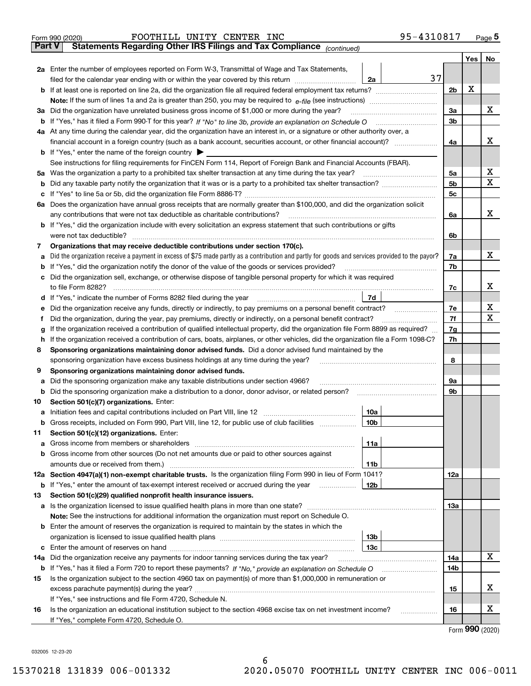|               | 95-4310817<br>FOOTHILL UNITY CENTER INC<br>Form 990 (2020)                                                                                                                                                            |                |     | $_{\text{Page}}$ 5 |
|---------------|-----------------------------------------------------------------------------------------------------------------------------------------------------------------------------------------------------------------------|----------------|-----|--------------------|
| <b>Part V</b> | Statements Regarding Other IRS Filings and Tax Compliance (continued)                                                                                                                                                 |                |     |                    |
|               |                                                                                                                                                                                                                       |                | Yes | No                 |
|               | 2a Enter the number of employees reported on Form W-3, Transmittal of Wage and Tax Statements,                                                                                                                        |                |     |                    |
|               | 37<br>filed for the calendar year ending with or within the year covered by this return<br>2a                                                                                                                         |                |     |                    |
|               |                                                                                                                                                                                                                       | 2b             | х   |                    |
|               |                                                                                                                                                                                                                       |                |     |                    |
| За            | Did the organization have unrelated business gross income of \$1,000 or more during the year?                                                                                                                         | 3a             |     | x                  |
|               |                                                                                                                                                                                                                       | 3b             |     |                    |
|               | 4a At any time during the calendar year, did the organization have an interest in, or a signature or other authority over, a                                                                                          |                |     |                    |
|               |                                                                                                                                                                                                                       | 4a             |     | х                  |
|               | <b>b</b> If "Yes," enter the name of the foreign country $\blacktriangleright$                                                                                                                                        |                |     |                    |
|               | See instructions for filing requirements for FinCEN Form 114, Report of Foreign Bank and Financial Accounts (FBAR).                                                                                                   |                |     |                    |
| 5a            | Was the organization a party to a prohibited tax shelter transaction at any time during the tax year?                                                                                                                 | 5a             |     | х                  |
| b             |                                                                                                                                                                                                                       | 5 <sub>b</sub> |     | X                  |
| с             |                                                                                                                                                                                                                       | 5c             |     |                    |
|               | 6a Does the organization have annual gross receipts that are normally greater than \$100,000, and did the organization solicit                                                                                        |                |     |                    |
|               | any contributions that were not tax deductible as charitable contributions?                                                                                                                                           | 6a             |     | x                  |
|               | <b>b</b> If "Yes," did the organization include with every solicitation an express statement that such contributions or gifts                                                                                         |                |     |                    |
|               | were not tax deductible?                                                                                                                                                                                              | 6b             |     |                    |
| 7             | Organizations that may receive deductible contributions under section 170(c).                                                                                                                                         |                |     |                    |
| а             | Did the organization receive a payment in excess of \$75 made partly as a contribution and partly for goods and services provided to the payor?                                                                       | 7a             |     | x                  |
| b             | If "Yes," did the organization notify the donor of the value of the goods or services provided?                                                                                                                       | 7b             |     |                    |
| с             | Did the organization sell, exchange, or otherwise dispose of tangible personal property for which it was required                                                                                                     |                |     |                    |
|               |                                                                                                                                                                                                                       | 7c             |     | х                  |
|               | 7d                                                                                                                                                                                                                    |                |     |                    |
| е             |                                                                                                                                                                                                                       | 7e             |     | х                  |
| f             | Did the organization, during the year, pay premiums, directly or indirectly, on a personal benefit contract?                                                                                                          | 7f             |     | X                  |
| g             | If the organization received a contribution of qualified intellectual property, did the organization file Form 8899 as required?                                                                                      | 7g             |     |                    |
| h             | If the organization received a contribution of cars, boats, airplanes, or other vehicles, did the organization file a Form 1098-C?                                                                                    | 7h             |     |                    |
| 8             | Sponsoring organizations maintaining donor advised funds. Did a donor advised fund maintained by the                                                                                                                  |                |     |                    |
|               | sponsoring organization have excess business holdings at any time during the year?                                                                                                                                    | 8              |     |                    |
| 9             | Sponsoring organizations maintaining donor advised funds.                                                                                                                                                             |                |     |                    |
| а             | Did the sponsoring organization make any taxable distributions under section 4966?                                                                                                                                    | 9а             |     |                    |
| b             | Did the sponsoring organization make a distribution to a donor, donor advisor, or related person?                                                                                                                     | 9b             |     |                    |
| 10            | Section 501(c)(7) organizations. Enter:<br>10a<br>a Initiation fees and capital contributions included on Part VIII, line 12 [111] [11] [11] Initiation fees and capital contributions included on Part VIII, line 12 |                |     |                    |
|               | 10 <sub>b</sub><br>Gross receipts, included on Form 990, Part VIII, line 12, for public use of club facilities                                                                                                        |                |     |                    |
| 11            | Section 501(c)(12) organizations. Enter:                                                                                                                                                                              |                |     |                    |
|               | Gross income from members or shareholders<br>11a                                                                                                                                                                      |                |     |                    |
| a<br>b        | Gross income from other sources (Do not net amounts due or paid to other sources against                                                                                                                              |                |     |                    |
|               | 11b                                                                                                                                                                                                                   |                |     |                    |
|               | 12a Section 4947(a)(1) non-exempt charitable trusts. Is the organization filing Form 990 in lieu of Form 1041?                                                                                                        | 12a            |     |                    |
|               | 12 <sub>b</sub><br><b>b</b> If "Yes," enter the amount of tax-exempt interest received or accrued during the year                                                                                                     |                |     |                    |
| 13            | Section 501(c)(29) qualified nonprofit health insurance issuers.                                                                                                                                                      |                |     |                    |
| a             | Is the organization licensed to issue qualified health plans in more than one state?                                                                                                                                  | 13a            |     |                    |
|               | Note: See the instructions for additional information the organization must report on Schedule O.                                                                                                                     |                |     |                    |
| b             | Enter the amount of reserves the organization is required to maintain by the states in which the                                                                                                                      |                |     |                    |
|               | 13 <sub>b</sub>                                                                                                                                                                                                       |                |     |                    |
|               | 13c                                                                                                                                                                                                                   |                |     |                    |
| 14a           | Did the organization receive any payments for indoor tanning services during the tax year?                                                                                                                            | 14a            |     | x                  |
|               | <b>b</b> If "Yes," has it filed a Form 720 to report these payments? If "No," provide an explanation on Schedule O                                                                                                    | 14b            |     |                    |
| 15            | Is the organization subject to the section 4960 tax on payment(s) of more than \$1,000,000 in remuneration or                                                                                                         |                |     |                    |
|               |                                                                                                                                                                                                                       | 15             |     | х                  |
|               | If "Yes," see instructions and file Form 4720, Schedule N.                                                                                                                                                            |                |     |                    |
| 16            | Is the organization an educational institution subject to the section 4968 excise tax on net investment income?                                                                                                       | 16             |     | х                  |
|               | If "Yes," complete Form 4720, Schedule O.                                                                                                                                                                             |                |     |                    |

Form (2020) **990**

032005 12-23-20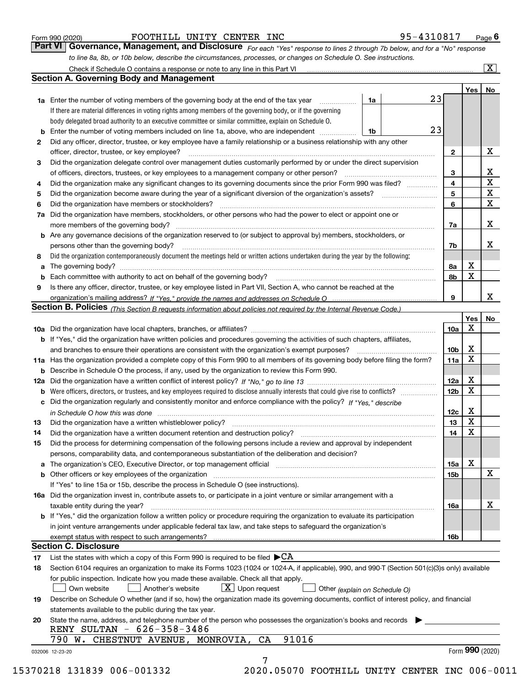|  | Form 990 (2020) |
|--|-----------------|
|  |                 |

| Form 990 (2020) | FOOTHILL UNITY CENTER INC |  | 95-4310817                                                                                                                    | $P_{\text{aqe}}$ 6 |
|-----------------|---------------------------|--|-------------------------------------------------------------------------------------------------------------------------------|--------------------|
|                 |                           |  | Part VI   Governance, Management, and Disclosure For each "Yes" response to lines 2 through 7b below, and for a "No" response |                    |
|                 |                           |  | to line 8a, 8b, or 10b below, describe the circumstances, processes, or changes on Schedule O. See instructions.              |                    |

|    |                                                                                                                                                                               |    |    |                 | Yes             | No                      |
|----|-------------------------------------------------------------------------------------------------------------------------------------------------------------------------------|----|----|-----------------|-----------------|-------------------------|
|    | <b>1a</b> Enter the number of voting members of the governing body at the end of the tax year <i>manumum</i>                                                                  | 1a | 23 |                 |                 |                         |
|    | If there are material differences in voting rights among members of the governing body, or if the governing                                                                   |    |    |                 |                 |                         |
|    | body delegated broad authority to an executive committee or similar committee, explain on Schedule O.                                                                         |    |    |                 |                 |                         |
| b  | Enter the number of voting members included on line 1a, above, who are independent                                                                                            | 1b | 23 |                 |                 |                         |
| 2  | Did any officer, director, trustee, or key employee have a family relationship or a business relationship with any other                                                      |    |    |                 |                 |                         |
|    | officer, director, trustee, or key employee?                                                                                                                                  |    |    | $\mathbf{2}$    |                 | X                       |
| 3  | Did the organization delegate control over management duties customarily performed by or under the direct supervision                                                         |    |    |                 |                 |                         |
|    |                                                                                                                                                                               |    |    | 3               |                 | X                       |
| 4  | Did the organization make any significant changes to its governing documents since the prior Form 990 was filed?                                                              |    |    | 4               |                 | $\overline{\mathbf{x}}$ |
| 5  |                                                                                                                                                                               |    |    | 5               |                 | $\mathbf X$             |
| 6  | Did the organization have members or stockholders?                                                                                                                            |    |    | 6               |                 | $\mathbf X$             |
| 7a | Did the organization have members, stockholders, or other persons who had the power to elect or appoint one or                                                                |    |    |                 |                 |                         |
|    |                                                                                                                                                                               |    |    | 7a              |                 | X                       |
|    | <b>b</b> Are any governance decisions of the organization reserved to (or subject to approval by) members, stockholders, or<br>persons other than the governing body?         |    |    | 7b              |                 | X                       |
| 8  | Did the organization contemporaneously document the meetings held or written actions undertaken during the year by the following:                                             |    |    |                 |                 |                         |
| a  |                                                                                                                                                                               |    |    | 8a              | X               |                         |
| b  |                                                                                                                                                                               |    |    | 8b              | X               |                         |
| 9  | Is there any officer, director, trustee, or key employee listed in Part VII, Section A, who cannot be reached at the                                                          |    |    |                 |                 |                         |
|    |                                                                                                                                                                               |    |    | 9               |                 | х                       |
|    | Section B. Policies <sub>(This Section B requests information about policies not required by the Internal Revenue Code.)</sub>                                                |    |    |                 |                 |                         |
|    |                                                                                                                                                                               |    |    |                 | Yes             | No                      |
|    |                                                                                                                                                                               |    |    | 10a             | X               |                         |
|    | <b>b</b> If "Yes," did the organization have written policies and procedures governing the activities of such chapters, affiliates,                                           |    |    |                 |                 |                         |
|    |                                                                                                                                                                               |    |    | 10 <sub>b</sub> | х               |                         |
|    | 11a Has the organization provided a complete copy of this Form 990 to all members of its governing body before filing the form?                                               |    |    | 11a             | X               |                         |
|    | <b>b</b> Describe in Schedule O the process, if any, used by the organization to review this Form 990.                                                                        |    |    |                 |                 |                         |
|    |                                                                                                                                                                               |    |    | 12a             | X               |                         |
| b  |                                                                                                                                                                               |    |    | 12b             | X               |                         |
| c  | Did the organization regularly and consistently monitor and enforce compliance with the policy? If "Yes," describe                                                            |    |    |                 |                 |                         |
|    | in Schedule O how this was done manufactured and contact the state of the state of the state of the state of t                                                                |    |    | 12c             | X               |                         |
| 13 |                                                                                                                                                                               |    |    | 13              | X               |                         |
| 14 | Did the organization have a written document retention and destruction policy? manufactured and the organization have a written document retention and destruction policy?    |    |    | 14              | X               |                         |
| 15 | Did the process for determining compensation of the following persons include a review and approval by independent                                                            |    |    |                 |                 |                         |
|    | persons, comparability data, and contemporaneous substantiation of the deliberation and decision?                                                                             |    |    |                 |                 |                         |
| а  | The organization's CEO, Executive Director, or top management official manufactured content content of the organization's CEO, Executive Director, or top management official |    |    | 15a             | X               |                         |
|    | <b>b</b> Other officers or key employees of the organization                                                                                                                  |    |    | 15b             |                 | X                       |
|    | If "Yes" to line 15a or 15b, describe the process in Schedule O (see instructions).                                                                                           |    |    |                 |                 |                         |
|    | 16a Did the organization invest in, contribute assets to, or participate in a joint venture or similar arrangement with a                                                     |    |    |                 |                 |                         |
|    | taxable entity during the year?                                                                                                                                               |    |    | 16a             |                 | X                       |
|    | b If "Yes," did the organization follow a written policy or procedure requiring the organization to evaluate its participation                                                |    |    |                 |                 |                         |
|    | in joint venture arrangements under applicable federal tax law, and take steps to safeguard the organization's                                                                |    |    |                 |                 |                         |
|    | exempt status with respect to such arrangements?                                                                                                                              |    |    | 16b             |                 |                         |
|    | <b>Section C. Disclosure</b>                                                                                                                                                  |    |    |                 |                 |                         |
| 17 | List the states with which a copy of this Form 990 is required to be filed $\blacktriangleright$ CA                                                                           |    |    |                 |                 |                         |
| 18 | Section 6104 requires an organization to make its Forms 1023 (1024 or 1024-A, if applicable), 990, and 990-T (Section 501(c)(3)s only) available                              |    |    |                 |                 |                         |
|    | for public inspection. Indicate how you made these available. Check all that apply.<br>$X$ Upon request<br>Another's website<br>Own website<br>Other (explain on Schedule O)  |    |    |                 |                 |                         |
| 19 | Describe on Schedule O whether (and if so, how) the organization made its governing documents, conflict of interest policy, and financial                                     |    |    |                 |                 |                         |
| 20 | statements available to the public during the tax year.<br>State the name, address, and telephone number of the person who possesses the organization's books and records     |    |    |                 |                 |                         |
|    | RENY SULTAN - 626-358-3486<br>91016<br>790 W. CHESTNUT AVENUE, MONROVIA, CA                                                                                                   |    |    |                 |                 |                         |
|    |                                                                                                                                                                               |    |    |                 | Form 990 (2020) |                         |
|    | 032006 12-23-20                                                                                                                                                               |    |    |                 |                 |                         |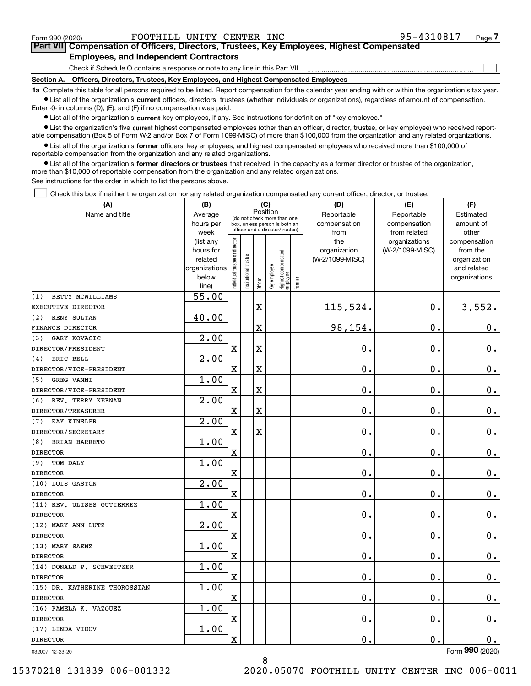$\mathcal{L}^{\text{max}}$ 

# **7Part VII Compensation of Officers, Directors, Trustees, Key Employees, Highest Compensated Employees, and Independent Contractors**

Check if Schedule O contains a response or note to any line in this Part VII

**Section A. Officers, Directors, Trustees, Key Employees, and Highest Compensated Employees**

**1a**  Complete this table for all persons required to be listed. Report compensation for the calendar year ending with or within the organization's tax year. **•** List all of the organization's current officers, directors, trustees (whether individuals or organizations), regardless of amount of compensation.

Enter -0- in columns (D), (E), and (F) if no compensation was paid.

 $\bullet$  List all of the organization's  $\,$ current key employees, if any. See instructions for definition of "key employee."

**•** List the organization's five current highest compensated employees (other than an officer, director, trustee, or key employee) who received reportable compensation (Box 5 of Form W-2 and/or Box 7 of Form 1099-MISC) of more than \$100,000 from the organization and any related organizations.

**•** List all of the organization's former officers, key employees, and highest compensated employees who received more than \$100,000 of reportable compensation from the organization and any related organizations.

**former directors or trustees**  ¥ List all of the organization's that received, in the capacity as a former director or trustee of the organization, more than \$10,000 of reportable compensation from the organization and any related organizations.

See instructions for the order in which to list the persons above.

Check this box if neither the organization nor any related organization compensated any current officer, director, or trustee.  $\mathcal{L}^{\text{max}}$ 

| (A)                           | (B)                    | (C)                           |                                 |                         |              |                                  | (D)    | (E)                             | (F)                              |                          |
|-------------------------------|------------------------|-------------------------------|---------------------------------|-------------------------|--------------|----------------------------------|--------|---------------------------------|----------------------------------|--------------------------|
| Name and title                | Average                |                               | (do not check more than one     |                         | Position     |                                  |        | Reportable                      | Reportable                       |                          |
|                               | hours per              |                               | box, unless person is both an   |                         |              |                                  |        | compensation                    | compensation                     | amount of                |
|                               | week                   |                               | officer and a director/trustee) |                         | from         | from related                     | other  |                                 |                                  |                          |
|                               | (list any<br>hours for |                               |                                 |                         |              |                                  |        | the                             | organizations<br>(W-2/1099-MISC) | compensation<br>from the |
|                               | related                |                               |                                 |                         |              |                                  |        | organization<br>(W-2/1099-MISC) |                                  | organization             |
|                               | organizations          |                               |                                 |                         |              |                                  |        |                                 |                                  | and related              |
|                               | below                  | ndividual trustee or director | Institutional trustee           |                         | Key employee |                                  |        |                                 |                                  | organizations            |
|                               | line)                  |                               |                                 | Officer                 |              | Highest compensated<br> employee | Former |                                 |                                  |                          |
| BETTY MCWILLIAMS<br>(1)       | 55.00                  |                               |                                 |                         |              |                                  |        |                                 |                                  |                          |
| EXECUTIVE DIRECTOR            |                        |                               |                                 | $\mathbf X$             |              |                                  |        | 115,524.                        | $\mathbf{0}$ .                   | 3,552.                   |
| RENY SULTAN<br>(2)            | 40.00                  |                               |                                 |                         |              |                                  |        |                                 |                                  |                          |
| FINANCE DIRECTOR              |                        |                               |                                 | $\mathbf X$             |              |                                  |        | 98,154.                         | $\mathbf 0$ .                    | 0.                       |
| GARY KOVACIC<br>(3)           | 2.00                   |                               |                                 |                         |              |                                  |        |                                 |                                  |                          |
| DIRECTOR/PRESIDENT            |                        | $\overline{\textbf{X}}$       |                                 | $\rm X$                 |              |                                  |        | 0.                              | $\mathbf 0$ .                    | $\mathbf 0$ .            |
| ERIC BELL<br>(4)              | 2.00                   |                               |                                 |                         |              |                                  |        |                                 |                                  |                          |
| DIRECTOR/VICE-PRESIDENT       |                        | $\overline{\mathbf{X}}$       |                                 | $\rm X$                 |              |                                  |        | 0.                              | $\mathbf 0$ .                    | $\mathbf 0$ .            |
| GREG VANNI<br>(5)             | 1.00                   |                               |                                 |                         |              |                                  |        |                                 |                                  |                          |
| DIRECTOR/VICE-PRESIDENT       |                        | $\overline{\mathbf{X}}$       |                                 | $\overline{\mathbf{X}}$ |              |                                  |        | 0.                              | $\mathbf 0$ .                    | $0_{.}$                  |
| (6)<br>REV. TERRY KEENAN      | 2.00                   |                               |                                 |                         |              |                                  |        |                                 |                                  |                          |
| DIRECTOR/TREASURER            |                        | $\overline{\mathbf{X}}$       |                                 | $\mathbf X$             |              |                                  |        | $\mathbf 0$ .                   | $\mathbf 0$ .                    | $\mathbf 0$ .            |
| <b>KAY KINSLER</b><br>(7)     | 2.00                   |                               |                                 |                         |              |                                  |        |                                 |                                  |                          |
| DIRECTOR/SECRETARY            |                        | $\overline{\text{X}}$         |                                 | X                       |              |                                  |        | $\mathbf 0$ .                   | $\mathbf 0$ .                    | $0_{.}$                  |
| (8)<br>BRIAN BARRETO          | 1.00                   |                               |                                 |                         |              |                                  |        |                                 |                                  |                          |
| <b>DIRECTOR</b>               |                        | $\overline{\mathbf{X}}$       |                                 |                         |              |                                  |        | 0.                              | $\mathbf 0$ .                    | $\mathbf 0$ .            |
| TOM DALY<br>(9)               | 1.00                   |                               |                                 |                         |              |                                  |        |                                 |                                  |                          |
| <b>DIRECTOR</b>               |                        | $\overline{\mathbf{X}}$       |                                 |                         |              |                                  |        | 0.                              | 0.                               | $0_{.}$                  |
| (10) LOIS GASTON              | 2.00                   |                               |                                 |                         |              |                                  |        |                                 |                                  |                          |
| <b>DIRECTOR</b>               |                        | $\overline{\text{X}}$         |                                 |                         |              |                                  |        | 0.                              | $\mathbf 0$ .                    | 0.                       |
| (11) REV. ULISES GUTIERREZ    | 1.00                   |                               |                                 |                         |              |                                  |        |                                 |                                  |                          |
| <b>DIRECTOR</b>               |                        | $\overline{\textbf{X}}$       |                                 |                         |              |                                  |        | 0.                              | 0.                               | $\mathbf 0$ .            |
| (12) MARY ANN LUTZ            | 2.00                   |                               |                                 |                         |              |                                  |        |                                 |                                  |                          |
| <b>DIRECTOR</b>               |                        | $\overline{\text{X}}$         |                                 |                         |              |                                  |        | 0.                              | $\mathbf 0$ .                    | $0_{.}$                  |
| (13) MARY SAENZ               | 1.00                   |                               |                                 |                         |              |                                  |        |                                 |                                  |                          |
| <b>DIRECTOR</b>               |                        | $\overline{\mathbf{X}}$       |                                 |                         |              |                                  |        | 0.                              | 0.                               | $0_{.}$                  |
| (14) DONALD P. SCHWEITZER     | 1.00                   |                               |                                 |                         |              |                                  |        |                                 |                                  |                          |
| <b>DIRECTOR</b>               |                        | $\overline{\text{X}}$         |                                 |                         |              |                                  |        | $\mathbf 0$ .                   | $\mathbf 0$ .                    | 0.                       |
| (15) DR. KATHERINE THOROSSIAN | 1.00                   |                               |                                 |                         |              |                                  |        |                                 |                                  |                          |
| <b>DIRECTOR</b>               |                        | $\overline{\mathbf{X}}$       |                                 |                         |              |                                  |        | 0.                              | 0.                               | 0.                       |
| (16) PAMELA K. VAZQUEZ        | 1.00                   |                               |                                 |                         |              |                                  |        |                                 |                                  |                          |
| <b>DIRECTOR</b>               |                        | $\rm X$                       |                                 |                         |              |                                  |        | 0.                              | $\mathbf 0$ .                    | 0.                       |
| (17) LINDA VIDOV              | 1.00                   |                               |                                 |                         |              |                                  |        |                                 |                                  |                          |
| <b>DIRECTOR</b>               |                        | $\rm X$                       |                                 |                         |              |                                  |        | 0.                              | $\mathbf{0}$ .                   | 0.<br>$\overline{2}$     |

8

032007 12-23-20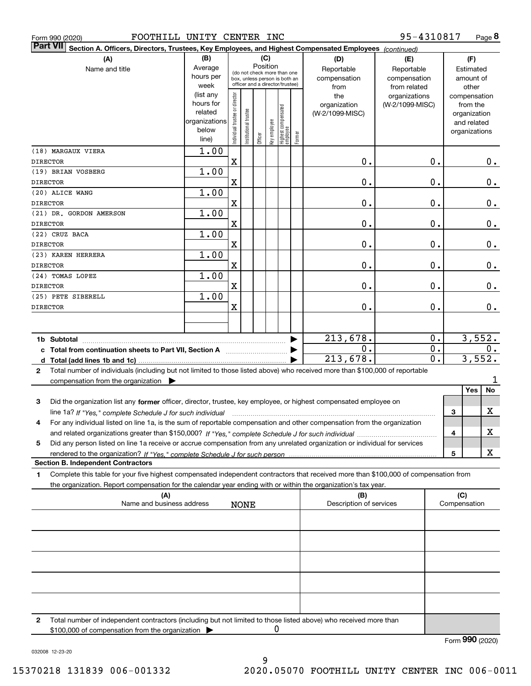|  | Form 990 (2020) |
|--|-----------------|
|  |                 |

| <b>Part VII</b><br>Section A. Officers, Directors, Trustees, Key Employees, and Highest Compensated Employees (continued)                    |                        |                                         |                       |         |              |                                                                  |        |                         |                                  |                  |     |                          |         |
|----------------------------------------------------------------------------------------------------------------------------------------------|------------------------|-----------------------------------------|-----------------------|---------|--------------|------------------------------------------------------------------|--------|-------------------------|----------------------------------|------------------|-----|--------------------------|---------|
| (A)                                                                                                                                          | (B)                    |                                         |                       | (C)     |              |                                                                  |        | (D)                     | (E)                              | (F)              |     |                          |         |
| Name and title                                                                                                                               | Average                | Position<br>(do not check more than one |                       |         |              |                                                                  |        | Reportable              | Reportable                       |                  |     | Estimated                |         |
|                                                                                                                                              | hours per              |                                         |                       |         |              | box, unless person is both an<br>officer and a director/trustee) |        | compensation            | compensation                     |                  |     | amount of                |         |
|                                                                                                                                              | week                   |                                         |                       |         |              |                                                                  |        | from                    | from related                     |                  |     | other                    |         |
|                                                                                                                                              | (list any<br>hours for | Individual trustee or director          |                       |         |              |                                                                  |        | the<br>organization     | organizations<br>(W-2/1099-MISC) |                  |     | compensation<br>from the |         |
|                                                                                                                                              | related                |                                         |                       |         |              |                                                                  |        | (W-2/1099-MISC)         |                                  |                  |     | organization             |         |
|                                                                                                                                              | organizations          |                                         |                       |         |              |                                                                  |        |                         |                                  |                  |     | and related              |         |
|                                                                                                                                              | below                  |                                         | Institutional trustee |         | Key employee | Highest compensated<br>employee                                  |        |                         |                                  |                  |     | organizations            |         |
|                                                                                                                                              | line)                  |                                         |                       | Officer |              |                                                                  | Former |                         |                                  |                  |     |                          |         |
| (18) MARGAUX VIERA                                                                                                                           | 1.00                   |                                         |                       |         |              |                                                                  |        |                         |                                  |                  |     |                          |         |
| <b>DIRECTOR</b>                                                                                                                              |                        | $\mathbf X$                             |                       |         |              |                                                                  |        | $\mathbf 0$ .           |                                  | 0.               |     |                          | $0_{.}$ |
| (19) BRIAN VOSBERG                                                                                                                           | 1.00                   |                                         |                       |         |              |                                                                  |        |                         |                                  |                  |     |                          |         |
| <b>DIRECTOR</b>                                                                                                                              |                        | $\mathbf X$                             |                       |         |              |                                                                  |        | 0.                      |                                  | 0.               |     |                          | $0_{.}$ |
| (20) ALICE WANG                                                                                                                              | 1.00                   |                                         |                       |         |              |                                                                  |        |                         |                                  |                  |     |                          |         |
| <b>DIRECTOR</b>                                                                                                                              |                        | $\overline{\mathbf{X}}$                 |                       |         |              |                                                                  |        | 0.                      |                                  | 0.               |     |                          | $0_{.}$ |
| (21) DR. GORDON AMERSON                                                                                                                      | 1.00                   |                                         |                       |         |              |                                                                  |        |                         |                                  |                  |     |                          |         |
| <b>DIRECTOR</b>                                                                                                                              |                        | $\mathbf X$                             |                       |         |              |                                                                  |        | 0.                      |                                  | 0.               |     |                          | 0.      |
| (22) CRUZ BACA                                                                                                                               | 1.00                   |                                         |                       |         |              |                                                                  |        |                         |                                  |                  |     |                          |         |
| <b>DIRECTOR</b>                                                                                                                              |                        | $\mathbf X$                             |                       |         |              |                                                                  |        | 0.                      |                                  | 0.               |     |                          | 0.      |
| (23) KAREN HERRERA                                                                                                                           | 1.00                   |                                         |                       |         |              |                                                                  |        |                         |                                  |                  |     |                          |         |
| <b>DIRECTOR</b>                                                                                                                              |                        | $\mathbf X$                             |                       |         |              |                                                                  |        | 0.                      |                                  | 0.               |     |                          | $0$ .   |
| (24) TOMAS LOPEZ                                                                                                                             | 1.00                   |                                         |                       |         |              |                                                                  |        |                         |                                  |                  |     |                          |         |
| <b>DIRECTOR</b>                                                                                                                              |                        | $\mathbf X$                             |                       |         |              |                                                                  |        | 0.                      |                                  | $\mathbf 0$ .    |     |                          | 0.      |
| (25) PETE SIBERELL                                                                                                                           | 1.00                   |                                         |                       |         |              |                                                                  |        |                         |                                  |                  |     |                          |         |
| <b>DIRECTOR</b>                                                                                                                              |                        | $\overline{\mathbf{X}}$                 |                       |         |              |                                                                  |        | 0.                      |                                  | $\mathbf 0$ .    |     |                          | 0.      |
|                                                                                                                                              |                        |                                         |                       |         |              |                                                                  |        |                         |                                  |                  |     |                          |         |
| 1b Subtotal                                                                                                                                  |                        |                                         |                       |         |              |                                                                  |        | 213,678.                |                                  | 0.               |     |                          | 3,552.  |
| c Total from continuation sheets to Part VII, Section A manufactured and response to Total from extension                                    |                        |                                         |                       |         |              |                                                                  |        | 0.                      |                                  | 0.               |     |                          | 0.      |
| d Total (add lines 1b and 1c)                                                                                                                |                        |                                         |                       |         |              |                                                                  |        | 213,678.                |                                  | $\overline{0}$ . |     | 3,552.                   |         |
| Total number of individuals (including but not limited to those listed above) who received more than \$100,000 of reportable<br>$\mathbf{2}$ |                        |                                         |                       |         |              |                                                                  |        |                         |                                  |                  |     |                          |         |
| compensation from the organization $\blacktriangleright$                                                                                     |                        |                                         |                       |         |              |                                                                  |        |                         |                                  |                  |     |                          | 1       |
|                                                                                                                                              |                        |                                         |                       |         |              |                                                                  |        |                         |                                  |                  |     | Yes                      | No      |
| Did the organization list any former officer, director, trustee, key employee, or highest compensated employee on<br>3                       |                        |                                         |                       |         |              |                                                                  |        |                         |                                  |                  |     |                          |         |
| line 1a? If "Yes," complete Schedule J for such individual                                                                                   |                        |                                         |                       |         |              |                                                                  |        |                         |                                  |                  | 3   |                          | х       |
| For any individual listed on line 1a, is the sum of reportable compensation and other compensation from the organization<br>4                |                        |                                         |                       |         |              |                                                                  |        |                         |                                  |                  |     |                          |         |
|                                                                                                                                              |                        |                                         |                       |         |              |                                                                  |        |                         |                                  |                  | 4   |                          | X       |
| Did any person listed on line 1a receive or accrue compensation from any unrelated organization or individual for services<br>5              |                        |                                         |                       |         |              |                                                                  |        |                         |                                  |                  |     |                          |         |
|                                                                                                                                              |                        |                                         |                       |         |              |                                                                  |        |                         |                                  |                  | 5   |                          | X       |
| <b>Section B. Independent Contractors</b>                                                                                                    |                        |                                         |                       |         |              |                                                                  |        |                         |                                  |                  |     |                          |         |
| Complete this table for your five highest compensated independent contractors that received more than \$100,000 of compensation from<br>1    |                        |                                         |                       |         |              |                                                                  |        |                         |                                  |                  |     |                          |         |
| the organization. Report compensation for the calendar year ending with or within the organization's tax year.                               |                        |                                         |                       |         |              |                                                                  |        |                         |                                  |                  |     |                          |         |
| (A)                                                                                                                                          |                        |                                         |                       |         |              |                                                                  |        | (B)                     |                                  |                  | (C) |                          |         |
| Name and business address                                                                                                                    |                        |                                         | <b>NONE</b>           |         |              |                                                                  |        | Description of services |                                  |                  |     | Compensation             |         |
|                                                                                                                                              |                        |                                         |                       |         |              |                                                                  |        |                         |                                  |                  |     |                          |         |
|                                                                                                                                              |                        |                                         |                       |         |              |                                                                  |        |                         |                                  |                  |     |                          |         |
|                                                                                                                                              |                        |                                         |                       |         |              |                                                                  |        |                         |                                  |                  |     |                          |         |
|                                                                                                                                              |                        |                                         |                       |         |              |                                                                  |        |                         |                                  |                  |     |                          |         |
|                                                                                                                                              |                        |                                         |                       |         |              |                                                                  |        |                         |                                  |                  |     |                          |         |
|                                                                                                                                              |                        |                                         |                       |         |              |                                                                  |        |                         |                                  |                  |     |                          |         |
|                                                                                                                                              |                        |                                         |                       |         |              |                                                                  |        |                         |                                  |                  |     |                          |         |
|                                                                                                                                              |                        |                                         |                       |         |              |                                                                  |        |                         |                                  |                  |     |                          |         |

**2**Total number of independent contractors (including but not limited to those listed above) who received more than \$100,000 of compensation from the organization  $\blacktriangleright$ 0

Form (2020) **990**

032008 12-23-20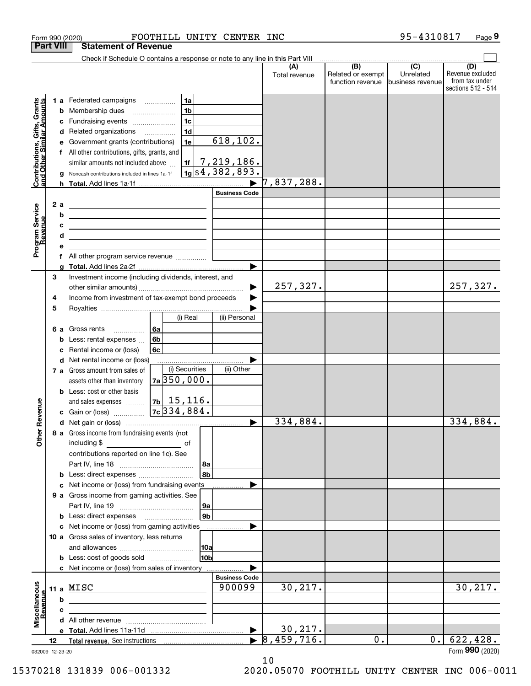|                                                           |                  | FOOTHILL UNITY CENTER INC<br>Form 990 (2020)                                       |                       |                      |                                                     | 95-4310817                    | Page 9                                                          |
|-----------------------------------------------------------|------------------|------------------------------------------------------------------------------------|-----------------------|----------------------|-----------------------------------------------------|-------------------------------|-----------------------------------------------------------------|
|                                                           | <b>Part VIII</b> | <b>Statement of Revenue</b>                                                        |                       |                      |                                                     |                               |                                                                 |
|                                                           |                  | Check if Schedule O contains a response or note to any line in this Part VIII      |                       |                      | $\overline{(\mathsf{B})}$ $\overline{(\mathsf{C})}$ |                               |                                                                 |
|                                                           |                  |                                                                                    |                       | (A)<br>Total revenue | Related or exempt<br>function revenue               | Unrelated<br>business revenue | (D)<br>Revenue excluded<br>from tax under<br>sections 512 - 514 |
|                                                           |                  | 1 a Federated campaigns<br>1a                                                      |                       |                      |                                                     |                               |                                                                 |
| Contributions, Gifts, Grants<br>and Other Similar Amounts |                  | 1 <sub>b</sub><br><b>b</b> Membership dues<br>$\ldots \ldots \ldots \ldots \ldots$ |                       |                      |                                                     |                               |                                                                 |
|                                                           |                  | 1 <sub>c</sub><br>Fundraising events<br>с                                          |                       |                      |                                                     |                               |                                                                 |
|                                                           |                  | 1 <sub>d</sub><br>d Related organizations                                          |                       |                      |                                                     |                               |                                                                 |
|                                                           |                  | 1e<br>Government grants (contributions)<br>е                                       | 618, 102.             |                      |                                                     |                               |                                                                 |
|                                                           |                  | f All other contributions, gifts, grants, and                                      |                       |                      |                                                     |                               |                                                                 |
|                                                           |                  | similar amounts not included above<br>1f                                           | <u>7,219,186.</u>     |                      |                                                     |                               |                                                                 |
|                                                           |                  | Noncash contributions included in lines 1a-1f<br>g                                 | $1g$ \$4,382,893.     |                      |                                                     |                               |                                                                 |
|                                                           |                  |                                                                                    |                       | 7,837,288.           |                                                     |                               |                                                                 |
|                                                           |                  |                                                                                    | <b>Business Code</b>  |                      |                                                     |                               |                                                                 |
|                                                           | 2a               | <u> 1989 - Andrea Stadt Britain, amerikansk politik (</u>                          |                       |                      |                                                     |                               |                                                                 |
|                                                           |                  | b<br><u> 1989 - Johann Stoff, fransk politik (d. 1989)</u>                         |                       |                      |                                                     |                               |                                                                 |
|                                                           |                  | c<br><u> 1989 - John Stone, amerikansk politiker (</u>                             |                       |                      |                                                     |                               |                                                                 |
|                                                           |                  | d<br>the control of the control of the control of the control of the control of    |                       |                      |                                                     |                               |                                                                 |
| Program Service<br>Revenue                                |                  | е                                                                                  |                       |                      |                                                     |                               |                                                                 |
|                                                           |                  | All other program service revenue<br>f                                             |                       |                      |                                                     |                               |                                                                 |
|                                                           |                  | g                                                                                  |                       |                      |                                                     |                               |                                                                 |
|                                                           | 3                | Investment income (including dividends, interest, and                              |                       |                      |                                                     |                               |                                                                 |
|                                                           |                  |                                                                                    |                       | 257,327.             |                                                     |                               | 257,327.                                                        |
|                                                           | 4                | Income from investment of tax-exempt bond proceeds                                 |                       |                      |                                                     |                               |                                                                 |
|                                                           | 5                |                                                                                    |                       |                      |                                                     |                               |                                                                 |
|                                                           |                  | (i) Real                                                                           | (ii) Personal         |                      |                                                     |                               |                                                                 |
|                                                           |                  | 6a<br>6 a Gross rents                                                              |                       |                      |                                                     |                               |                                                                 |
|                                                           |                  | 6b<br>Less: rental expenses<br>b                                                   |                       |                      |                                                     |                               |                                                                 |
|                                                           |                  | 6c<br>Rental income or (loss)<br>c                                                 |                       |                      |                                                     |                               |                                                                 |
|                                                           |                  | d Net rental income or (loss)                                                      |                       |                      |                                                     |                               |                                                                 |
|                                                           |                  | (i) Securities<br>7 a Gross amount from sales of                                   | (ii) Other            |                      |                                                     |                               |                                                                 |
|                                                           |                  | $7a$ 350,000.<br>assets other than inventory                                       |                       |                      |                                                     |                               |                                                                 |
|                                                           |                  | <b>b</b> Less: cost or other basis                                                 |                       |                      |                                                     |                               |                                                                 |
|                                                           |                  | $ 7b $ 15, 116.<br>and sales expenses                                              |                       |                      |                                                     |                               |                                                                 |
| evenue                                                    |                  | 7c 334,884.<br>c Gain or (loss)                                                    |                       |                      |                                                     |                               |                                                                 |
|                                                           |                  |                                                                                    |                       | 334,884.             |                                                     |                               | 334,884.                                                        |
| Other <sub>R</sub>                                        |                  | 8 a Gross income from fundraising events (not                                      |                       |                      |                                                     |                               |                                                                 |
|                                                           |                  |                                                                                    |                       |                      |                                                     |                               |                                                                 |
|                                                           |                  | contributions reported on line 1c). See                                            |                       |                      |                                                     |                               |                                                                 |
|                                                           |                  | 8a                                                                                 |                       |                      |                                                     |                               |                                                                 |
|                                                           |                  | l 8b<br><b>b</b> Less: direct expenses <i></i>                                     |                       |                      |                                                     |                               |                                                                 |
|                                                           |                  | c Net income or (loss) from fundraising events                                     |                       |                      |                                                     |                               |                                                                 |
|                                                           |                  | 9 a Gross income from gaming activities. See                                       |                       |                      |                                                     |                               |                                                                 |
|                                                           |                  | 9a                                                                                 |                       |                      |                                                     |                               |                                                                 |
|                                                           |                  | 9b<br><b>b</b> Less: direct expenses <b>manually</b>                               |                       |                      |                                                     |                               |                                                                 |
|                                                           |                  | c Net income or (loss) from gaming activities                                      | .                     |                      |                                                     |                               |                                                                 |
|                                                           |                  | 10 a Gross sales of inventory, less returns                                        |                       |                      |                                                     |                               |                                                                 |
|                                                           |                  | 10a<br>10 <sub>b</sub>                                                             |                       |                      |                                                     |                               |                                                                 |
|                                                           |                  |                                                                                    |                       |                      |                                                     |                               |                                                                 |
|                                                           |                  | c Net income or (loss) from sales of inventory                                     | <b>Business Code</b>  |                      |                                                     |                               |                                                                 |
|                                                           |                  | 11 a MISC                                                                          | 900099                | 30, 217.             |                                                     |                               | 30, 217.                                                        |
| Miscellaneous<br>Revenue                                  |                  | b                                                                                  |                       |                      |                                                     |                               |                                                                 |
|                                                           |                  |                                                                                    |                       |                      |                                                     |                               |                                                                 |
|                                                           |                  | c<br>the control of the control of the control of the control of the control of    |                       |                      |                                                     |                               |                                                                 |
|                                                           |                  |                                                                                    | $\blacktriangleright$ | 30, 217.             |                                                     |                               |                                                                 |
|                                                           | 12               |                                                                                    |                       | 8,459,716.           | 0.                                                  | 0.1                           | 622,428.                                                        |
|                                                           |                  |                                                                                    |                       |                      |                                                     |                               | Form 990 (2020)                                                 |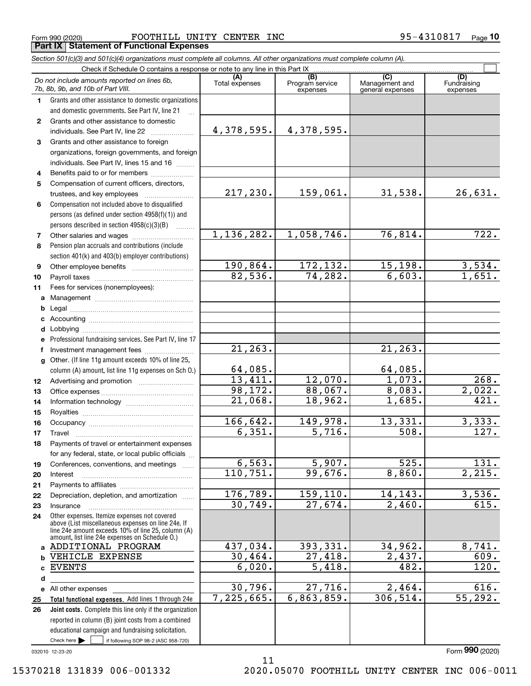$_{\rm Form}$   $_{990}$   $_{(2020)}$   $_{\rm PQe}$   $_{\rm FQOTHILL}$   $_{\rm UNITY}$   $_{\rm CENTER}$   $_{\rm INC}$   $_{\rm NTC}$   $_{\rm 95-4310817}$   $_{\rm Page}$ **Part IX Statement of Functional Expenses**

*Section 501(c)(3) and 501(c)(4) organizations must complete all columns. All other organizations must complete column (A).*

|              | Do not include amounts reported on lines 6b,<br>7b, 8b, 9b, and 10b of Part VIII.                                                                                                                          | (A)<br>Total expenses  | $\overline{(B)}$<br>Program service<br>expenses | (C)<br>Management and<br>general expenses | (D)<br>Fundraising<br>expenses |
|--------------|------------------------------------------------------------------------------------------------------------------------------------------------------------------------------------------------------------|------------------------|-------------------------------------------------|-------------------------------------------|--------------------------------|
| 1.           | Grants and other assistance to domestic organizations                                                                                                                                                      |                        |                                                 |                                           |                                |
|              | and domestic governments. See Part IV, line 21                                                                                                                                                             |                        |                                                 |                                           |                                |
| $\mathbf{2}$ | Grants and other assistance to domestic                                                                                                                                                                    |                        |                                                 |                                           |                                |
|              | individuals. See Part IV, line 22                                                                                                                                                                          | 4,378,595.             | 4,378,595.                                      |                                           |                                |
| 3            | Grants and other assistance to foreign                                                                                                                                                                     |                        |                                                 |                                           |                                |
|              | organizations, foreign governments, and foreign                                                                                                                                                            |                        |                                                 |                                           |                                |
|              | individuals. See Part IV, lines 15 and 16                                                                                                                                                                  |                        |                                                 |                                           |                                |
| 4            | Benefits paid to or for members                                                                                                                                                                            |                        |                                                 |                                           |                                |
| 5            | Compensation of current officers, directors,                                                                                                                                                               |                        |                                                 |                                           |                                |
|              |                                                                                                                                                                                                            | 217,230.               | 159,061.                                        | 31,538.                                   | 26,631.                        |
| 6            | Compensation not included above to disqualified                                                                                                                                                            |                        |                                                 |                                           |                                |
|              | persons (as defined under section 4958(f)(1)) and                                                                                                                                                          |                        |                                                 |                                           |                                |
|              | persons described in section $4958(c)(3)(B)$<br>$\sim$                                                                                                                                                     |                        |                                                 |                                           |                                |
| 7            | Other salaries and wages                                                                                                                                                                                   | 1, 136, 282.           | 1,058,746.                                      | 76,814.                                   | 722.                           |
| 8            | Pension plan accruals and contributions (include                                                                                                                                                           |                        |                                                 |                                           |                                |
|              | section 401(k) and 403(b) employer contributions)                                                                                                                                                          |                        |                                                 |                                           |                                |
| 9            |                                                                                                                                                                                                            | 190,864.               | 172,132.                                        | 15, 198.                                  | $\frac{3,534.}{1,651.}$        |
| 10           |                                                                                                                                                                                                            | 82,536.                | 74, 282.                                        | 6,603.                                    |                                |
| 11           | Fees for services (nonemployees):                                                                                                                                                                          |                        |                                                 |                                           |                                |
| a            |                                                                                                                                                                                                            |                        |                                                 |                                           |                                |
| b            |                                                                                                                                                                                                            |                        |                                                 |                                           |                                |
|              |                                                                                                                                                                                                            |                        |                                                 |                                           |                                |
| d            |                                                                                                                                                                                                            |                        |                                                 |                                           |                                |
| е            | Professional fundraising services. See Part IV, line 17                                                                                                                                                    |                        |                                                 |                                           |                                |
| f            | Investment management fees                                                                                                                                                                                 | 21, 263.               |                                                 | 21, 263.                                  |                                |
| g            | Other. (If line 11g amount exceeds 10% of line 25,                                                                                                                                                         |                        |                                                 |                                           |                                |
|              | column (A) amount, list line 11g expenses on Sch O.)                                                                                                                                                       | 64,085.                |                                                 | 64,085.                                   |                                |
| 12           |                                                                                                                                                                                                            | 13,411.                | 12,070.                                         | 1,073.                                    | 268.                           |
| 13           |                                                                                                                                                                                                            | 98,172.                | 88,067.                                         | 8,083.                                    | 2,022.                         |
| 14           |                                                                                                                                                                                                            | $\overline{21}$ , 068. | 18,962.                                         | 1,685.                                    | 421.                           |
| 15           |                                                                                                                                                                                                            |                        |                                                 |                                           |                                |
| 16           |                                                                                                                                                                                                            | 166,642.               | 149,978.                                        | 13,331.                                   | 3,333.                         |
| 17           | Travel                                                                                                                                                                                                     | 6,351.                 | 5,716.                                          | 508.                                      | 127.                           |
| 18           | Payments of travel or entertainment expenses                                                                                                                                                               |                        |                                                 |                                           |                                |
|              | for any federal, state, or local public officials                                                                                                                                                          |                        |                                                 |                                           |                                |
| 19           | Conferences, conventions, and meetings                                                                                                                                                                     | 6, 563.                | $\overline{5,907}$ .                            | 525.                                      | 131.                           |
| 20           | Interest                                                                                                                                                                                                   | 110,751.               | 99,676.                                         | 8,860.                                    | $\overline{2,215.}$            |
| 21           |                                                                                                                                                                                                            |                        |                                                 |                                           |                                |
| 22           | Depreciation, depletion, and amortization                                                                                                                                                                  | 176, 789.              | 159,110.                                        | 14, 143.                                  | 3,536.                         |
| 23           | Insurance                                                                                                                                                                                                  | 30,749.                | 27,674.                                         | 2,460.                                    | 615.                           |
| 24           | Other expenses. Itemize expenses not covered<br>above (List miscellaneous expenses on line 24e. If<br>line 24e amount exceeds 10% of line 25, column (A)<br>amount, list line 24e expenses on Schedule 0.) |                        |                                                 |                                           |                                |
|              | a ADDITIONAL PROGRAM                                                                                                                                                                                       | 437,034.               | 393,331.                                        | 34,962.                                   | 8,741.                         |
| b            | VEHICLE EXPENSE                                                                                                                                                                                            | 30,464.                | $\overline{27,418}$ .                           | 2,437.                                    | 609.                           |
| c            | <b>EVENTS</b>                                                                                                                                                                                              | 6,020.                 | $\overline{5,418}$ .                            | 482.                                      | 120.                           |
| d            |                                                                                                                                                                                                            |                        |                                                 |                                           |                                |
|              | e All other expenses                                                                                                                                                                                       | 30,796.                | 27,716.                                         | 2,464.                                    | 616.                           |
| 25           | Total functional expenses. Add lines 1 through 24e                                                                                                                                                         | 7,225,665.             | 6,863,859.                                      | 306, 514.                                 | 55, 292.                       |
| 26           | Joint costs. Complete this line only if the organization                                                                                                                                                   |                        |                                                 |                                           |                                |
|              | reported in column (B) joint costs from a combined                                                                                                                                                         |                        |                                                 |                                           |                                |
|              | educational campaign and fundraising solicitation.                                                                                                                                                         |                        |                                                 |                                           |                                |
|              | Check here $\blacktriangleright$<br>if following SOP 98-2 (ASC 958-720)                                                                                                                                    |                        |                                                 |                                           |                                |

11

032010 12-23-20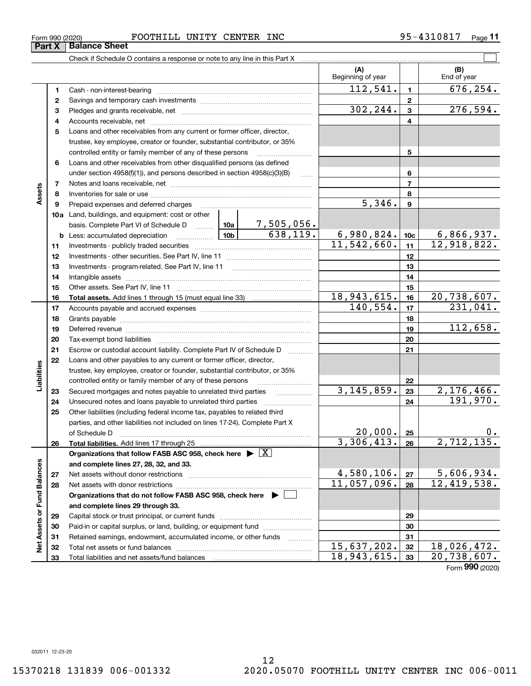**33**

Total liabilities and net assets/fund balances

**33**

18,943,615. 20,738,607.

| Form 990 (2020) |                      | FOOTHILL | UNITY | <b>CENTER</b> | <b>INC</b> | 4310817<br>$QF - A$ , | Page |
|-----------------|----------------------|----------|-------|---------------|------------|-----------------------|------|
| <b>Part X</b>   | <b>Balance Sheet</b> |          |       |               |            |                       |      |

|                             |          |                                                                                                                                                                                                                                |               |                 | (A)<br>Beginning of year |                | (B)<br>End of year               |
|-----------------------------|----------|--------------------------------------------------------------------------------------------------------------------------------------------------------------------------------------------------------------------------------|---------------|-----------------|--------------------------|----------------|----------------------------------|
|                             | 1        |                                                                                                                                                                                                                                |               |                 | 112, 541.                | $\blacksquare$ | $\overline{676}$ , 254.          |
|                             | 2        |                                                                                                                                                                                                                                |               |                 |                          | $\overline{2}$ |                                  |
|                             | з        |                                                                                                                                                                                                                                |               |                 | 302, 244.                | $\mathbf{3}$   | 276,594.                         |
|                             | 4        |                                                                                                                                                                                                                                |               |                 |                          | 4              |                                  |
|                             | 5        | Loans and other receivables from any current or former officer, director,                                                                                                                                                      |               |                 |                          |                |                                  |
|                             |          | trustee, key employee, creator or founder, substantial contributor, or 35%                                                                                                                                                     |               |                 |                          |                |                                  |
|                             |          | controlled entity or family member of any of these persons                                                                                                                                                                     |               |                 |                          | 5              |                                  |
|                             | 6        | Loans and other receivables from other disqualified persons (as defined                                                                                                                                                        |               |                 |                          |                |                                  |
|                             |          | under section $4958(f)(1)$ , and persons described in section $4958(c)(3)(B)$                                                                                                                                                  |               | 6               |                          |                |                                  |
|                             | 7        |                                                                                                                                                                                                                                |               |                 |                          | $\overline{7}$ |                                  |
| Assets                      | 8        |                                                                                                                                                                                                                                |               |                 |                          | 8              |                                  |
|                             | 9        | Prepaid expenses and deferred charges                                                                                                                                                                                          |               |                 | $\overline{5,346}$ .     | 9              |                                  |
|                             |          | 10a Land, buildings, and equipment: cost or other                                                                                                                                                                              |               |                 |                          |                |                                  |
|                             |          |                                                                                                                                                                                                                                |               |                 |                          |                |                                  |
|                             |          | <b>b</b> Less: accumulated depreciation                                                                                                                                                                                        | 6,980,824.    | 10 <sub>c</sub> | 6,866,937.               |                |                                  |
|                             | 11       |                                                                                                                                                                                                                                | 11, 542, 660. | 11              | 12,918,822.              |                |                                  |
|                             | 12       |                                                                                                                                                                                                                                |               | 12              |                          |                |                                  |
|                             | 13       |                                                                                                                                                                                                                                |               |                 | 13                       |                |                                  |
|                             | 14       |                                                                                                                                                                                                                                |               |                 | 14                       |                |                                  |
|                             | 15       |                                                                                                                                                                                                                                |               |                 |                          | 15             |                                  |
|                             | 16       |                                                                                                                                                                                                                                |               |                 | 18,943,615.              | 16             | 20,738,607.                      |
|                             | 17       |                                                                                                                                                                                                                                |               | 140, 554.       | 17                       | 231,041.       |                                  |
|                             | 18       |                                                                                                                                                                                                                                |               | 18              |                          |                |                                  |
|                             | 19       | Deferred revenue manual contracts and contracts are all the contracts and contracts are contracted and contracts are contracted and contract are contracted and contract are contracted and contract are contracted and contra |               |                 | 19                       | 112,658.       |                                  |
|                             | 20       |                                                                                                                                                                                                                                |               |                 |                          | 20             |                                  |
|                             | 21       | Escrow or custodial account liability. Complete Part IV of Schedule D                                                                                                                                                          |               | .               |                          | 21             |                                  |
|                             | 22       | Loans and other payables to any current or former officer, director,                                                                                                                                                           |               |                 |                          |                |                                  |
|                             |          | trustee, key employee, creator or founder, substantial contributor, or 35%                                                                                                                                                     |               |                 |                          |                |                                  |
| Liabilities                 |          | controlled entity or family member of any of these persons                                                                                                                                                                     |               |                 | 3, 145, 859.             | 22<br>23       | 2,176,466.                       |
|                             | 23<br>24 | Secured mortgages and notes payable to unrelated third parties<br>Unsecured notes and loans payable to unrelated third parties                                                                                                 |               |                 |                          | 24             | 191,970.                         |
|                             | 25       | Other liabilities (including federal income tax, payables to related third                                                                                                                                                     |               |                 |                          |                |                                  |
|                             |          | parties, and other liabilities not included on lines 17-24). Complete Part X                                                                                                                                                   |               |                 |                          |                |                                  |
|                             |          |                                                                                                                                                                                                                                |               |                 | 20,000.                  | 25             | 0.                               |
|                             | 26       | Total liabilities. Add lines 17 through 25                                                                                                                                                                                     |               |                 | 3,306,413.               | 26             | 2,712,135.                       |
|                             |          | Organizations that follow FASB ASC 958, check here $\blacktriangleright \boxed{X}$                                                                                                                                             |               |                 |                          |                |                                  |
|                             |          | and complete lines 27, 28, 32, and 33.                                                                                                                                                                                         |               |                 |                          |                |                                  |
|                             | 27       | Net assets without donor restrictions                                                                                                                                                                                          |               |                 | 4,580,106.               | 27             |                                  |
|                             | 28       | Net assets with donor restrictions                                                                                                                                                                                             |               |                 | 11,057,096.              | 28             | $\frac{5,606,934.}{12,419,538.}$ |
|                             |          | Organizations that do not follow FASB ASC 958, check here $\blacktriangleright$                                                                                                                                                |               |                 |                          |                |                                  |
|                             |          | and complete lines 29 through 33.                                                                                                                                                                                              |               |                 |                          |                |                                  |
|                             | 29       |                                                                                                                                                                                                                                |               |                 | 29                       |                |                                  |
|                             | 30       | Paid-in or capital surplus, or land, building, or equipment fund                                                                                                                                                               |               |                 |                          | 30             |                                  |
|                             | 31       | Retained earnings, endowment, accumulated income, or other funds                                                                                                                                                               |               |                 |                          | 31             |                                  |
| Net Assets or Fund Balances | 32       | Total net assets or fund balances                                                                                                                                                                                              |               | 15,637,202.     | 32                       | 18,026,472.    |                                  |
|                             |          |                                                                                                                                                                                                                                |               |                 |                          |                |                                  |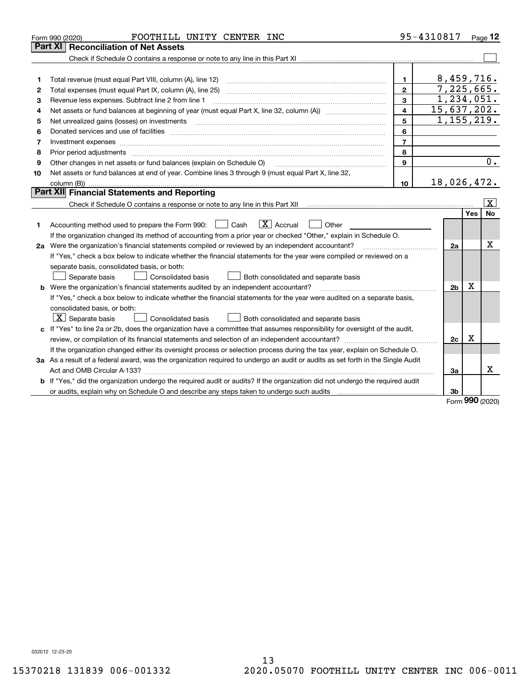|    | FOOTHILL UNITY CENTER INC<br>Form 990 (2020)                                                                                                                                                                                   |                         | 95-4310817     |     | $P_{aqe}$ 12            |
|----|--------------------------------------------------------------------------------------------------------------------------------------------------------------------------------------------------------------------------------|-------------------------|----------------|-----|-------------------------|
|    | <b>Reconciliation of Net Assets</b><br>Part XI                                                                                                                                                                                 |                         |                |     |                         |
|    |                                                                                                                                                                                                                                |                         |                |     |                         |
|    |                                                                                                                                                                                                                                |                         |                |     |                         |
| 1  | Total revenue (must equal Part VIII, column (A), line 12)                                                                                                                                                                      | 1.                      | 8,459,716.     |     |                         |
| 2  | Total expenses (must equal Part IX, column (A), line 25)                                                                                                                                                                       | $\mathfrak{p}$          | 7,225,665.     |     |                         |
| 3  | Revenue less expenses. Subtract line 2 from line 1                                                                                                                                                                             | $\overline{3}$          | 1,234,051.     |     |                         |
| 4  |                                                                                                                                                                                                                                | $\overline{\mathbf{4}}$ | 15,637,202.    |     |                         |
| 5  | Net unrealized gains (losses) on investments                                                                                                                                                                                   | 5                       | 1, 155, 219.   |     |                         |
| 6  | Donated services and use of facilities [111] matter contracts and the service of facilities [11] matter contracts and use of facilities [11] matter contracts and the service of facilities [11] matter contracts and the serv | 6                       |                |     |                         |
| 7  | Investment expenses www.communication.com/www.communication.com/www.communication.com/www.com                                                                                                                                  | $\overline{7}$          |                |     |                         |
| 8  | Prior period adjustments                                                                                                                                                                                                       | 8                       |                |     |                         |
| 9  | Other changes in net assets or fund balances (explain on Schedule O)                                                                                                                                                           | 9                       |                |     | 0.                      |
| 10 | Net assets or fund balances at end of year. Combine lines 3 through 9 (must equal Part X, line 32,                                                                                                                             |                         |                |     |                         |
|    |                                                                                                                                                                                                                                | 10                      | 18,026,472.    |     |                         |
|    | Part XII Financial Statements and Reporting                                                                                                                                                                                    |                         |                |     |                         |
|    |                                                                                                                                                                                                                                |                         |                |     | $\overline{\mathbf{X}}$ |
|    |                                                                                                                                                                                                                                |                         |                | Yes | <b>No</b>               |
| 1. | $\boxed{\mathbf{X}}$ Accrual<br>Accounting method used to prepare the Form 990: <u>June</u> Cash<br>Other                                                                                                                      |                         |                |     |                         |
|    | If the organization changed its method of accounting from a prior year or checked "Other," explain in Schedule O.                                                                                                              |                         |                |     |                         |
|    | 2a Were the organization's financial statements compiled or reviewed by an independent accountant?                                                                                                                             |                         | 2a             |     | x                       |
|    | If "Yes," check a box below to indicate whether the financial statements for the year were compiled or reviewed on a                                                                                                           |                         |                |     |                         |
|    | separate basis, consolidated basis, or both:                                                                                                                                                                                   |                         |                |     |                         |
|    | Separate basis<br>Consolidated basis<br>Both consolidated and separate basis                                                                                                                                                   |                         |                |     |                         |
|    | <b>b</b> Were the organization's financial statements audited by an independent accountant?                                                                                                                                    |                         | 2 <sub>b</sub> | X   |                         |
|    | If "Yes," check a box below to indicate whether the financial statements for the year were audited on a separate basis,                                                                                                        |                         |                |     |                         |
|    | consolidated basis, or both:                                                                                                                                                                                                   |                         |                |     |                         |
|    | $\vert$ X $\vert$ Separate basis<br>Consolidated basis<br>Both consolidated and separate basis                                                                                                                                 |                         |                |     |                         |
|    | c If "Yes" to line 2a or 2b, does the organization have a committee that assumes responsibility for oversight of the audit,                                                                                                    |                         |                |     |                         |
|    | review, or compilation of its financial statements and selection of an independent accountant?                                                                                                                                 |                         | 2c             | x   |                         |
|    | If the organization changed either its oversight process or selection process during the tax year, explain on Schedule O.                                                                                                      |                         |                |     |                         |
|    | 3a As a result of a federal award, was the organization required to undergo an audit or audits as set forth in the Single Audit                                                                                                |                         |                |     |                         |
|    |                                                                                                                                                                                                                                |                         | За             |     | x                       |
|    | b If "Yes," did the organization undergo the required audit or audits? If the organization did not undergo the required audit                                                                                                  |                         |                |     |                         |
|    |                                                                                                                                                                                                                                |                         | 3b             | nnn |                         |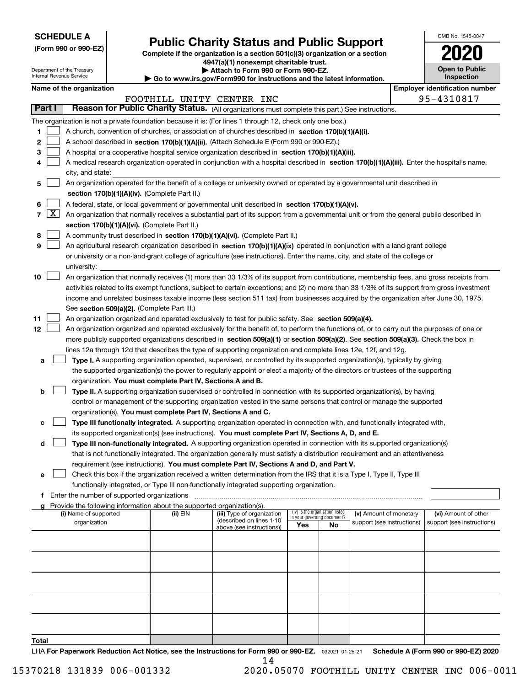| <b>SCHEDULE A</b> |
|-------------------|
|-------------------|

Department of the Treasury Internal Revenue Service

**(Form 990 or 990-EZ)**

# **Public Charity Status and Public Support**

**Complete if the organization is a section 501(c)(3) organization or a section 4947(a)(1) nonexempt charitable trust. | Attach to Form 990 or Form 990-EZ.** 

| ► Go to www.irs.gov/Form990 for instructions and the latest information. |
|--------------------------------------------------------------------------|
| <b>P</b> Allach to Form 330 or Form 330-EZ.                              |

|  | <b>Open to Public</b><br><b>Inspection</b> |  |
|--|--------------------------------------------|--|
|  |                                            |  |

OMB No. 1545-0047

**2020**

**Name of the organization Employer identification number**

|       |            |                                                                              |                                                                                                                                              |          |                                                                                                  | FOOTHILL UNITY CENTER INC                             |                                                                |    |                            |  | 95-4310817                           |  |  |  |
|-------|------------|------------------------------------------------------------------------------|----------------------------------------------------------------------------------------------------------------------------------------------|----------|--------------------------------------------------------------------------------------------------|-------------------------------------------------------|----------------------------------------------------------------|----|----------------------------|--|--------------------------------------|--|--|--|
|       | Part I     |                                                                              | Reason for Public Charity Status. (All organizations must complete this part.) See instructions.                                             |          |                                                                                                  |                                                       |                                                                |    |                            |  |                                      |  |  |  |
|       |            |                                                                              | The organization is not a private foundation because it is: (For lines 1 through 12, check only one box.)                                    |          |                                                                                                  |                                                       |                                                                |    |                            |  |                                      |  |  |  |
| 1     |            |                                                                              | A church, convention of churches, or association of churches described in section $170(b)(1)(A)(i)$ .                                        |          |                                                                                                  |                                                       |                                                                |    |                            |  |                                      |  |  |  |
| 2     |            |                                                                              | A school described in section 170(b)(1)(A)(ii). (Attach Schedule E (Form 990 or 990-EZ).)                                                    |          |                                                                                                  |                                                       |                                                                |    |                            |  |                                      |  |  |  |
| з     |            |                                                                              | A hospital or a cooperative hospital service organization described in section 170(b)(1)(A)(iii).                                            |          |                                                                                                  |                                                       |                                                                |    |                            |  |                                      |  |  |  |
| 4     |            |                                                                              | A medical research organization operated in conjunction with a hospital described in section 170(b)(1)(A)(iii). Enter the hospital's name,   |          |                                                                                                  |                                                       |                                                                |    |                            |  |                                      |  |  |  |
|       |            |                                                                              | city, and state:                                                                                                                             |          |                                                                                                  |                                                       |                                                                |    |                            |  |                                      |  |  |  |
| 5     |            |                                                                              | An organization operated for the benefit of a college or university owned or operated by a governmental unit described in                    |          |                                                                                                  |                                                       |                                                                |    |                            |  |                                      |  |  |  |
|       |            |                                                                              | section 170(b)(1)(A)(iv). (Complete Part II.)                                                                                                |          |                                                                                                  |                                                       |                                                                |    |                            |  |                                      |  |  |  |
| 6     |            |                                                                              |                                                                                                                                              |          | A federal, state, or local government or governmental unit described in section 170(b)(1)(A)(v). |                                                       |                                                                |    |                            |  |                                      |  |  |  |
|       | $7 \times$ |                                                                              | An organization that normally receives a substantial part of its support from a governmental unit or from the general public described in    |          |                                                                                                  |                                                       |                                                                |    |                            |  |                                      |  |  |  |
|       |            |                                                                              | section 170(b)(1)(A)(vi). (Complete Part II.)                                                                                                |          |                                                                                                  |                                                       |                                                                |    |                            |  |                                      |  |  |  |
| 8     |            | A community trust described in section 170(b)(1)(A)(vi). (Complete Part II.) |                                                                                                                                              |          |                                                                                                  |                                                       |                                                                |    |                            |  |                                      |  |  |  |
| 9     |            |                                                                              | An agricultural research organization described in section 170(b)(1)(A)(ix) operated in conjunction with a land-grant college                |          |                                                                                                  |                                                       |                                                                |    |                            |  |                                      |  |  |  |
|       |            |                                                                              | or university or a non-land-grant college of agriculture (see instructions). Enter the name, city, and state of the college or               |          |                                                                                                  |                                                       |                                                                |    |                            |  |                                      |  |  |  |
|       |            |                                                                              | university:                                                                                                                                  |          |                                                                                                  |                                                       |                                                                |    |                            |  |                                      |  |  |  |
| 10    |            |                                                                              | An organization that normally receives (1) more than 33 1/3% of its support from contributions, membership fees, and gross receipts from     |          |                                                                                                  |                                                       |                                                                |    |                            |  |                                      |  |  |  |
|       |            |                                                                              | activities related to its exempt functions, subject to certain exceptions; and (2) no more than 33 1/3% of its support from gross investment |          |                                                                                                  |                                                       |                                                                |    |                            |  |                                      |  |  |  |
|       |            |                                                                              | income and unrelated business taxable income (less section 511 tax) from businesses acquired by the organization after June 30, 1975.        |          |                                                                                                  |                                                       |                                                                |    |                            |  |                                      |  |  |  |
|       |            |                                                                              | See section 509(a)(2). (Complete Part III.)                                                                                                  |          |                                                                                                  |                                                       |                                                                |    |                            |  |                                      |  |  |  |
| 11    |            |                                                                              | An organization organized and operated exclusively to test for public safety. See section 509(a)(4).                                         |          |                                                                                                  |                                                       |                                                                |    |                            |  |                                      |  |  |  |
| 12    |            |                                                                              | An organization organized and operated exclusively for the benefit of, to perform the functions of, or to carry out the purposes of one or   |          |                                                                                                  |                                                       |                                                                |    |                            |  |                                      |  |  |  |
|       |            |                                                                              | more publicly supported organizations described in section 509(a)(1) or section 509(a)(2). See section 509(a)(3). Check the box in           |          |                                                                                                  |                                                       |                                                                |    |                            |  |                                      |  |  |  |
|       |            |                                                                              | lines 12a through 12d that describes the type of supporting organization and complete lines 12e, 12f, and 12g.                               |          |                                                                                                  |                                                       |                                                                |    |                            |  |                                      |  |  |  |
| а     |            |                                                                              | Type I. A supporting organization operated, supervised, or controlled by its supported organization(s), typically by giving                  |          |                                                                                                  |                                                       |                                                                |    |                            |  |                                      |  |  |  |
|       |            |                                                                              | the supported organization(s) the power to regularly appoint or elect a majority of the directors or trustees of the supporting              |          |                                                                                                  |                                                       |                                                                |    |                            |  |                                      |  |  |  |
|       |            |                                                                              | organization. You must complete Part IV, Sections A and B.                                                                                   |          |                                                                                                  |                                                       |                                                                |    |                            |  |                                      |  |  |  |
| b     |            |                                                                              | Type II. A supporting organization supervised or controlled in connection with its supported organization(s), by having                      |          |                                                                                                  |                                                       |                                                                |    |                            |  |                                      |  |  |  |
|       |            |                                                                              | control or management of the supporting organization vested in the same persons that control or manage the supported                         |          |                                                                                                  |                                                       |                                                                |    |                            |  |                                      |  |  |  |
|       |            |                                                                              | organization(s). You must complete Part IV, Sections A and C.                                                                                |          |                                                                                                  |                                                       |                                                                |    |                            |  |                                      |  |  |  |
| с     |            |                                                                              | Type III functionally integrated. A supporting organization operated in connection with, and functionally integrated with,                   |          |                                                                                                  |                                                       |                                                                |    |                            |  |                                      |  |  |  |
|       |            |                                                                              | its supported organization(s) (see instructions). You must complete Part IV, Sections A, D, and E.                                           |          |                                                                                                  |                                                       |                                                                |    |                            |  |                                      |  |  |  |
| d     |            |                                                                              | Type III non-functionally integrated. A supporting organization operated in connection with its supported organization(s)                    |          |                                                                                                  |                                                       |                                                                |    |                            |  |                                      |  |  |  |
|       |            |                                                                              | that is not functionally integrated. The organization generally must satisfy a distribution requirement and an attentiveness                 |          |                                                                                                  |                                                       |                                                                |    |                            |  |                                      |  |  |  |
|       |            |                                                                              | requirement (see instructions). You must complete Part IV, Sections A and D, and Part V.                                                     |          |                                                                                                  |                                                       |                                                                |    |                            |  |                                      |  |  |  |
| е     |            |                                                                              | Check this box if the organization received a written determination from the IRS that it is a Type I, Type II, Type III                      |          |                                                                                                  |                                                       |                                                                |    |                            |  |                                      |  |  |  |
|       |            |                                                                              | functionally integrated, or Type III non-functionally integrated supporting organization.                                                    |          |                                                                                                  |                                                       |                                                                |    |                            |  |                                      |  |  |  |
|       |            |                                                                              | Enter the number of supported organizations                                                                                                  |          |                                                                                                  |                                                       |                                                                |    |                            |  |                                      |  |  |  |
| a     |            |                                                                              | Provide the following information about the supported organization(s).                                                                       |          |                                                                                                  |                                                       |                                                                |    |                            |  |                                      |  |  |  |
|       |            |                                                                              | (i) Name of supported                                                                                                                        | (ii) EIN |                                                                                                  | (iii) Type of organization                            | (iv) Is the organization listed<br>in your governing document? |    | (v) Amount of monetary     |  | (vi) Amount of other                 |  |  |  |
|       |            |                                                                              | organization                                                                                                                                 |          |                                                                                                  | (described on lines 1-10<br>above (see instructions)) | Yes                                                            | No | support (see instructions) |  | support (see instructions)           |  |  |  |
|       |            |                                                                              |                                                                                                                                              |          |                                                                                                  |                                                       |                                                                |    |                            |  |                                      |  |  |  |
|       |            |                                                                              |                                                                                                                                              |          |                                                                                                  |                                                       |                                                                |    |                            |  |                                      |  |  |  |
|       |            |                                                                              |                                                                                                                                              |          |                                                                                                  |                                                       |                                                                |    |                            |  |                                      |  |  |  |
|       |            |                                                                              |                                                                                                                                              |          |                                                                                                  |                                                       |                                                                |    |                            |  |                                      |  |  |  |
|       |            |                                                                              |                                                                                                                                              |          |                                                                                                  |                                                       |                                                                |    |                            |  |                                      |  |  |  |
|       |            |                                                                              |                                                                                                                                              |          |                                                                                                  |                                                       |                                                                |    |                            |  |                                      |  |  |  |
|       |            |                                                                              |                                                                                                                                              |          |                                                                                                  |                                                       |                                                                |    |                            |  |                                      |  |  |  |
|       |            |                                                                              |                                                                                                                                              |          |                                                                                                  |                                                       |                                                                |    |                            |  |                                      |  |  |  |
|       |            |                                                                              |                                                                                                                                              |          |                                                                                                  |                                                       |                                                                |    |                            |  |                                      |  |  |  |
|       |            |                                                                              |                                                                                                                                              |          |                                                                                                  |                                                       |                                                                |    |                            |  |                                      |  |  |  |
| Total |            |                                                                              |                                                                                                                                              |          |                                                                                                  |                                                       |                                                                |    |                            |  |                                      |  |  |  |
|       |            |                                                                              | LHA For Paperwork Reduction Act Notice, see the Instructions for Form 990 or 990-EZ. 032021 01-25-21                                         |          |                                                                                                  |                                                       |                                                                |    |                            |  | Schedule A (Form 990 or 990-EZ) 2020 |  |  |  |

14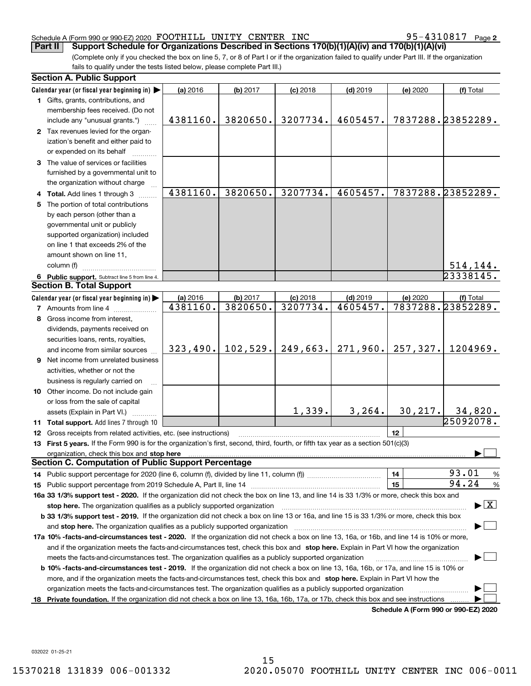#### Schedule A (Form 990 or 990-EZ) 2020 Page FOOTHILL UNITY CENTER INC 95-4310817

95-4310817 Page 2

(Complete only if you checked the box on line 5, 7, or 8 of Part I or if the organization failed to qualify under Part III. If the organization fails to qualify under the tests listed below, please complete Part III.) **Part II Support Schedule for Organizations Described in Sections 170(b)(1)(A)(iv) and 170(b)(1)(A)(vi)**

| Calendar year (or fiscal year beginning in)<br>(a) 2016<br>(b) 2017<br>$(c)$ 2018<br>$(d)$ 2019<br>(e) 2020<br>(f) Total<br>1 Gifts, grants, contributions, and<br>membership fees received. (Do not<br>7837288.23852289.<br>4381160.<br>3820650.<br>3207734.<br>4605457.<br>include any "unusual grants.")<br>2 Tax revenues levied for the organ-<br>ization's benefit and either paid to<br>or expended on its behalf<br>3 The value of services or facilities<br>furnished by a governmental unit to<br>the organization without charge<br>4381160.<br>7837288.23852289.<br>3820650.<br>3207734.<br>4605457.<br>4 Total. Add lines 1 through 3<br>5 The portion of total contributions<br>by each person (other than a<br>governmental unit or publicly<br>supported organization) included<br>on line 1 that exceeds 2% of the<br>amount shown on line 11,<br>column (f)<br><u>  514,144.</u><br>23338145.<br>6 Public support. Subtract line 5 from line 4. |               |
|-------------------------------------------------------------------------------------------------------------------------------------------------------------------------------------------------------------------------------------------------------------------------------------------------------------------------------------------------------------------------------------------------------------------------------------------------------------------------------------------------------------------------------------------------------------------------------------------------------------------------------------------------------------------------------------------------------------------------------------------------------------------------------------------------------------------------------------------------------------------------------------------------------------------------------------------------------------------|---------------|
|                                                                                                                                                                                                                                                                                                                                                                                                                                                                                                                                                                                                                                                                                                                                                                                                                                                                                                                                                                   |               |
|                                                                                                                                                                                                                                                                                                                                                                                                                                                                                                                                                                                                                                                                                                                                                                                                                                                                                                                                                                   |               |
|                                                                                                                                                                                                                                                                                                                                                                                                                                                                                                                                                                                                                                                                                                                                                                                                                                                                                                                                                                   |               |
|                                                                                                                                                                                                                                                                                                                                                                                                                                                                                                                                                                                                                                                                                                                                                                                                                                                                                                                                                                   |               |
|                                                                                                                                                                                                                                                                                                                                                                                                                                                                                                                                                                                                                                                                                                                                                                                                                                                                                                                                                                   |               |
|                                                                                                                                                                                                                                                                                                                                                                                                                                                                                                                                                                                                                                                                                                                                                                                                                                                                                                                                                                   |               |
|                                                                                                                                                                                                                                                                                                                                                                                                                                                                                                                                                                                                                                                                                                                                                                                                                                                                                                                                                                   |               |
|                                                                                                                                                                                                                                                                                                                                                                                                                                                                                                                                                                                                                                                                                                                                                                                                                                                                                                                                                                   |               |
|                                                                                                                                                                                                                                                                                                                                                                                                                                                                                                                                                                                                                                                                                                                                                                                                                                                                                                                                                                   |               |
|                                                                                                                                                                                                                                                                                                                                                                                                                                                                                                                                                                                                                                                                                                                                                                                                                                                                                                                                                                   |               |
|                                                                                                                                                                                                                                                                                                                                                                                                                                                                                                                                                                                                                                                                                                                                                                                                                                                                                                                                                                   |               |
|                                                                                                                                                                                                                                                                                                                                                                                                                                                                                                                                                                                                                                                                                                                                                                                                                                                                                                                                                                   |               |
|                                                                                                                                                                                                                                                                                                                                                                                                                                                                                                                                                                                                                                                                                                                                                                                                                                                                                                                                                                   |               |
|                                                                                                                                                                                                                                                                                                                                                                                                                                                                                                                                                                                                                                                                                                                                                                                                                                                                                                                                                                   |               |
|                                                                                                                                                                                                                                                                                                                                                                                                                                                                                                                                                                                                                                                                                                                                                                                                                                                                                                                                                                   |               |
|                                                                                                                                                                                                                                                                                                                                                                                                                                                                                                                                                                                                                                                                                                                                                                                                                                                                                                                                                                   |               |
|                                                                                                                                                                                                                                                                                                                                                                                                                                                                                                                                                                                                                                                                                                                                                                                                                                                                                                                                                                   |               |
|                                                                                                                                                                                                                                                                                                                                                                                                                                                                                                                                                                                                                                                                                                                                                                                                                                                                                                                                                                   |               |
|                                                                                                                                                                                                                                                                                                                                                                                                                                                                                                                                                                                                                                                                                                                                                                                                                                                                                                                                                                   |               |
| <b>Section B. Total Support</b>                                                                                                                                                                                                                                                                                                                                                                                                                                                                                                                                                                                                                                                                                                                                                                                                                                                                                                                                   |               |
| Calendar year (or fiscal year beginning in)<br>(a) 2016<br>$(c)$ 2018<br>$(d)$ 2019<br>(e) 2020<br>(b) 2017<br>(f) Total                                                                                                                                                                                                                                                                                                                                                                                                                                                                                                                                                                                                                                                                                                                                                                                                                                          |               |
| 7837288.23852289.<br>4381160.<br>3820650.<br>3207734.<br>4605457.<br><b>7</b> Amounts from line 4                                                                                                                                                                                                                                                                                                                                                                                                                                                                                                                                                                                                                                                                                                                                                                                                                                                                 |               |
| 8 Gross income from interest,                                                                                                                                                                                                                                                                                                                                                                                                                                                                                                                                                                                                                                                                                                                                                                                                                                                                                                                                     |               |
| dividends, payments received on                                                                                                                                                                                                                                                                                                                                                                                                                                                                                                                                                                                                                                                                                                                                                                                                                                                                                                                                   |               |
| securities loans, rents, royalties,                                                                                                                                                                                                                                                                                                                                                                                                                                                                                                                                                                                                                                                                                                                                                                                                                                                                                                                               |               |
| 102,529.<br>249,663.<br>271,960.<br>257,327.<br>323,490.<br>1204969.<br>and income from similar sources                                                                                                                                                                                                                                                                                                                                                                                                                                                                                                                                                                                                                                                                                                                                                                                                                                                           |               |
| 9 Net income from unrelated business                                                                                                                                                                                                                                                                                                                                                                                                                                                                                                                                                                                                                                                                                                                                                                                                                                                                                                                              |               |
| activities, whether or not the                                                                                                                                                                                                                                                                                                                                                                                                                                                                                                                                                                                                                                                                                                                                                                                                                                                                                                                                    |               |
| business is regularly carried on                                                                                                                                                                                                                                                                                                                                                                                                                                                                                                                                                                                                                                                                                                                                                                                                                                                                                                                                  |               |
| 10 Other income. Do not include gain                                                                                                                                                                                                                                                                                                                                                                                                                                                                                                                                                                                                                                                                                                                                                                                                                                                                                                                              |               |
| or loss from the sale of capital                                                                                                                                                                                                                                                                                                                                                                                                                                                                                                                                                                                                                                                                                                                                                                                                                                                                                                                                  |               |
| 30, 217.<br>1,339.<br>3, 264.<br>34,820.                                                                                                                                                                                                                                                                                                                                                                                                                                                                                                                                                                                                                                                                                                                                                                                                                                                                                                                          |               |
| assets (Explain in Part VI.)<br>25092078.<br>11 Total support. Add lines 7 through 10                                                                                                                                                                                                                                                                                                                                                                                                                                                                                                                                                                                                                                                                                                                                                                                                                                                                             |               |
| 12<br>12 Gross receipts from related activities, etc. (see instructions)                                                                                                                                                                                                                                                                                                                                                                                                                                                                                                                                                                                                                                                                                                                                                                                                                                                                                          |               |
| 13 First 5 years. If the Form 990 is for the organization's first, second, third, fourth, or fifth tax year as a section 501(c)(3)                                                                                                                                                                                                                                                                                                                                                                                                                                                                                                                                                                                                                                                                                                                                                                                                                                |               |
|                                                                                                                                                                                                                                                                                                                                                                                                                                                                                                                                                                                                                                                                                                                                                                                                                                                                                                                                                                   |               |
| organization, check this box and stop here manufactured and according to the state of the state of the state of the state of the state of the state of the state of the state of the state of the state of the state of the st<br><b>Section C. Computation of Public Support Percentage</b>                                                                                                                                                                                                                                                                                                                                                                                                                                                                                                                                                                                                                                                                      |               |
| 93.01<br>14                                                                                                                                                                                                                                                                                                                                                                                                                                                                                                                                                                                                                                                                                                                                                                                                                                                                                                                                                       |               |
| 94.24<br>15                                                                                                                                                                                                                                                                                                                                                                                                                                                                                                                                                                                                                                                                                                                                                                                                                                                                                                                                                       | $\frac{9}{6}$ |
|                                                                                                                                                                                                                                                                                                                                                                                                                                                                                                                                                                                                                                                                                                                                                                                                                                                                                                                                                                   | %             |
| 16a 33 1/3% support test - 2020. If the organization did not check the box on line 13, and line 14 is 33 1/3% or more, check this box and<br>$\blacktriangleright$ $\vert$ X $\vert$                                                                                                                                                                                                                                                                                                                                                                                                                                                                                                                                                                                                                                                                                                                                                                              |               |
| stop here. The organization qualifies as a publicly supported organization                                                                                                                                                                                                                                                                                                                                                                                                                                                                                                                                                                                                                                                                                                                                                                                                                                                                                        |               |
| b 33 1/3% support test - 2019. If the organization did not check a box on line 13 or 16a, and line 15 is 33 1/3% or more, check this box                                                                                                                                                                                                                                                                                                                                                                                                                                                                                                                                                                                                                                                                                                                                                                                                                          |               |
| and stop here. The organization qualifies as a publicly supported organization                                                                                                                                                                                                                                                                                                                                                                                                                                                                                                                                                                                                                                                                                                                                                                                                                                                                                    |               |
| 17a 10% -facts-and-circumstances test - 2020. If the organization did not check a box on line 13, 16a, or 16b, and line 14 is 10% or more,                                                                                                                                                                                                                                                                                                                                                                                                                                                                                                                                                                                                                                                                                                                                                                                                                        |               |
| and if the organization meets the facts-and-circumstances test, check this box and stop here. Explain in Part VI how the organization                                                                                                                                                                                                                                                                                                                                                                                                                                                                                                                                                                                                                                                                                                                                                                                                                             |               |
| meets the facts-and-circumstances test. The organization qualifies as a publicly supported organization                                                                                                                                                                                                                                                                                                                                                                                                                                                                                                                                                                                                                                                                                                                                                                                                                                                           |               |
| <b>b 10% -facts-and-circumstances test - 2019.</b> If the organization did not check a box on line 13, 16a, 16b, or 17a, and line 15 is 10% or                                                                                                                                                                                                                                                                                                                                                                                                                                                                                                                                                                                                                                                                                                                                                                                                                    |               |
| more, and if the organization meets the facts-and-circumstances test, check this box and stop here. Explain in Part VI how the                                                                                                                                                                                                                                                                                                                                                                                                                                                                                                                                                                                                                                                                                                                                                                                                                                    |               |
| organization meets the facts-and-circumstances test. The organization qualifies as a publicly supported organization                                                                                                                                                                                                                                                                                                                                                                                                                                                                                                                                                                                                                                                                                                                                                                                                                                              |               |
| Private foundation. If the organization did not check a box on line 13, 16a, 16b, 17a, or 17b, check this box and see instructions<br>18<br>Schedule A (Form 990 or 990-F7) 2020                                                                                                                                                                                                                                                                                                                                                                                                                                                                                                                                                                                                                                                                                                                                                                                  |               |

**Schedule A (Form 990 or 990-EZ) 2020**

032022 01-25-21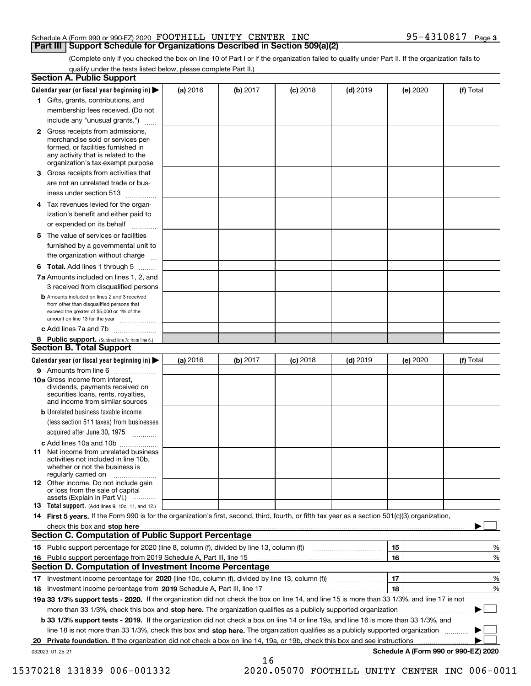### Schedule A (Form 990 or 990-EZ) 2020 Page FOOTHILL UNITY CENTER INC 95-4310817

(Complete only if you checked the box on line 10 of Part I or if the organization failed to qualify under Part II. If the organization fails to qualify under the tests listed below, please complete Part II.)

|    | <b>Section A. Public Support</b>                                                                                                                                                                                               |          |          |                 |            |          |                                      |
|----|--------------------------------------------------------------------------------------------------------------------------------------------------------------------------------------------------------------------------------|----------|----------|-----------------|------------|----------|--------------------------------------|
|    | Calendar year (or fiscal year beginning in) $\blacktriangleright$                                                                                                                                                              | (a) 2016 | (b) 2017 | <b>(c)</b> 2018 | $(d)$ 2019 | (e) 2020 | (f) Total                            |
|    | 1 Gifts, grants, contributions, and                                                                                                                                                                                            |          |          |                 |            |          |                                      |
|    | membership fees received. (Do not                                                                                                                                                                                              |          |          |                 |            |          |                                      |
|    | include any "unusual grants.")                                                                                                                                                                                                 |          |          |                 |            |          |                                      |
|    | <b>2</b> Gross receipts from admissions,<br>merchandise sold or services per-<br>formed, or facilities furnished in<br>any activity that is related to the<br>organization's tax-exempt purpose                                |          |          |                 |            |          |                                      |
|    | 3 Gross receipts from activities that                                                                                                                                                                                          |          |          |                 |            |          |                                      |
|    | are not an unrelated trade or bus-                                                                                                                                                                                             |          |          |                 |            |          |                                      |
|    | iness under section 513                                                                                                                                                                                                        |          |          |                 |            |          |                                      |
|    | 4 Tax revenues levied for the organ-                                                                                                                                                                                           |          |          |                 |            |          |                                      |
|    | ization's benefit and either paid to                                                                                                                                                                                           |          |          |                 |            |          |                                      |
|    | or expended on its behalf<br>.                                                                                                                                                                                                 |          |          |                 |            |          |                                      |
|    | 5 The value of services or facilities<br>furnished by a governmental unit to                                                                                                                                                   |          |          |                 |            |          |                                      |
|    | the organization without charge                                                                                                                                                                                                |          |          |                 |            |          |                                      |
|    | <b>6 Total.</b> Add lines 1 through 5                                                                                                                                                                                          |          |          |                 |            |          |                                      |
|    | 7a Amounts included on lines 1, 2, and<br>3 received from disqualified persons                                                                                                                                                 |          |          |                 |            |          |                                      |
|    | <b>b</b> Amounts included on lines 2 and 3 received<br>from other than disqualified persons that<br>exceed the greater of \$5,000 or 1% of the<br>amount on line 13 for the year                                               |          |          |                 |            |          |                                      |
|    | c Add lines 7a and 7b                                                                                                                                                                                                          |          |          |                 |            |          |                                      |
|    | 8 Public support. (Subtract line 7c from line 6.)<br><b>Section B. Total Support</b>                                                                                                                                           |          |          |                 |            |          |                                      |
|    | Calendar year (or fiscal year beginning in)                                                                                                                                                                                    | (a) 2016 | (b) 2017 | <b>(c)</b> 2018 | $(d)$ 2019 | (e) 2020 | (f) Total                            |
|    | 9 Amounts from line 6                                                                                                                                                                                                          |          |          |                 |            |          |                                      |
|    | <b>10a</b> Gross income from interest,<br>dividends, payments received on<br>securities loans, rents, royalties,<br>and income from similar sources                                                                            |          |          |                 |            |          |                                      |
|    | <b>b</b> Unrelated business taxable income                                                                                                                                                                                     |          |          |                 |            |          |                                      |
|    | (less section 511 taxes) from businesses                                                                                                                                                                                       |          |          |                 |            |          |                                      |
|    | acquired after June 30, 1975                                                                                                                                                                                                   |          |          |                 |            |          |                                      |
|    | c Add lines 10a and 10b                                                                                                                                                                                                        |          |          |                 |            |          |                                      |
|    | 11 Net income from unrelated business<br>activities not included in line 10b,<br>whether or not the business is<br>regularly carried on                                                                                        |          |          |                 |            |          |                                      |
|    | <b>12</b> Other income. Do not include gain<br>or loss from the sale of capital<br>assets (Explain in Part VI.)                                                                                                                |          |          |                 |            |          |                                      |
|    | 13 Total support. (Add lines 9, 10c, 11, and 12.)                                                                                                                                                                              |          |          |                 |            |          |                                      |
|    | 14 First 5 years. If the Form 990 is for the organization's first, second, third, fourth, or fifth tax year as a section 501(c)(3) organization,                                                                               |          |          |                 |            |          |                                      |
|    | check this box and stop here www.altamana.com/management/community/community/community/community/community/community/community/community/community/community/community/community/community/community/community/community/commu |          |          |                 |            |          |                                      |
|    | <b>Section C. Computation of Public Support Percentage</b>                                                                                                                                                                     |          |          |                 |            |          |                                      |
|    |                                                                                                                                                                                                                                |          |          |                 |            | 15       | %                                    |
|    | 16 Public support percentage from 2019 Schedule A, Part III, line 15                                                                                                                                                           |          |          |                 |            | 16       | $\%$                                 |
|    | <b>Section D. Computation of Investment Income Percentage</b>                                                                                                                                                                  |          |          |                 |            |          |                                      |
| 17 | Investment income percentage for 2020 (line 10c, column (f), divided by line 13, column (f))                                                                                                                                   |          |          |                 |            | 17       | $\%$                                 |
| 18 | Investment income percentage from 2019 Schedule A, Part III, line 17                                                                                                                                                           |          |          |                 |            | 18       | %                                    |
|    | 19a 33 1/3% support tests - 2020. If the organization did not check the box on line 14, and line 15 is more than 33 1/3%, and line 17 is not                                                                                   |          |          |                 |            |          |                                      |
|    | more than 33 1/3%, check this box and stop here. The organization qualifies as a publicly supported organization                                                                                                               |          |          |                 |            |          | ▶                                    |
|    | b 33 1/3% support tests - 2019. If the organization did not check a box on line 14 or line 19a, and line 16 is more than 33 1/3%, and                                                                                          |          |          |                 |            |          |                                      |
|    | line 18 is not more than 33 1/3%, check this box and stop here. The organization qualifies as a publicly supported organization                                                                                                |          |          |                 |            |          |                                      |
| 20 | Private foundation. If the organization did not check a box on line 14, 19a, or 19b, check this box and see instructions                                                                                                       |          |          |                 |            |          |                                      |
|    | 032023 01-25-21                                                                                                                                                                                                                |          |          |                 |            |          | Schedule A (Form 990 or 990-EZ) 2020 |
|    |                                                                                                                                                                                                                                |          | 16       |                 |            |          |                                      |

15370218 131839 006-001332 2020.05070 FOOTHILL UNITY CENTER INC 006-0011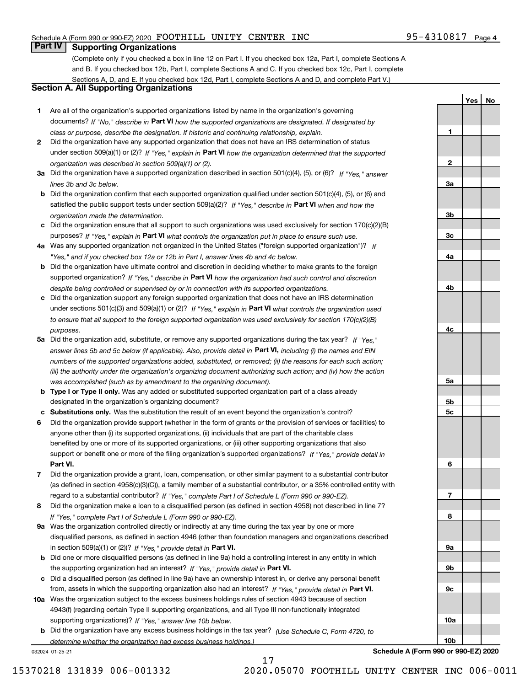**1**

**2**

**3a**

**3b**

**3c**

**4a**

**4b**

**4c**

**5a**

**5b5c**

**6**

**7**

**8**

**9a**

**9b**

**9c**

**10a**

**10b**

**YesNo**

# **Part IV Supporting Organizations**

(Complete only if you checked a box in line 12 on Part I. If you checked box 12a, Part I, complete Sections A and B. If you checked box 12b, Part I, complete Sections A and C. If you checked box 12c, Part I, complete Sections A, D, and E. If you checked box 12d, Part I, complete Sections A and D, and complete Part V.)

#### **Section A. All Supporting Organizations**

- **1** Are all of the organization's supported organizations listed by name in the organization's governing documents? If "No," describe in **Part VI** how the supported organizations are designated. If designated by *class or purpose, describe the designation. If historic and continuing relationship, explain.*
- **2** Did the organization have any supported organization that does not have an IRS determination of status under section 509(a)(1) or (2)? If "Yes," explain in Part VI how the organization determined that the supported *organization was described in section 509(a)(1) or (2).*
- **3a** Did the organization have a supported organization described in section 501(c)(4), (5), or (6)? If "Yes," answer *lines 3b and 3c below.*
- **b** Did the organization confirm that each supported organization qualified under section 501(c)(4), (5), or (6) and satisfied the public support tests under section 509(a)(2)? If "Yes," describe in **Part VI** when and how the *organization made the determination.*
- **c**Did the organization ensure that all support to such organizations was used exclusively for section 170(c)(2)(B) purposes? If "Yes," explain in **Part VI** what controls the organization put in place to ensure such use.
- **4a***If* Was any supported organization not organized in the United States ("foreign supported organization")? *"Yes," and if you checked box 12a or 12b in Part I, answer lines 4b and 4c below.*
- **b** Did the organization have ultimate control and discretion in deciding whether to make grants to the foreign supported organization? If "Yes," describe in **Part VI** how the organization had such control and discretion *despite being controlled or supervised by or in connection with its supported organizations.*
- **c** Did the organization support any foreign supported organization that does not have an IRS determination under sections 501(c)(3) and 509(a)(1) or (2)? If "Yes," explain in **Part VI** what controls the organization used *to ensure that all support to the foreign supported organization was used exclusively for section 170(c)(2)(B) purposes.*
- **5a** Did the organization add, substitute, or remove any supported organizations during the tax year? If "Yes," answer lines 5b and 5c below (if applicable). Also, provide detail in **Part VI,** including (i) the names and EIN *numbers of the supported organizations added, substituted, or removed; (ii) the reasons for each such action; (iii) the authority under the organization's organizing document authorizing such action; and (iv) how the action was accomplished (such as by amendment to the organizing document).*
- **b** Type I or Type II only. Was any added or substituted supported organization part of a class already designated in the organization's organizing document?
- **cSubstitutions only.**  Was the substitution the result of an event beyond the organization's control?
- **6** Did the organization provide support (whether in the form of grants or the provision of services or facilities) to **Part VI.** *If "Yes," provide detail in* support or benefit one or more of the filing organization's supported organizations? anyone other than (i) its supported organizations, (ii) individuals that are part of the charitable class benefited by one or more of its supported organizations, or (iii) other supporting organizations that also
- **7**Did the organization provide a grant, loan, compensation, or other similar payment to a substantial contributor *If "Yes," complete Part I of Schedule L (Form 990 or 990-EZ).* regard to a substantial contributor? (as defined in section 4958(c)(3)(C)), a family member of a substantial contributor, or a 35% controlled entity with
- **8** Did the organization make a loan to a disqualified person (as defined in section 4958) not described in line 7? *If "Yes," complete Part I of Schedule L (Form 990 or 990-EZ).*
- **9a** Was the organization controlled directly or indirectly at any time during the tax year by one or more in section 509(a)(1) or (2))? If "Yes," *provide detail in* <code>Part VI.</code> disqualified persons, as defined in section 4946 (other than foundation managers and organizations described
- **b** Did one or more disqualified persons (as defined in line 9a) hold a controlling interest in any entity in which the supporting organization had an interest? If "Yes," provide detail in P**art VI**.
- **c**Did a disqualified person (as defined in line 9a) have an ownership interest in, or derive any personal benefit from, assets in which the supporting organization also had an interest? If "Yes," provide detail in P**art VI.**
- **10a** Was the organization subject to the excess business holdings rules of section 4943 because of section supporting organizations)? If "Yes," answer line 10b below. 4943(f) (regarding certain Type II supporting organizations, and all Type III non-functionally integrated
- **b** Did the organization have any excess business holdings in the tax year? (Use Schedule C, Form 4720, to *determine whether the organization had excess business holdings.)*

17

032024 01-25-21

**Schedule A (Form 990 or 990-EZ) 2020**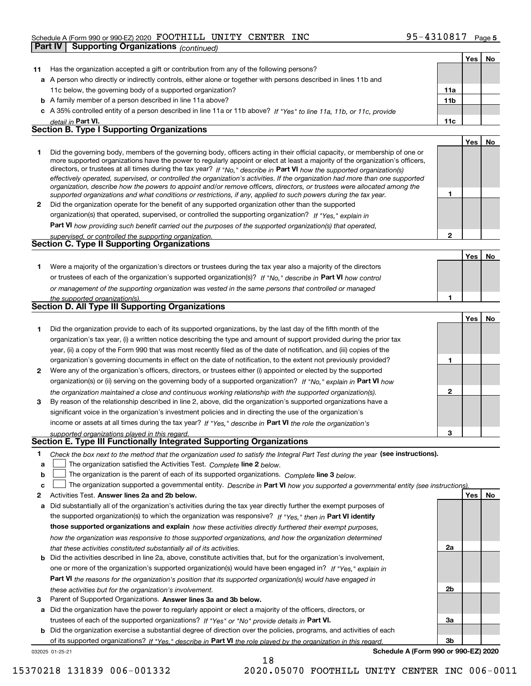#### Schedule A (Form 990 or 990-EZ) 2020 Page FOOTHILL UNITY CENTER INC 95-4310817

|              | Part IV   Supporting Organizations (continued)                                                                                                                                                                                                                                                                                                                                                                                                                                                                                                                                                                                                       |                 |     |    |
|--------------|------------------------------------------------------------------------------------------------------------------------------------------------------------------------------------------------------------------------------------------------------------------------------------------------------------------------------------------------------------------------------------------------------------------------------------------------------------------------------------------------------------------------------------------------------------------------------------------------------------------------------------------------------|-----------------|-----|----|
|              |                                                                                                                                                                                                                                                                                                                                                                                                                                                                                                                                                                                                                                                      |                 | Yes | No |
| 11           | Has the organization accepted a gift or contribution from any of the following persons?                                                                                                                                                                                                                                                                                                                                                                                                                                                                                                                                                              |                 |     |    |
| а            | A person who directly or indirectly controls, either alone or together with persons described in lines 11b and                                                                                                                                                                                                                                                                                                                                                                                                                                                                                                                                       |                 |     |    |
|              | 11c below, the governing body of a supported organization?                                                                                                                                                                                                                                                                                                                                                                                                                                                                                                                                                                                           | 11a             |     |    |
|              | <b>b</b> A family member of a person described in line 11a above?                                                                                                                                                                                                                                                                                                                                                                                                                                                                                                                                                                                    | 11 <sub>b</sub> |     |    |
|              | c A 35% controlled entity of a person described in line 11a or 11b above? If "Yes" to line 11a, 11b, or 11c, provide                                                                                                                                                                                                                                                                                                                                                                                                                                                                                                                                 |                 |     |    |
|              | detail in Part VI.                                                                                                                                                                                                                                                                                                                                                                                                                                                                                                                                                                                                                                   | 11c             |     |    |
|              | <b>Section B. Type I Supporting Organizations</b>                                                                                                                                                                                                                                                                                                                                                                                                                                                                                                                                                                                                    |                 |     |    |
|              |                                                                                                                                                                                                                                                                                                                                                                                                                                                                                                                                                                                                                                                      |                 | Yes | No |
| 1            | Did the governing body, members of the governing body, officers acting in their official capacity, or membership of one or<br>more supported organizations have the power to regularly appoint or elect at least a majority of the organization's officers,<br>directors, or trustees at all times during the tax year? If "No," describe in Part VI how the supported organization(s)<br>effectively operated, supervised, or controlled the organization's activities. If the organization had more than one supported<br>organization, describe how the powers to appoint and/or remove officers, directors, or trustees were allocated among the |                 |     |    |
|              | supported organizations and what conditions or restrictions, if any, applied to such powers during the tax year.                                                                                                                                                                                                                                                                                                                                                                                                                                                                                                                                     | 1               |     |    |
| $\mathbf{2}$ | Did the organization operate for the benefit of any supported organization other than the supported                                                                                                                                                                                                                                                                                                                                                                                                                                                                                                                                                  |                 |     |    |
|              | organization(s) that operated, supervised, or controlled the supporting organization? If "Yes," explain in                                                                                                                                                                                                                                                                                                                                                                                                                                                                                                                                           |                 |     |    |
|              | Part VI how providing such benefit carried out the purposes of the supported organization(s) that operated,                                                                                                                                                                                                                                                                                                                                                                                                                                                                                                                                          |                 |     |    |
|              | supervised, or controlled the supporting organization.<br>Section C. Type II Supporting Organizations                                                                                                                                                                                                                                                                                                                                                                                                                                                                                                                                                | $\mathbf{2}$    |     |    |
|              |                                                                                                                                                                                                                                                                                                                                                                                                                                                                                                                                                                                                                                                      |                 |     |    |
|              |                                                                                                                                                                                                                                                                                                                                                                                                                                                                                                                                                                                                                                                      |                 | Yes | No |
| 1.           | Were a majority of the organization's directors or trustees during the tax year also a majority of the directors                                                                                                                                                                                                                                                                                                                                                                                                                                                                                                                                     |                 |     |    |
|              | or trustees of each of the organization's supported organization(s)? If "No," describe in Part VI how control                                                                                                                                                                                                                                                                                                                                                                                                                                                                                                                                        |                 |     |    |
|              | or management of the supporting organization was vested in the same persons that controlled or managed                                                                                                                                                                                                                                                                                                                                                                                                                                                                                                                                               |                 |     |    |
|              | the supported organization(s).<br>Section D. All Type III Supporting Organizations                                                                                                                                                                                                                                                                                                                                                                                                                                                                                                                                                                   | 1               |     |    |
|              |                                                                                                                                                                                                                                                                                                                                                                                                                                                                                                                                                                                                                                                      |                 |     |    |
|              |                                                                                                                                                                                                                                                                                                                                                                                                                                                                                                                                                                                                                                                      |                 | Yes | No |
| 1            | Did the organization provide to each of its supported organizations, by the last day of the fifth month of the                                                                                                                                                                                                                                                                                                                                                                                                                                                                                                                                       |                 |     |    |
|              | organization's tax year, (i) a written notice describing the type and amount of support provided during the prior tax<br>year, (ii) a copy of the Form 990 that was most recently filed as of the date of notification, and (iii) copies of the                                                                                                                                                                                                                                                                                                                                                                                                      |                 |     |    |
|              | organization's governing documents in effect on the date of notification, to the extent not previously provided?                                                                                                                                                                                                                                                                                                                                                                                                                                                                                                                                     | 1               |     |    |
| 2            | Were any of the organization's officers, directors, or trustees either (i) appointed or elected by the supported                                                                                                                                                                                                                                                                                                                                                                                                                                                                                                                                     |                 |     |    |
|              | organization(s) or (ii) serving on the governing body of a supported organization? If "No," explain in Part VI how                                                                                                                                                                                                                                                                                                                                                                                                                                                                                                                                   |                 |     |    |
|              | the organization maintained a close and continuous working relationship with the supported organization(s).                                                                                                                                                                                                                                                                                                                                                                                                                                                                                                                                          | $\mathbf{2}$    |     |    |
| 3            | By reason of the relationship described in line 2, above, did the organization's supported organizations have a                                                                                                                                                                                                                                                                                                                                                                                                                                                                                                                                      |                 |     |    |
|              | significant voice in the organization's investment policies and in directing the use of the organization's                                                                                                                                                                                                                                                                                                                                                                                                                                                                                                                                           |                 |     |    |
|              | income or assets at all times during the tax year? If "Yes," describe in Part VI the role the organization's                                                                                                                                                                                                                                                                                                                                                                                                                                                                                                                                         |                 |     |    |
|              | supported organizations played in this regard.                                                                                                                                                                                                                                                                                                                                                                                                                                                                                                                                                                                                       | 3               |     |    |
|              | Section E. Type III Functionally Integrated Supporting Organizations                                                                                                                                                                                                                                                                                                                                                                                                                                                                                                                                                                                 |                 |     |    |
| 1            | Check the box next to the method that the organization used to satisfy the Integral Part Test during the year (see instructions).                                                                                                                                                                                                                                                                                                                                                                                                                                                                                                                    |                 |     |    |
| a            | The organization satisfied the Activities Test. Complete line 2 below.                                                                                                                                                                                                                                                                                                                                                                                                                                                                                                                                                                               |                 |     |    |
| b            | The organization is the parent of each of its supported organizations. Complete line 3 below.                                                                                                                                                                                                                                                                                                                                                                                                                                                                                                                                                        |                 |     |    |
| c            | The organization supported a governmental entity. Describe in Part VI how you supported a governmental entity (see instructions)                                                                                                                                                                                                                                                                                                                                                                                                                                                                                                                     |                 |     |    |
| 2            | Activities Test. Answer lines 2a and 2b below.                                                                                                                                                                                                                                                                                                                                                                                                                                                                                                                                                                                                       |                 | Yes | No |
| а            | Did substantially all of the organization's activities during the tax year directly further the exempt purposes of                                                                                                                                                                                                                                                                                                                                                                                                                                                                                                                                   |                 |     |    |
|              | the supported organization(s) to which the organization was responsive? If "Yes," then in Part VI identify                                                                                                                                                                                                                                                                                                                                                                                                                                                                                                                                           |                 |     |    |
|              | those supported organizations and explain how these activities directly furthered their exempt purposes,                                                                                                                                                                                                                                                                                                                                                                                                                                                                                                                                             |                 |     |    |
|              | how the organization was responsive to those supported organizations, and how the organization determined                                                                                                                                                                                                                                                                                                                                                                                                                                                                                                                                            |                 |     |    |
|              | that these activities constituted substantially all of its activities.                                                                                                                                                                                                                                                                                                                                                                                                                                                                                                                                                                               | 2a              |     |    |
| b            | Did the activities described in line 2a, above, constitute activities that, but for the organization's involvement,                                                                                                                                                                                                                                                                                                                                                                                                                                                                                                                                  |                 |     |    |
|              | one or more of the organization's supported organization(s) would have been engaged in? If "Yes," explain in                                                                                                                                                                                                                                                                                                                                                                                                                                                                                                                                         |                 |     |    |
|              | Part VI the reasons for the organization's position that its supported organization(s) would have engaged in                                                                                                                                                                                                                                                                                                                                                                                                                                                                                                                                         | 2b              |     |    |
|              | these activities but for the organization's involvement.                                                                                                                                                                                                                                                                                                                                                                                                                                                                                                                                                                                             |                 |     |    |

**3** Parent of Supported Organizations. Answer lines 3a and 3b below.

**a** Did the organization have the power to regularly appoint or elect a majority of the officers, directors, or trustees of each of the supported organizations? If "Yes" or "No" provide details in P**art VI.** 

032025 01-25-21 **b** Did the organization exercise a substantial degree of direction over the policies, programs, and activities of each of its supported organizations? If "Yes," describe in Part VI the role played by the organization in this regard.

18

**3a**

**3b**

15370218 131839 006-001332 2020.05070 FOOTHILL UNITY CENTER INC 006-0011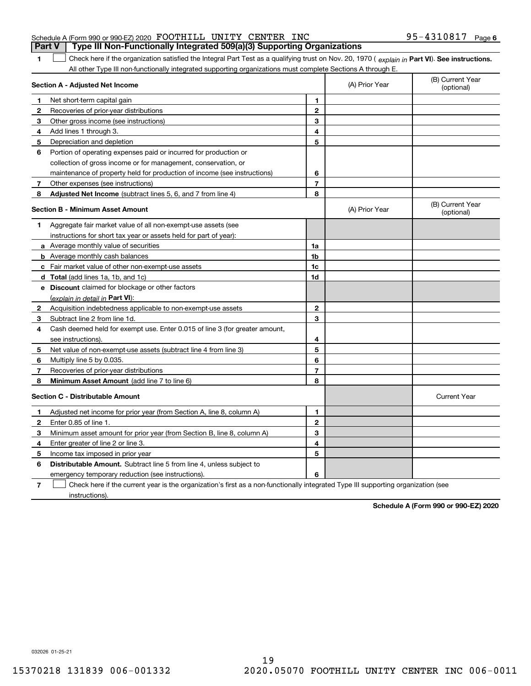| <b>Part V</b> Type III Non-Functionally Integrated 509(a)(3) Supporting Organizations |  |  |                   |  |
|---------------------------------------------------------------------------------------|--|--|-------------------|--|
| Schedule A (Form 990 or 990-EZ) 2020 FOOTHILL UNITY CENTER INC                        |  |  | 95-4310817 Page 6 |  |

1 Check here if the organization satisfied the Integral Part Test as a qualifying trust on Nov. 20, 1970 (explain in Part VI). See instructions. All other Type III non-functionally integrated supporting organizations must complete Sections A through E.

|   | Section A - Adjusted Net Income                                                                                                   | (A) Prior Year | (B) Current Year<br>(optional) |                                |
|---|-----------------------------------------------------------------------------------------------------------------------------------|----------------|--------------------------------|--------------------------------|
|   | Net short-term capital gain                                                                                                       | 1              |                                |                                |
| 2 | Recoveries of prior-year distributions                                                                                            | $\overline{2}$ |                                |                                |
| З | Other gross income (see instructions)                                                                                             | 3              |                                |                                |
| 4 | Add lines 1 through 3.                                                                                                            | 4              |                                |                                |
| 5 | Depreciation and depletion                                                                                                        | 5              |                                |                                |
| 6 | Portion of operating expenses paid or incurred for production or                                                                  |                |                                |                                |
|   | collection of gross income or for management, conservation, or                                                                    |                |                                |                                |
|   | maintenance of property held for production of income (see instructions)                                                          | 6              |                                |                                |
| 7 | Other expenses (see instructions)                                                                                                 | $\overline{7}$ |                                |                                |
| 8 | Adjusted Net Income (subtract lines 5, 6, and 7 from line 4)                                                                      | 8              |                                |                                |
|   | <b>Section B - Minimum Asset Amount</b>                                                                                           |                | (A) Prior Year                 | (B) Current Year<br>(optional) |
| 1 | Aggregate fair market value of all non-exempt-use assets (see                                                                     |                |                                |                                |
|   | instructions for short tax year or assets held for part of year):                                                                 |                |                                |                                |
|   | <b>a</b> Average monthly value of securities                                                                                      | 1a             |                                |                                |
|   | <b>b</b> Average monthly cash balances                                                                                            | 1b             |                                |                                |
|   | c Fair market value of other non-exempt-use assets                                                                                | 1c             |                                |                                |
|   | d Total (add lines 1a, 1b, and 1c)                                                                                                | 1d             |                                |                                |
|   | e Discount claimed for blockage or other factors                                                                                  |                |                                |                                |
|   | (explain in detail in Part VI):                                                                                                   |                |                                |                                |
| 2 | Acquisition indebtedness applicable to non-exempt-use assets                                                                      | $\mathbf 2$    |                                |                                |
| 3 | Subtract line 2 from line 1d.                                                                                                     | 3              |                                |                                |
| 4 | Cash deemed held for exempt use. Enter 0.015 of line 3 (for greater amount,                                                       |                |                                |                                |
|   | see instructions)                                                                                                                 | 4              |                                |                                |
| 5 | Net value of non-exempt-use assets (subtract line 4 from line 3)                                                                  | 5              |                                |                                |
| 6 | Multiply line 5 by 0.035.                                                                                                         | 6              |                                |                                |
| 7 | Recoveries of prior-year distributions                                                                                            | $\overline{7}$ |                                |                                |
| 8 | Minimum Asset Amount (add line 7 to line 6)                                                                                       | 8              |                                |                                |
|   | <b>Section C - Distributable Amount</b>                                                                                           |                |                                | <b>Current Year</b>            |
| 1 | Adjusted net income for prior year (from Section A, line 8, column A)                                                             | $\mathbf{1}$   |                                |                                |
| 2 | Enter 0.85 of line 1.                                                                                                             | $\overline{2}$ |                                |                                |
| 3 | Minimum asset amount for prior year (from Section B, line 8, column A)                                                            | 3              |                                |                                |
| 4 | Enter greater of line 2 or line 3.                                                                                                | 4              |                                |                                |
| 5 | Income tax imposed in prior year                                                                                                  | 5              |                                |                                |
| 6 | <b>Distributable Amount.</b> Subtract line 5 from line 4, unless subject to                                                       |                |                                |                                |
|   | emergency temporary reduction (see instructions).                                                                                 | 6              |                                |                                |
| 7 | Check here if the current year is the organization's first as a non-functionally integrated Type III supporting organization (see |                |                                |                                |

instructions).

**1**

**Schedule A (Form 990 or 990-EZ) 2020**

032026 01-25-21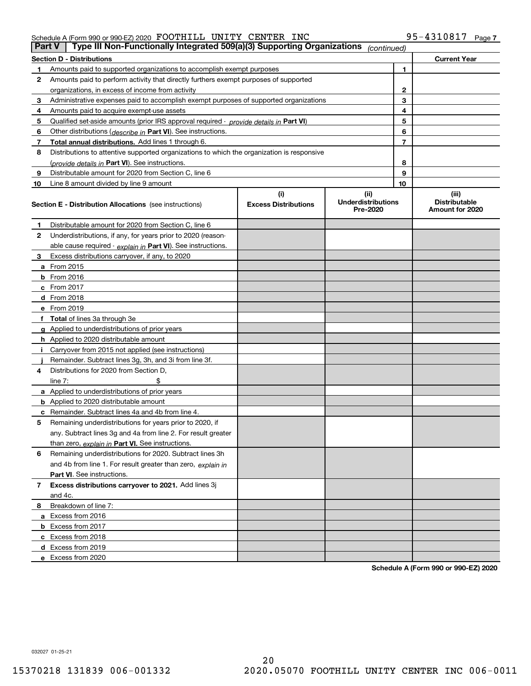#### Schedule A (Form 990 or 990-EZ) 2020 Page FOOTHILL UNITY CENTER INC 95-4310817

| <b>Part V</b> | Type III Non-Functionally Integrated 509(a)(3) Supporting Organizations                    |                             | (continued)                           |    |                                         |
|---------------|--------------------------------------------------------------------------------------------|-----------------------------|---------------------------------------|----|-----------------------------------------|
|               | <b>Section D - Distributions</b>                                                           |                             |                                       |    | <b>Current Year</b>                     |
| 1             | Amounts paid to supported organizations to accomplish exempt purposes                      |                             | 1                                     |    |                                         |
| 2             | Amounts paid to perform activity that directly furthers exempt purposes of supported       |                             |                                       |    |                                         |
|               | organizations, in excess of income from activity                                           |                             | $\mathbf{2}$                          |    |                                         |
| 3             | Administrative expenses paid to accomplish exempt purposes of supported organizations      |                             | 3                                     |    |                                         |
| 4             | Amounts paid to acquire exempt-use assets                                                  |                             |                                       | 4  |                                         |
| 5             | Qualified set-aside amounts (prior IRS approval required - provide details in Part VI)     |                             |                                       | 5  |                                         |
| 6             | Other distributions ( <i>describe in</i> Part VI). See instructions.                       |                             |                                       | 6  |                                         |
| 7             | Total annual distributions. Add lines 1 through 6.                                         |                             |                                       | 7  |                                         |
| 8             | Distributions to attentive supported organizations to which the organization is responsive |                             |                                       |    |                                         |
|               | (provide details in Part VI). See instructions.                                            |                             |                                       | 8  |                                         |
| 9             | Distributable amount for 2020 from Section C, line 6                                       |                             |                                       | 9  |                                         |
| 10            | Line 8 amount divided by line 9 amount                                                     |                             |                                       | 10 |                                         |
|               |                                                                                            | (i)                         | (ii)                                  |    | (iii)                                   |
|               | Section E - Distribution Allocations (see instructions)                                    | <b>Excess Distributions</b> | <b>Underdistributions</b><br>Pre-2020 |    | <b>Distributable</b><br>Amount for 2020 |
| 1             | Distributable amount for 2020 from Section C, line 6                                       |                             |                                       |    |                                         |
| 2             | Underdistributions, if any, for years prior to 2020 (reason-                               |                             |                                       |    |                                         |
|               | able cause required - explain in Part VI). See instructions.                               |                             |                                       |    |                                         |
| 3             | Excess distributions carryover, if any, to 2020                                            |                             |                                       |    |                                         |
|               | <b>a</b> From 2015                                                                         |                             |                                       |    |                                         |
|               | <b>b</b> From 2016                                                                         |                             |                                       |    |                                         |
|               | c From 2017                                                                                |                             |                                       |    |                                         |
|               | <b>d</b> From 2018                                                                         |                             |                                       |    |                                         |
|               | e From 2019                                                                                |                             |                                       |    |                                         |
|               | f Total of lines 3a through 3e                                                             |                             |                                       |    |                                         |
|               | g Applied to underdistributions of prior years                                             |                             |                                       |    |                                         |
|               | <b>h</b> Applied to 2020 distributable amount                                              |                             |                                       |    |                                         |
|               | Carryover from 2015 not applied (see instructions)                                         |                             |                                       |    |                                         |
|               | Remainder. Subtract lines 3g, 3h, and 3i from line 3f.                                     |                             |                                       |    |                                         |
| 4             | Distributions for 2020 from Section D,                                                     |                             |                                       |    |                                         |
|               | line $7:$                                                                                  |                             |                                       |    |                                         |
|               | a Applied to underdistributions of prior years                                             |                             |                                       |    |                                         |
|               | <b>b</b> Applied to 2020 distributable amount                                              |                             |                                       |    |                                         |
|               | c Remainder. Subtract lines 4a and 4b from line 4.                                         |                             |                                       |    |                                         |
| 5             | Remaining underdistributions for years prior to 2020, if                                   |                             |                                       |    |                                         |
|               | any. Subtract lines 3g and 4a from line 2. For result greater                              |                             |                                       |    |                                         |
|               | than zero, explain in Part VI. See instructions.                                           |                             |                                       |    |                                         |
| 6             | Remaining underdistributions for 2020. Subtract lines 3h                                   |                             |                                       |    |                                         |
|               | and 4b from line 1. For result greater than zero, explain in                               |                             |                                       |    |                                         |
|               | Part VI. See instructions.                                                                 |                             |                                       |    |                                         |
| 7             | Excess distributions carryover to 2021. Add lines 3j                                       |                             |                                       |    |                                         |
|               | and 4c.                                                                                    |                             |                                       |    |                                         |
| 8             | Breakdown of line 7:                                                                       |                             |                                       |    |                                         |
|               | a Excess from 2016                                                                         |                             |                                       |    |                                         |
|               | <b>b</b> Excess from 2017                                                                  |                             |                                       |    |                                         |
|               | c Excess from 2018                                                                         |                             |                                       |    |                                         |
|               | d Excess from 2019                                                                         |                             |                                       |    |                                         |
|               | e Excess from 2020                                                                         |                             |                                       |    |                                         |
|               |                                                                                            |                             |                                       |    |                                         |

**Schedule A (Form 990 or 990-EZ) 2020**

032027 01-25-21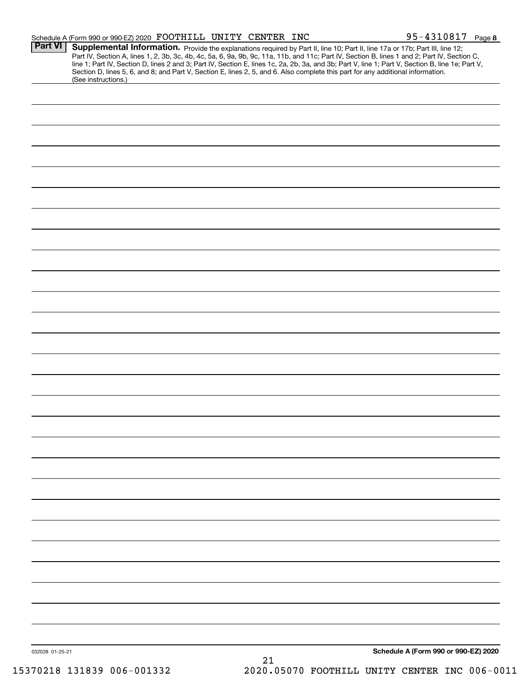|                 | Schedule A (Form 990 or 990-EZ) 2020 FOOTHILL UNITY CENTER INC |  |    | 95-4310817 Page 8                                                                                                                                                                                                                                                                                                                                                                                                                                                                                                                                                    |
|-----------------|----------------------------------------------------------------|--|----|----------------------------------------------------------------------------------------------------------------------------------------------------------------------------------------------------------------------------------------------------------------------------------------------------------------------------------------------------------------------------------------------------------------------------------------------------------------------------------------------------------------------------------------------------------------------|
| <b>Part VI</b>  |                                                                |  |    | Supplemental Information. Provide the explanations required by Part II, line 10; Part II, line 17a or 17b; Part III, line 12;<br>Part IV, Section A, lines 1, 2, 3b, 3c, 4b, 4c, 5a, 6, 9a, 9b, 9c, 11a, 11b, and 11c; Part IV, Section B, lines 1 and 2; Part IV, Section C,<br>line 1; Part IV, Section D, lines 2 and 3; Part IV, Section E, lines 1c, 2a, 2b, 3a, and 3b; Part V, line 1; Part V, Section B, line 1e; Part V,<br>Section D, lines 5, 6, and 8; and Part V, Section E, lines 2, 5, and 6. Also complete this part for any additional information. |
|                 | (See instructions.)                                            |  |    |                                                                                                                                                                                                                                                                                                                                                                                                                                                                                                                                                                      |
|                 |                                                                |  |    |                                                                                                                                                                                                                                                                                                                                                                                                                                                                                                                                                                      |
|                 |                                                                |  |    |                                                                                                                                                                                                                                                                                                                                                                                                                                                                                                                                                                      |
|                 |                                                                |  |    |                                                                                                                                                                                                                                                                                                                                                                                                                                                                                                                                                                      |
|                 |                                                                |  |    |                                                                                                                                                                                                                                                                                                                                                                                                                                                                                                                                                                      |
|                 |                                                                |  |    |                                                                                                                                                                                                                                                                                                                                                                                                                                                                                                                                                                      |
|                 |                                                                |  |    |                                                                                                                                                                                                                                                                                                                                                                                                                                                                                                                                                                      |
|                 |                                                                |  |    |                                                                                                                                                                                                                                                                                                                                                                                                                                                                                                                                                                      |
|                 |                                                                |  |    |                                                                                                                                                                                                                                                                                                                                                                                                                                                                                                                                                                      |
|                 |                                                                |  |    |                                                                                                                                                                                                                                                                                                                                                                                                                                                                                                                                                                      |
|                 |                                                                |  |    |                                                                                                                                                                                                                                                                                                                                                                                                                                                                                                                                                                      |
|                 |                                                                |  |    |                                                                                                                                                                                                                                                                                                                                                                                                                                                                                                                                                                      |
|                 |                                                                |  |    |                                                                                                                                                                                                                                                                                                                                                                                                                                                                                                                                                                      |
|                 |                                                                |  |    |                                                                                                                                                                                                                                                                                                                                                                                                                                                                                                                                                                      |
|                 |                                                                |  |    |                                                                                                                                                                                                                                                                                                                                                                                                                                                                                                                                                                      |
|                 |                                                                |  |    |                                                                                                                                                                                                                                                                                                                                                                                                                                                                                                                                                                      |
|                 |                                                                |  |    |                                                                                                                                                                                                                                                                                                                                                                                                                                                                                                                                                                      |
|                 |                                                                |  |    |                                                                                                                                                                                                                                                                                                                                                                                                                                                                                                                                                                      |
|                 |                                                                |  |    |                                                                                                                                                                                                                                                                                                                                                                                                                                                                                                                                                                      |
|                 |                                                                |  |    |                                                                                                                                                                                                                                                                                                                                                                                                                                                                                                                                                                      |
|                 |                                                                |  |    |                                                                                                                                                                                                                                                                                                                                                                                                                                                                                                                                                                      |
|                 |                                                                |  |    |                                                                                                                                                                                                                                                                                                                                                                                                                                                                                                                                                                      |
|                 |                                                                |  |    |                                                                                                                                                                                                                                                                                                                                                                                                                                                                                                                                                                      |
|                 |                                                                |  |    |                                                                                                                                                                                                                                                                                                                                                                                                                                                                                                                                                                      |
|                 |                                                                |  |    |                                                                                                                                                                                                                                                                                                                                                                                                                                                                                                                                                                      |
| 032028 01-25-21 |                                                                |  | 21 | Schedule A (Form 990 or 990-EZ) 2020                                                                                                                                                                                                                                                                                                                                                                                                                                                                                                                                 |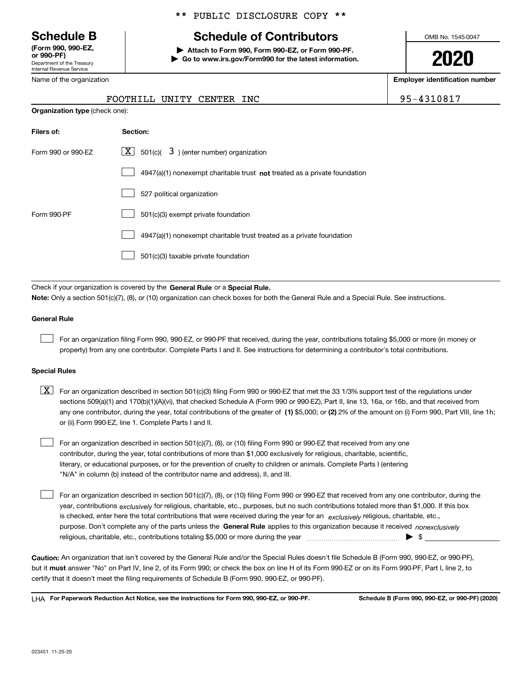Department of the Treasury Internal Revenue Service **(Form 990, 990-EZ, or 990-PF)**

\*\* PUBLIC DISCLOSURE COPY \*\*

# **Schedule B Schedule of Contributors**

**| Attach to Form 990, Form 990-EZ, or Form 990-PF. | Go to www.irs.gov/Form990 for the latest information.** OMB No. 1545-0047

**2020**

**Employer identification number**

| .                          |
|----------------------------|
| Department of the Treasury |
| Internal Revenue Service   |
| Name of the organization   |

**Organization type** (check one):

# FOOTHILL UNITY CENTER INC **1950810810817** 9

| Filers of:         | Section:                                                                    |
|--------------------|-----------------------------------------------------------------------------|
| Form 990 or 990-EZ | $\boxed{\textbf{X}}$ 501(c)( 3) (enter number) organization                 |
|                    | $4947(a)(1)$ nonexempt charitable trust not treated as a private foundation |
|                    | 527 political organization                                                  |
| Form 990-PF        | 501(c)(3) exempt private foundation                                         |
|                    | 4947(a)(1) nonexempt charitable trust treated as a private foundation       |
|                    | 501(c)(3) taxable private foundation                                        |

Check if your organization is covered by the **General Rule** or a **Special Rule. Note:**  Only a section 501(c)(7), (8), or (10) organization can check boxes for both the General Rule and a Special Rule. See instructions.

#### **General Rule**

 $\mathcal{L}^{\text{max}}$ 

For an organization filing Form 990, 990-EZ, or 990-PF that received, during the year, contributions totaling \$5,000 or more (in money or property) from any one contributor. Complete Parts I and II. See instructions for determining a contributor's total contributions.

#### **Special Rules**

any one contributor, during the year, total contributions of the greater of  $\,$  (1) \$5,000; or **(2)** 2% of the amount on (i) Form 990, Part VIII, line 1h;  $\boxed{\textbf{X}}$  For an organization described in section 501(c)(3) filing Form 990 or 990-EZ that met the 33 1/3% support test of the regulations under sections 509(a)(1) and 170(b)(1)(A)(vi), that checked Schedule A (Form 990 or 990-EZ), Part II, line 13, 16a, or 16b, and that received from or (ii) Form 990-EZ, line 1. Complete Parts I and II.

For an organization described in section 501(c)(7), (8), or (10) filing Form 990 or 990-EZ that received from any one contributor, during the year, total contributions of more than \$1,000 exclusively for religious, charitable, scientific, literary, or educational purposes, or for the prevention of cruelty to children or animals. Complete Parts I (entering "N/A" in column (b) instead of the contributor name and address), II, and III.  $\mathcal{L}^{\text{max}}$ 

purpose. Don't complete any of the parts unless the **General Rule** applies to this organization because it received *nonexclusively* year, contributions <sub>exclusively</sub> for religious, charitable, etc., purposes, but no such contributions totaled more than \$1,000. If this box is checked, enter here the total contributions that were received during the year for an  $\;$ exclusively religious, charitable, etc., For an organization described in section 501(c)(7), (8), or (10) filing Form 990 or 990-EZ that received from any one contributor, during the religious, charitable, etc., contributions totaling \$5,000 or more during the year  $\Box$ — $\Box$   $\Box$  $\mathcal{L}^{\text{max}}$ 

**Caution:**  An organization that isn't covered by the General Rule and/or the Special Rules doesn't file Schedule B (Form 990, 990-EZ, or 990-PF),  **must** but it answer "No" on Part IV, line 2, of its Form 990; or check the box on line H of its Form 990-EZ or on its Form 990-PF, Part I, line 2, to certify that it doesn't meet the filing requirements of Schedule B (Form 990, 990-EZ, or 990-PF).

**For Paperwork Reduction Act Notice, see the instructions for Form 990, 990-EZ, or 990-PF. Schedule B (Form 990, 990-EZ, or 990-PF) (2020)** LHA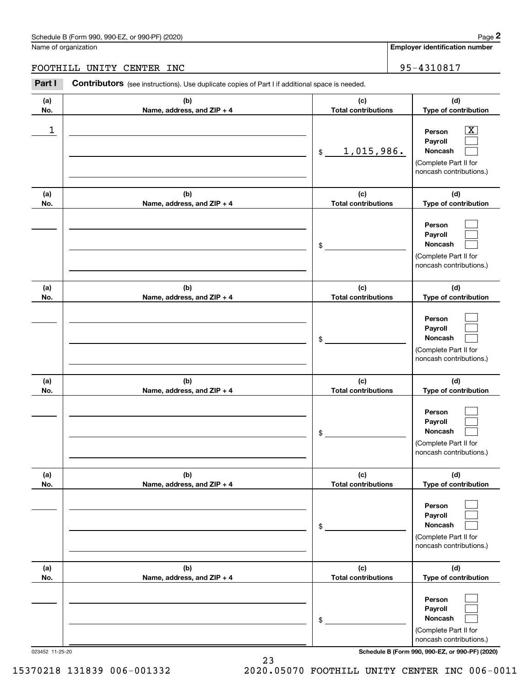## Schedule B (Form 990, 990-EZ, or 990-PF) (2020) Page 2

## FOOTHILL UNITY CENTER INC 95-4310817

|            | Schedule B (Form 990, 990-EZ, or 990-PF) (2020)                                                       |                                   | Page 2                                                                                                    |
|------------|-------------------------------------------------------------------------------------------------------|-----------------------------------|-----------------------------------------------------------------------------------------------------------|
|            | Name of organization                                                                                  |                                   | <b>Employer identification number</b>                                                                     |
|            | FOOTHILL UNITY CENTER INC                                                                             |                                   | 95-4310817                                                                                                |
| Part I     | <b>Contributors</b> (see instructions). Use duplicate copies of Part I if additional space is needed. |                                   |                                                                                                           |
| (a)<br>No. | (b)<br>Name, address, and ZIP + 4                                                                     | (c)<br><b>Total contributions</b> | (d)<br>Type of contribution                                                                               |
| 1          |                                                                                                       | 1,015,986.<br>\$                  | $\overline{\text{X}}$<br>Person<br>Payroll<br>Noncash<br>(Complete Part II for<br>noncash contributions.) |
| (a)<br>No. | (b)<br>Name, address, and ZIP + 4                                                                     | (c)<br><b>Total contributions</b> | (d)<br>Type of contribution                                                                               |
|            |                                                                                                       | \$                                | Person<br>Payroll<br>Noncash<br>(Complete Part II for<br>noncash contributions.)                          |
| (a)<br>No. | (b)<br>Name, address, and ZIP + 4                                                                     | (c)<br><b>Total contributions</b> | (d)<br>Type of contribution                                                                               |
|            |                                                                                                       | \$                                | Person<br>Payroll<br>Noncash<br>(Complete Part II for<br>noncash contributions.)                          |
| (a)<br>No. | (b)<br>Name, address, and ZIP + 4                                                                     | (c)<br><b>Total contributions</b> | (d)<br>Type of contribution                                                                               |
|            |                                                                                                       | \$                                | Person<br>Payroll<br>Noncash<br>(Complete Part II for<br>noncash contributions.)                          |
| (a)<br>No. | (b)<br>Name, address, and ZIP + 4                                                                     | (c)<br><b>Total contributions</b> | (d)<br>Type of contribution                                                                               |
|            |                                                                                                       | \$                                | Person<br>Payroll<br>Noncash<br>(Complete Part II for<br>noncash contributions.)                          |
| (a)<br>No. | (b)<br>Name, address, and ZIP + 4                                                                     | (c)<br><b>Total contributions</b> | (d)<br>Type of contribution                                                                               |
|            |                                                                                                       | \$                                | Person<br>Payroll<br>Noncash<br>(Complete Part II for<br>noncash contributions.)                          |

023452 11-25-20 **Schedule B (Form 990, 990-EZ, or 990-PF) (2020)**

15370218 131839 006-001332 2020.05070 FOOTHILL UNITY CENTER INC 006-0011

23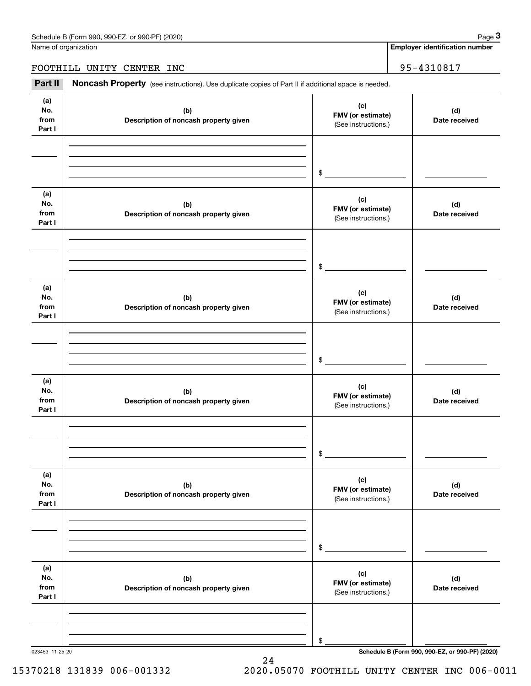Name of organization

**Employer identification number**

FOOTHILL UNITY CENTER INC 95-4310817

Chedule B (Form 990, 990-EZ, or 990-PF) (2020)<br> **2020 Identification number**<br> **3Part II Noncash Property** (see instructions). Use duplicate copies of Part II if additional space is needed.<br> **Part II Noncash Property** (

| (a)<br>No.<br>from<br>Part I | (b)<br>Description of noncash property given | (c)<br>FMV (or estimate)<br>(See instructions.) | (d)<br>Date received                            |
|------------------------------|----------------------------------------------|-------------------------------------------------|-------------------------------------------------|
|                              |                                              | $\frac{1}{2}$                                   |                                                 |
| (a)<br>No.<br>from<br>Part I | (b)<br>Description of noncash property given | (c)<br>FMV (or estimate)<br>(See instructions.) | (d)<br>Date received                            |
|                              |                                              | $\mathfrak{S}$                                  |                                                 |
| (a)<br>No.<br>from<br>Part I | (b)<br>Description of noncash property given | (c)<br>FMV (or estimate)<br>(See instructions.) | (d)<br>Date received                            |
|                              |                                              | $\mathfrak{S}$                                  |                                                 |
| (a)<br>No.<br>from<br>Part I | (b)<br>Description of noncash property given | (c)<br>FMV (or estimate)<br>(See instructions.) | (d)<br>Date received                            |
|                              |                                              | $\mathfrak s$                                   |                                                 |
| (a)<br>No.<br>from<br>Part I | (b)<br>Description of noncash property given | (c)<br>FMV (or estimate)<br>(See instructions.) | (d)<br>Date received                            |
|                              |                                              | \$                                              |                                                 |
| (a)<br>No.<br>from<br>Part I | (b)<br>Description of noncash property given | (c)<br>FMV (or estimate)<br>(See instructions.) | (d)<br>Date received                            |
|                              |                                              | \$                                              |                                                 |
| 023453 11-25-20              |                                              |                                                 | Schedule B (Form 990, 990-EZ, or 990-PF) (2020) |

15370218 131839 006-001332 2020.05070 FOOTHILL UNITY CENTER INC 006-0011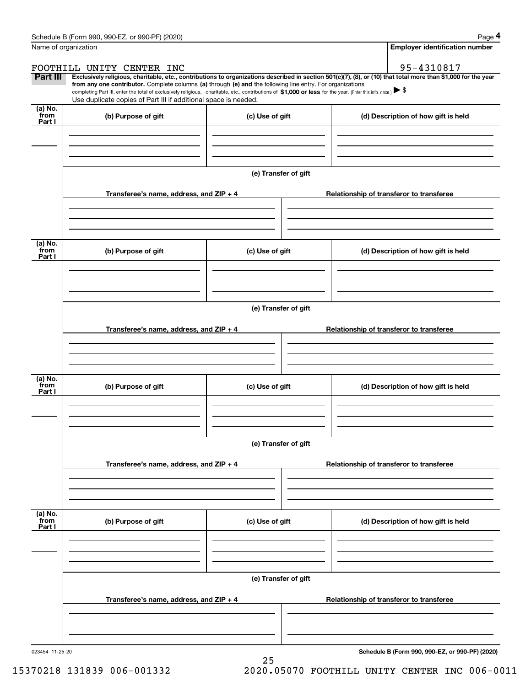|                           | Schedule B (Form 990, 990-EZ, or 990-PF) (2020)                                                                                                                                                                                                      |                      | Page 4                                                                                                                                                         |  |  |  |  |  |  |  |
|---------------------------|------------------------------------------------------------------------------------------------------------------------------------------------------------------------------------------------------------------------------------------------------|----------------------|----------------------------------------------------------------------------------------------------------------------------------------------------------------|--|--|--|--|--|--|--|
|                           | Name of organization                                                                                                                                                                                                                                 |                      | <b>Employer identification number</b>                                                                                                                          |  |  |  |  |  |  |  |
|                           | FOOTHILL UNITY CENTER INC                                                                                                                                                                                                                            |                      | 95-4310817                                                                                                                                                     |  |  |  |  |  |  |  |
| Part III                  | from any one contributor. Complete columns (a) through (e) and the following line entry. For organizations                                                                                                                                           |                      | Exclusively religious, charitable, etc., contributions to organizations described in section 501(c)(7), (8), or (10) that total more than \$1,000 for the year |  |  |  |  |  |  |  |
|                           | completing Part III, enter the total of exclusively religious, charitable, etc., contributions of \$1,000 or less for the year. (Enter this info. once.) $\blacktriangleright$ \$<br>Use duplicate copies of Part III if additional space is needed. |                      |                                                                                                                                                                |  |  |  |  |  |  |  |
| (a) No.                   |                                                                                                                                                                                                                                                      |                      |                                                                                                                                                                |  |  |  |  |  |  |  |
| from<br>Part I            | (b) Purpose of gift                                                                                                                                                                                                                                  | (c) Use of gift      | (d) Description of how gift is held                                                                                                                            |  |  |  |  |  |  |  |
|                           |                                                                                                                                                                                                                                                      |                      |                                                                                                                                                                |  |  |  |  |  |  |  |
|                           |                                                                                                                                                                                                                                                      |                      |                                                                                                                                                                |  |  |  |  |  |  |  |
|                           |                                                                                                                                                                                                                                                      |                      |                                                                                                                                                                |  |  |  |  |  |  |  |
|                           |                                                                                                                                                                                                                                                      | (e) Transfer of gift |                                                                                                                                                                |  |  |  |  |  |  |  |
|                           | Transferee's name, address, and ZIP + 4                                                                                                                                                                                                              |                      | Relationship of transferor to transferee                                                                                                                       |  |  |  |  |  |  |  |
|                           |                                                                                                                                                                                                                                                      |                      |                                                                                                                                                                |  |  |  |  |  |  |  |
|                           |                                                                                                                                                                                                                                                      |                      |                                                                                                                                                                |  |  |  |  |  |  |  |
|                           |                                                                                                                                                                                                                                                      |                      |                                                                                                                                                                |  |  |  |  |  |  |  |
| (a) No.<br>from           | (b) Purpose of gift                                                                                                                                                                                                                                  | (c) Use of gift      | (d) Description of how gift is held                                                                                                                            |  |  |  |  |  |  |  |
| Part I                    |                                                                                                                                                                                                                                                      |                      |                                                                                                                                                                |  |  |  |  |  |  |  |
|                           |                                                                                                                                                                                                                                                      |                      |                                                                                                                                                                |  |  |  |  |  |  |  |
|                           |                                                                                                                                                                                                                                                      |                      |                                                                                                                                                                |  |  |  |  |  |  |  |
|                           | (e) Transfer of gift                                                                                                                                                                                                                                 |                      |                                                                                                                                                                |  |  |  |  |  |  |  |
|                           |                                                                                                                                                                                                                                                      |                      |                                                                                                                                                                |  |  |  |  |  |  |  |
|                           | Transferee's name, address, and ZIP + 4                                                                                                                                                                                                              |                      | Relationship of transferor to transferee                                                                                                                       |  |  |  |  |  |  |  |
|                           |                                                                                                                                                                                                                                                      |                      |                                                                                                                                                                |  |  |  |  |  |  |  |
|                           |                                                                                                                                                                                                                                                      |                      |                                                                                                                                                                |  |  |  |  |  |  |  |
| (a) No.<br>from           |                                                                                                                                                                                                                                                      |                      |                                                                                                                                                                |  |  |  |  |  |  |  |
| Part I                    | (b) Purpose of gift                                                                                                                                                                                                                                  | (c) Use of gift      | (d) Description of how gift is held                                                                                                                            |  |  |  |  |  |  |  |
|                           |                                                                                                                                                                                                                                                      |                      |                                                                                                                                                                |  |  |  |  |  |  |  |
|                           |                                                                                                                                                                                                                                                      |                      |                                                                                                                                                                |  |  |  |  |  |  |  |
|                           |                                                                                                                                                                                                                                                      |                      |                                                                                                                                                                |  |  |  |  |  |  |  |
|                           |                                                                                                                                                                                                                                                      | (e) Transfer of gift |                                                                                                                                                                |  |  |  |  |  |  |  |
|                           | Transferee's name, address, and ZIP + 4                                                                                                                                                                                                              |                      | Relationship of transferor to transferee                                                                                                                       |  |  |  |  |  |  |  |
|                           |                                                                                                                                                                                                                                                      |                      |                                                                                                                                                                |  |  |  |  |  |  |  |
|                           |                                                                                                                                                                                                                                                      |                      |                                                                                                                                                                |  |  |  |  |  |  |  |
|                           |                                                                                                                                                                                                                                                      |                      |                                                                                                                                                                |  |  |  |  |  |  |  |
| (a) No.<br>from<br>Part I | (b) Purpose of gift                                                                                                                                                                                                                                  | (c) Use of gift      | (d) Description of how gift is held                                                                                                                            |  |  |  |  |  |  |  |
|                           |                                                                                                                                                                                                                                                      |                      |                                                                                                                                                                |  |  |  |  |  |  |  |
|                           |                                                                                                                                                                                                                                                      |                      |                                                                                                                                                                |  |  |  |  |  |  |  |
|                           |                                                                                                                                                                                                                                                      |                      |                                                                                                                                                                |  |  |  |  |  |  |  |
|                           | (e) Transfer of gift                                                                                                                                                                                                                                 |                      |                                                                                                                                                                |  |  |  |  |  |  |  |
|                           | Transferee's name, address, and ZIP + 4                                                                                                                                                                                                              |                      | Relationship of transferor to transferee                                                                                                                       |  |  |  |  |  |  |  |
|                           |                                                                                                                                                                                                                                                      |                      |                                                                                                                                                                |  |  |  |  |  |  |  |
|                           |                                                                                                                                                                                                                                                      |                      |                                                                                                                                                                |  |  |  |  |  |  |  |
|                           |                                                                                                                                                                                                                                                      |                      |                                                                                                                                                                |  |  |  |  |  |  |  |

25

**Schedule B (Form 990, 990-EZ, or 990-PF) (2020)**

15370218 131839 006-001332 2020.05070 FOOTHILL UNITY CENTER INC 006-0011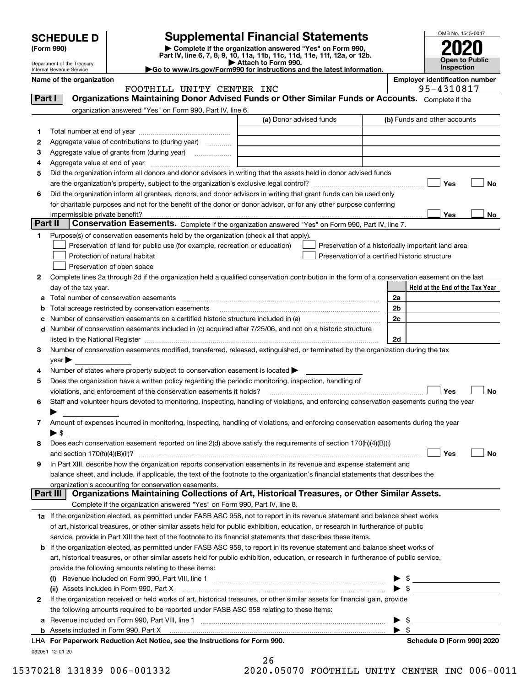|                                                                                                                                                                                                                                                                          |                                                                                                    |                                                                                                        |                                                                                                                                                                                                                               |                | OMB No. 1545-0047                                   |  |  |
|--------------------------------------------------------------------------------------------------------------------------------------------------------------------------------------------------------------------------------------------------------------------------|----------------------------------------------------------------------------------------------------|--------------------------------------------------------------------------------------------------------|-------------------------------------------------------------------------------------------------------------------------------------------------------------------------------------------------------------------------------|----------------|-----------------------------------------------------|--|--|
| <b>Supplemental Financial Statements</b><br><b>SCHEDULE D</b><br>Complete if the organization answered "Yes" on Form 990,<br>(Form 990)<br>Part IV, line 6, 7, 8, 9, 10, 11a, 11b, 11c, 11d, 11e, 11f, 12a, or 12b.<br>Attach to Form 990.<br>Department of the Treasury |                                                                                                    |                                                                                                        |                                                                                                                                                                                                                               |                | <b>Open to Public</b>                               |  |  |
|                                                                                                                                                                                                                                                                          | Go to www.irs.gov/Form990 for instructions and the latest information.<br>Internal Revenue Service |                                                                                                        |                                                                                                                                                                                                                               |                |                                                     |  |  |
|                                                                                                                                                                                                                                                                          | Name of the organization                                                                           | FOOTHILL UNITY CENTER INC                                                                              |                                                                                                                                                                                                                               |                | <b>Employer identification number</b><br>95-4310817 |  |  |
| Part I                                                                                                                                                                                                                                                                   |                                                                                                    |                                                                                                        | Organizations Maintaining Donor Advised Funds or Other Similar Funds or Accounts. Complete if the                                                                                                                             |                |                                                     |  |  |
|                                                                                                                                                                                                                                                                          |                                                                                                    | organization answered "Yes" on Form 990, Part IV, line 6.                                              |                                                                                                                                                                                                                               |                |                                                     |  |  |
|                                                                                                                                                                                                                                                                          |                                                                                                    |                                                                                                        | (a) Donor advised funds                                                                                                                                                                                                       |                | (b) Funds and other accounts                        |  |  |
| 1                                                                                                                                                                                                                                                                        |                                                                                                    |                                                                                                        |                                                                                                                                                                                                                               |                |                                                     |  |  |
| 2                                                                                                                                                                                                                                                                        |                                                                                                    | Aggregate value of contributions to (during year)                                                      |                                                                                                                                                                                                                               |                |                                                     |  |  |
| З                                                                                                                                                                                                                                                                        |                                                                                                    |                                                                                                        |                                                                                                                                                                                                                               |                |                                                     |  |  |
| 4                                                                                                                                                                                                                                                                        |                                                                                                    |                                                                                                        |                                                                                                                                                                                                                               |                |                                                     |  |  |
| 5                                                                                                                                                                                                                                                                        |                                                                                                    |                                                                                                        | Did the organization inform all donors and donor advisors in writing that the assets held in donor advised funds                                                                                                              |                |                                                     |  |  |
|                                                                                                                                                                                                                                                                          |                                                                                                    |                                                                                                        |                                                                                                                                                                                                                               |                | Yes<br>No                                           |  |  |
| 6                                                                                                                                                                                                                                                                        |                                                                                                    |                                                                                                        | Did the organization inform all grantees, donors, and donor advisors in writing that grant funds can be used only                                                                                                             |                |                                                     |  |  |
|                                                                                                                                                                                                                                                                          |                                                                                                    |                                                                                                        | for charitable purposes and not for the benefit of the donor or donor advisor, or for any other purpose conferring                                                                                                            |                |                                                     |  |  |
|                                                                                                                                                                                                                                                                          | impermissible private benefit?                                                                     |                                                                                                        |                                                                                                                                                                                                                               |                | Yes<br>No                                           |  |  |
| Part II                                                                                                                                                                                                                                                                  |                                                                                                    |                                                                                                        | Conservation Easements. Complete if the organization answered "Yes" on Form 990, Part IV, line 7.                                                                                                                             |                |                                                     |  |  |
| 1                                                                                                                                                                                                                                                                        |                                                                                                    | Purpose(s) of conservation easements held by the organization (check all that apply).                  |                                                                                                                                                                                                                               |                |                                                     |  |  |
|                                                                                                                                                                                                                                                                          |                                                                                                    | Preservation of land for public use (for example, recreation or education)                             |                                                                                                                                                                                                                               |                | Preservation of a historically important land area  |  |  |
|                                                                                                                                                                                                                                                                          |                                                                                                    | Protection of natural habitat                                                                          | Preservation of a certified historic structure                                                                                                                                                                                |                |                                                     |  |  |
|                                                                                                                                                                                                                                                                          |                                                                                                    | Preservation of open space                                                                             |                                                                                                                                                                                                                               |                |                                                     |  |  |
| 2                                                                                                                                                                                                                                                                        |                                                                                                    |                                                                                                        | Complete lines 2a through 2d if the organization held a qualified conservation contribution in the form of a conservation easement on the last                                                                                |                |                                                     |  |  |
|                                                                                                                                                                                                                                                                          | day of the tax year.                                                                               |                                                                                                        |                                                                                                                                                                                                                               |                | Held at the End of the Tax Year                     |  |  |
| а                                                                                                                                                                                                                                                                        |                                                                                                    |                                                                                                        |                                                                                                                                                                                                                               | 2a             |                                                     |  |  |
| b                                                                                                                                                                                                                                                                        |                                                                                                    | Total acreage restricted by conservation easements                                                     |                                                                                                                                                                                                                               | 2 <sub>b</sub> |                                                     |  |  |
| с                                                                                                                                                                                                                                                                        |                                                                                                    |                                                                                                        |                                                                                                                                                                                                                               | 2c             |                                                     |  |  |
| d                                                                                                                                                                                                                                                                        |                                                                                                    |                                                                                                        | Number of conservation easements included in (c) acquired after 7/25/06, and not on a historic structure                                                                                                                      |                |                                                     |  |  |
|                                                                                                                                                                                                                                                                          |                                                                                                    |                                                                                                        | listed in the National Register [11, 1200] [12] The National Register [11, 1200] [12] The National Register [11, 1200] [12] The National Register [11, 1200] [12] The National Register [11, 1200] [12] The National Register | 2d             |                                                     |  |  |
| З                                                                                                                                                                                                                                                                        |                                                                                                    |                                                                                                        | Number of conservation easements modified, transferred, released, extinguished, or terminated by the organization during the tax                                                                                              |                |                                                     |  |  |
|                                                                                                                                                                                                                                                                          | year                                                                                               |                                                                                                        |                                                                                                                                                                                                                               |                |                                                     |  |  |
|                                                                                                                                                                                                                                                                          |                                                                                                    | Number of states where property subject to conservation easement is located >                          |                                                                                                                                                                                                                               |                |                                                     |  |  |
| 5                                                                                                                                                                                                                                                                        |                                                                                                    | Does the organization have a written policy regarding the periodic monitoring, inspection, handling of |                                                                                                                                                                                                                               |                |                                                     |  |  |
|                                                                                                                                                                                                                                                                          |                                                                                                    | violations, and enforcement of the conservation easements it holds?                                    |                                                                                                                                                                                                                               |                | Yes<br>No                                           |  |  |
| 6                                                                                                                                                                                                                                                                        |                                                                                                    |                                                                                                        | Staff and volunteer hours devoted to monitoring, inspecting, handling of violations, and enforcing conservation easements during the year                                                                                     |                |                                                     |  |  |
|                                                                                                                                                                                                                                                                          |                                                                                                    |                                                                                                        | Amount of expenses incurred in monitoring, inspecting, handling of violations, and enforcing conservation easements during the year                                                                                           |                |                                                     |  |  |
| 7                                                                                                                                                                                                                                                                        |                                                                                                    |                                                                                                        |                                                                                                                                                                                                                               |                |                                                     |  |  |
| 8                                                                                                                                                                                                                                                                        | $\blacktriangleright$ \$                                                                           |                                                                                                        | Does each conservation easement reported on line 2(d) above satisfy the requirements of section 170(h)(4)(B)(i)                                                                                                               |                |                                                     |  |  |
|                                                                                                                                                                                                                                                                          |                                                                                                    |                                                                                                        |                                                                                                                                                                                                                               |                | Yes<br>No                                           |  |  |
| 9                                                                                                                                                                                                                                                                        |                                                                                                    |                                                                                                        | In Part XIII, describe how the organization reports conservation easements in its revenue and expense statement and                                                                                                           |                |                                                     |  |  |
|                                                                                                                                                                                                                                                                          |                                                                                                    |                                                                                                        | balance sheet, and include, if applicable, the text of the footnote to the organization's financial statements that describes the                                                                                             |                |                                                     |  |  |
|                                                                                                                                                                                                                                                                          |                                                                                                    | organization's accounting for conservation easements.                                                  |                                                                                                                                                                                                                               |                |                                                     |  |  |
|                                                                                                                                                                                                                                                                          | Part III                                                                                           |                                                                                                        | Organizations Maintaining Collections of Art, Historical Treasures, or Other Similar Assets.                                                                                                                                  |                |                                                     |  |  |
|                                                                                                                                                                                                                                                                          |                                                                                                    | Complete if the organization answered "Yes" on Form 990, Part IV, line 8.                              |                                                                                                                                                                                                                               |                |                                                     |  |  |
|                                                                                                                                                                                                                                                                          |                                                                                                    |                                                                                                        | 1a If the organization elected, as permitted under FASB ASC 958, not to report in its revenue statement and balance sheet works                                                                                               |                |                                                     |  |  |
|                                                                                                                                                                                                                                                                          |                                                                                                    |                                                                                                        | of art, historical treasures, or other similar assets held for public exhibition, education, or research in furtherance of public                                                                                             |                |                                                     |  |  |
|                                                                                                                                                                                                                                                                          |                                                                                                    |                                                                                                        |                                                                                                                                                                                                                               |                |                                                     |  |  |

service, provide in Part XIII the text of the footnote to its financial statements that describes these items.

#### **b** If the organization elected, as permitted under FASB ASC 958, to report in its revenue statement and balance sheet works of art, historical treasures, or other similar assets held for public exhibition, education, or research in furtherance of public service, provide the following amounts relating to these items:  $\blacktriangleright$   $\triangle$

|   | a Revenue included on Form 990, Part VIII, line 1                                                                            | $\blacktriangleright$ s |  |
|---|------------------------------------------------------------------------------------------------------------------------------|-------------------------|--|
|   | the following amounts required to be reported under FASB ASC 958 relating to these items:                                    |                         |  |
| 2 | If the organization received or held works of art, historical treasures, or other similar assets for financial gain, provide |                         |  |
|   | (ii) Assets included in Form 990, Part X                                                                                     |                         |  |
|   | Revenue included on Form 990, Part VIII, line 1<br>(i)                                                                       |                         |  |

032051 12-01-20 **For Paperwork Reduction Act Notice, see the Instructions for Form 990. Schedule D (Form 990) 2020** LHA

26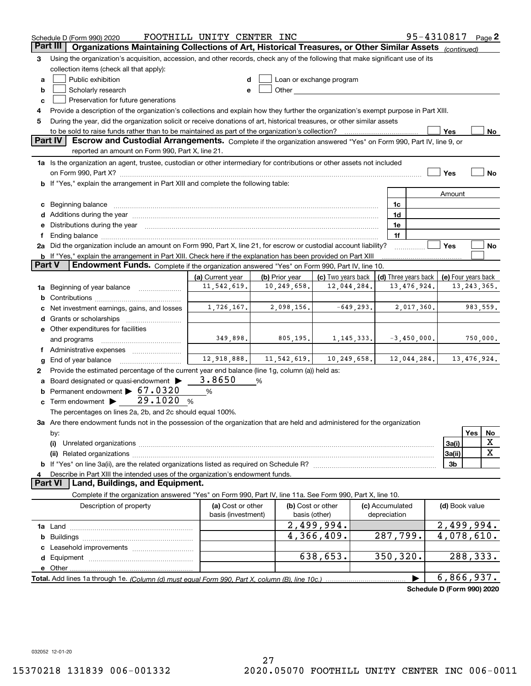|          | Schedule D (Form 990) 2020                                                                                                                                                                                                     | FOOTHILL UNITY CENTER INC |   |                |                          |              |                      | 95-4310817                 |                         |               | Page 2      |
|----------|--------------------------------------------------------------------------------------------------------------------------------------------------------------------------------------------------------------------------------|---------------------------|---|----------------|--------------------------|--------------|----------------------|----------------------------|-------------------------|---------------|-------------|
| Part III | Organizations Maintaining Collections of Art, Historical Treasures, or Other Similar Assets                                                                                                                                    |                           |   |                |                          |              |                      |                            | (continued)             |               |             |
| 3        | Using the organization's acquisition, accession, and other records, check any of the following that make significant use of its                                                                                                |                           |   |                |                          |              |                      |                            |                         |               |             |
|          | collection items (check all that apply):                                                                                                                                                                                       |                           |   |                |                          |              |                      |                            |                         |               |             |
| a        | Public exhibition                                                                                                                                                                                                              |                           |   |                | Loan or exchange program |              |                      |                            |                         |               |             |
| b        | Scholarly research                                                                                                                                                                                                             |                           |   | Other          |                          |              |                      |                            |                         |               |             |
| c        | Preservation for future generations                                                                                                                                                                                            |                           |   |                |                          |              |                      |                            |                         |               |             |
| 4        | Provide a description of the organization's collections and explain how they further the organization's exempt purpose in Part XIII.                                                                                           |                           |   |                |                          |              |                      |                            |                         |               |             |
| 5        | During the year, did the organization solicit or receive donations of art, historical treasures, or other similar assets                                                                                                       |                           |   |                |                          |              |                      |                            |                         |               |             |
|          | to be sold to raise funds rather than to be maintained as part of the organization's collection?                                                                                                                               |                           |   |                |                          |              |                      |                            | Yes                     |               | No          |
|          | <b>Part IV</b><br>Escrow and Custodial Arrangements. Complete if the organization answered "Yes" on Form 990, Part IV, line 9, or                                                                                              |                           |   |                |                          |              |                      |                            |                         |               |             |
|          | reported an amount on Form 990, Part X, line 21.                                                                                                                                                                               |                           |   |                |                          |              |                      |                            |                         |               |             |
|          | 1a Is the organization an agent, trustee, custodian or other intermediary for contributions or other assets not included                                                                                                       |                           |   |                |                          |              |                      |                            |                         |               |             |
|          | <b>b</b> If "Yes," explain the arrangement in Part XIII and complete the following table:                                                                                                                                      |                           |   |                |                          |              |                      |                            | Yes                     |               | No          |
|          |                                                                                                                                                                                                                                |                           |   |                |                          |              |                      |                            | Amount                  |               |             |
|          |                                                                                                                                                                                                                                |                           |   |                |                          |              | 1c                   |                            |                         |               |             |
|          | c Beginning balance measurements and the contract of the contract of the contract of the contract of the contract of the contract of the contract of the contract of the contract of the contract of the contract of the contr |                           |   |                |                          |              | 1d                   |                            |                         |               |             |
|          | e Distributions during the year manufactured and continuum and contact the year manufactured and contact the year manufactured and contact the year manufactured and contact the year manufactured and contact the year manufa |                           |   |                |                          |              | 1e                   |                            |                         |               |             |
| Ť.,      |                                                                                                                                                                                                                                |                           |   |                |                          |              | 1f                   |                            |                         |               |             |
|          | 2a Did the organization include an amount on Form 990, Part X, line 21, for escrow or custodial account liability?                                                                                                             |                           |   |                |                          |              |                      |                            | Yes                     |               | No          |
|          | <b>b</b> If "Yes," explain the arrangement in Part XIII. Check here if the explanation has been provided on Part XIII                                                                                                          |                           |   |                |                          |              |                      |                            |                         |               |             |
| Part V   | Endowment Funds. Complete if the organization answered "Yes" on Form 990, Part IV, line 10.                                                                                                                                    |                           |   |                |                          |              |                      |                            |                         |               |             |
|          |                                                                                                                                                                                                                                | (a) Current year          |   | (b) Prior year | (c) Two years back       |              | (d) Three years back |                            | (e) Four years back     |               |             |
| 1a       | Beginning of year balance                                                                                                                                                                                                      | 11,542,619.               |   | 10, 249, 658.  | 12,044,284.              |              |                      | 13, 476, 924.              |                         | 13, 243, 365. |             |
|          |                                                                                                                                                                                                                                |                           |   |                |                          |              |                      |                            |                         |               |             |
|          | Net investment earnings, gains, and losses                                                                                                                                                                                     | 1,726,167.                |   | 2,098,156.     |                          | $-649, 293.$ |                      | 2,017,360.                 |                         |               | 983,559.    |
|          |                                                                                                                                                                                                                                |                           |   |                |                          |              |                      |                            |                         |               |             |
|          | e Other expenditures for facilities                                                                                                                                                                                            |                           |   |                |                          |              |                      |                            |                         |               |             |
|          | and programs                                                                                                                                                                                                                   | 349,898.                  |   | 805, 195.      |                          | 1, 145, 333. |                      | $-3,450,000.$              |                         |               | 750,000.    |
|          | f Administrative expenses                                                                                                                                                                                                      |                           |   |                |                          |              |                      |                            |                         |               |             |
| g        | End of year balance                                                                                                                                                                                                            | 12,918,888.               |   | 11, 542, 619.  | 10, 249, 658.            |              |                      | 12,044,284.                |                         |               | 13,476,924. |
| 2        | Provide the estimated percentage of the current year end balance (line 1g, column (a)) held as:                                                                                                                                | 3.8650                    |   |                |                          |              |                      |                            |                         |               |             |
|          | Board designated or quasi-endowment<br>Permanent endowment $\blacktriangleright$ 67.0320                                                                                                                                       |                           | % |                |                          |              |                      |                            |                         |               |             |
| b        | 29.1020<br>$c$ Term endowment $\blacktriangleright$                                                                                                                                                                            | %<br>%                    |   |                |                          |              |                      |                            |                         |               |             |
|          | The percentages on lines 2a, 2b, and 2c should equal 100%.                                                                                                                                                                     |                           |   |                |                          |              |                      |                            |                         |               |             |
|          | 3a Are there endowment funds not in the possession of the organization that are held and administered for the organization                                                                                                     |                           |   |                |                          |              |                      |                            |                         |               |             |
|          | by:                                                                                                                                                                                                                            |                           |   |                |                          |              |                      |                            |                         | Yes           | No          |
|          | (i)                                                                                                                                                                                                                            |                           |   |                |                          |              |                      |                            | 3a(i)                   |               | х           |
|          |                                                                                                                                                                                                                                |                           |   |                |                          |              |                      |                            | 3a(ii)                  |               | X           |
|          |                                                                                                                                                                                                                                |                           |   |                |                          |              |                      |                            | 3b                      |               |             |
| 4        | Describe in Part XIII the intended uses of the organization's endowment funds.                                                                                                                                                 |                           |   |                |                          |              |                      |                            |                         |               |             |
|          | Land, Buildings, and Equipment.<br>Part VI                                                                                                                                                                                     |                           |   |                |                          |              |                      |                            |                         |               |             |
|          | Complete if the organization answered "Yes" on Form 990, Part IV, line 11a. See Form 990, Part X, line 10.                                                                                                                     |                           |   |                |                          |              |                      |                            |                         |               |             |
|          | Description of property                                                                                                                                                                                                        | (a) Cost or other         |   |                | (b) Cost or other        |              | (c) Accumulated      |                            | (d) Book value          |               |             |
|          |                                                                                                                                                                                                                                | basis (investment)        |   | basis (other)  |                          |              | depreciation         |                            |                         |               |             |
|          |                                                                                                                                                                                                                                |                           |   |                | 2,499,994.               |              |                      |                            | 2,499,994.              |               |             |
| b        |                                                                                                                                                                                                                                |                           |   |                | 4,366,409.               |              | 287,799.             |                            | $\overline{4,078},610.$ |               |             |
|          |                                                                                                                                                                                                                                |                           |   |                |                          |              |                      |                            |                         |               |             |
|          |                                                                                                                                                                                                                                |                           |   |                | 638,653.                 |              | 350, 320.            |                            |                         |               | 288,333.    |
|          | e Other                                                                                                                                                                                                                        |                           |   |                |                          |              |                      |                            |                         |               |             |
|          |                                                                                                                                                                                                                                |                           |   |                |                          |              |                      |                            | 6,866,937.              |               |             |
|          |                                                                                                                                                                                                                                |                           |   |                |                          |              |                      | Schedule D (Form 990) 2020 |                         |               |             |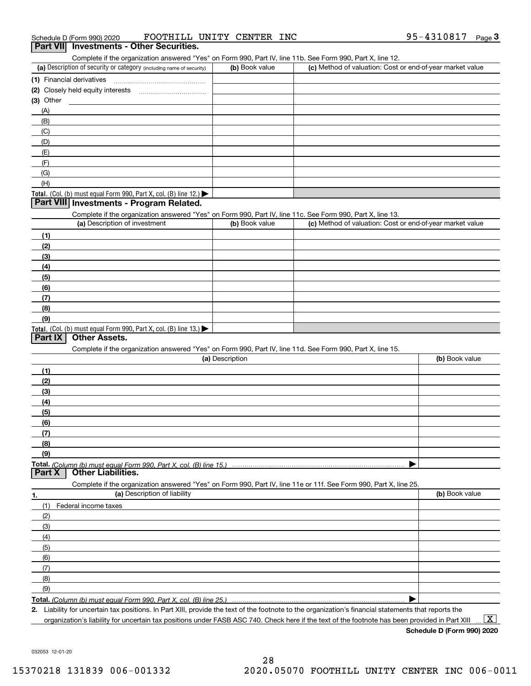| Schedule D (Form 990) 2020 |  | FOOTHILL UNITY CENTER |  | <b>INC</b> | 95-4310817 | Page |  |
|----------------------------|--|-----------------------|--|------------|------------|------|--|
|                            |  |                       |  |            |            |      |  |

#### (a) Description of security or category (including name of security)  $\vert$  (b) Book value  $\vert$  (c) **(1)**Financial derivatives **(2)** Closely held equity interests ~~~~~~~~~~~ **(3)** Other Complete if the organization answered "Yes" on Form 990, Part IV, line 11b. See Form 990, Part X, line 12.  $(b)$  Book value  $\vert$  (c) Method of valuation: Cost or end-of-year market value (A)(B)(C) (D)**Part VII Investments - Other Securities.**

| , —                                                                 |  |
|---------------------------------------------------------------------|--|
|                                                                     |  |
| $\sim$                                                              |  |
| $\sqrt{2}$                                                          |  |
| Total. (Col. (b) must equal Form 990, Part X, col. (B) line $12$ .) |  |

## **Part VIII Investments - Program Related.**

Complete if the organization answered "Yes" on Form 990, Part IV, line 11c. See Form 990, Part X, line 13.

| (a) Description of investment                                                          | (b) Book value | (c) Method of valuation: Cost or end-of-year market value |
|----------------------------------------------------------------------------------------|----------------|-----------------------------------------------------------|
| (1)                                                                                    |                |                                                           |
| (2)                                                                                    |                |                                                           |
| $\frac{1}{2}$                                                                          |                |                                                           |
| (4)                                                                                    |                |                                                           |
| (5)                                                                                    |                |                                                           |
| (6)                                                                                    |                |                                                           |
| (7)                                                                                    |                |                                                           |
| (8)                                                                                    |                |                                                           |
| (9)                                                                                    |                |                                                           |
| Total. (Col. (b) must equal Form 990, Part X, col. (B) line 13.) $\blacktriangleright$ |                |                                                           |

#### **Part IX Other Assets.**

Complete if the organization answered "Yes" on Form 990, Part IV, line 11d. See Form 990, Part X, line 15.

| (a) Description                                                                                                   | (b) Book value |
|-------------------------------------------------------------------------------------------------------------------|----------------|
| (1)                                                                                                               |                |
| (2)                                                                                                               |                |
| (3)                                                                                                               |                |
| (4)                                                                                                               |                |
| (5)                                                                                                               |                |
| (6)                                                                                                               |                |
| (7)                                                                                                               |                |
| (8)                                                                                                               |                |
| (9)                                                                                                               |                |
|                                                                                                                   |                |
| <b>Part X</b> Other Liabilities.                                                                                  |                |
| Complete if the organization answered "Yes" on Form 990, Part IV, line 11e or 11f. See Form 990, Part X, line 25. |                |

| 1.                  | (a) Description of liability | (b) Book value |
|---------------------|------------------------------|----------------|
| (1)                 | Federal income taxes         |                |
| (2)                 |                              |                |
| $\qquad \qquad (3)$ |                              |                |
| (4)                 |                              |                |
| $\frac{1}{2}$ (5)   |                              |                |
| (6)                 |                              |                |
| (7)                 |                              |                |
| (8)                 |                              |                |
| (9)                 |                              |                |
|                     |                              |                |

*(Column (b) must equal Form 990, Part X, col. (B) line 25.)* 

**2.**Liability for uncertain tax positions. In Part XIII, provide the text of the footnote to the organization's financial statements that reports the organization's liability for uncertain tax positions under FASB ASC 740. Check here if the text of the footnote has been provided in Part XIII  $\boxed{\text{X}}$ 

**Schedule D (Form 990) 2020**

032053 12-01-20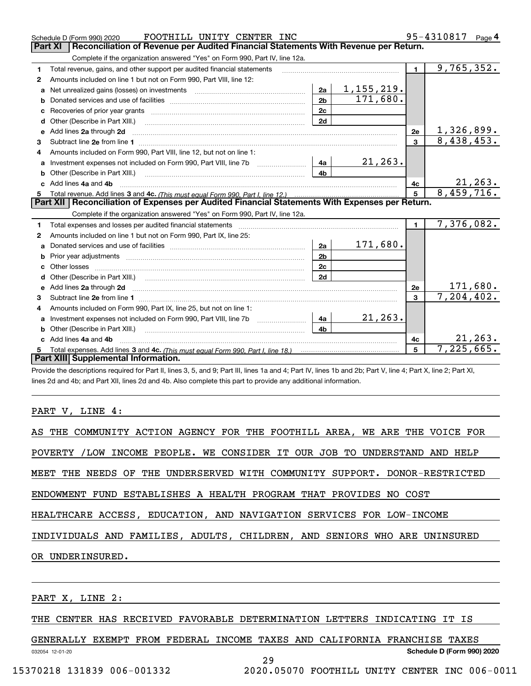|    | FOOTHILL UNITY CENTER INC<br>Schedule D (Form 990) 2020                                                                                                                                                                            |                |                   |                | 95-4310817<br>Page $4$ |
|----|------------------------------------------------------------------------------------------------------------------------------------------------------------------------------------------------------------------------------------|----------------|-------------------|----------------|------------------------|
|    | <b>Part XI</b><br>Reconciliation of Revenue per Audited Financial Statements With Revenue per Return.                                                                                                                              |                |                   |                |                        |
|    | Complete if the organization answered "Yes" on Form 990, Part IV, line 12a.                                                                                                                                                        |                |                   |                |                        |
| 1  | Total revenue, gains, and other support per audited financial statements                                                                                                                                                           |                |                   | $\blacksquare$ | 9,765,352.             |
| 2  | Amounts included on line 1 but not on Form 990, Part VIII, line 12:                                                                                                                                                                |                |                   |                |                        |
| a  | Net unrealized gains (losses) on investments [11] matter contracts and the unrealized gains (losses) on investments                                                                                                                | 2a             | <u>1,155,219.</u> |                |                        |
| b  |                                                                                                                                                                                                                                    | 2 <sub>b</sub> | 171,680.          |                |                        |
|    |                                                                                                                                                                                                                                    | 2c             |                   |                |                        |
| d  |                                                                                                                                                                                                                                    | 2d             |                   |                |                        |
| е  | Add lines 2a through 2d                                                                                                                                                                                                            |                |                   | <b>2e</b>      | <u>1,326,899.</u>      |
| 3  |                                                                                                                                                                                                                                    |                |                   | $\overline{3}$ | 8,438,453.             |
| 4  | Amounts included on Form 990, Part VIII, line 12, but not on line 1:                                                                                                                                                               |                |                   |                |                        |
|    | Investment expenses not included on Form 990, Part VIII, line 7b [14a]                                                                                                                                                             |                | 21, 263.          |                |                        |
|    |                                                                                                                                                                                                                                    | 4 <sub>b</sub> |                   |                |                        |
| c. | Add lines 4a and 4b                                                                                                                                                                                                                |                |                   | 4c             | 21, 263.               |
|    |                                                                                                                                                                                                                                    |                |                   | $5^{\circ}$    | 8,459,716.             |
|    |                                                                                                                                                                                                                                    |                |                   |                |                        |
|    | Part XII   Reconciliation of Expenses per Audited Financial Statements With Expenses per Return.                                                                                                                                   |                |                   |                |                        |
|    | Complete if the organization answered "Yes" on Form 990, Part IV, line 12a.                                                                                                                                                        |                |                   |                |                        |
| 1  | Total expenses and losses per audited financial statements [11] [12] contraction control in the statements [15] [15] and the statements [15] [15] and the statements [15] and the statements [15] and the statements [15] and      |                |                   | $\blacksquare$ | 7,376,082.             |
| 2  | Amounts included on line 1 but not on Form 990, Part IX, line 25:                                                                                                                                                                  |                |                   |                |                        |
| a  |                                                                                                                                                                                                                                    | 2a             | 171,680.          |                |                        |
|    |                                                                                                                                                                                                                                    | 2 <sub>b</sub> |                   |                |                        |
|    | Other losses                                                                                                                                                                                                                       | 2 <sub>c</sub> |                   |                |                        |
| d  |                                                                                                                                                                                                                                    | 2d             |                   |                |                        |
|    | Add lines 2a through 2d <b>contained a contained a contained a contained a</b> contained a contained a contained a contained a contained a contact a contact a contact a contact a contact a contact a contact a contact a contact |                |                   | 2e             | <u>171,680.</u>        |
| 3  |                                                                                                                                                                                                                                    |                |                   | 3              | 7, 204, 402.           |
| 4  | Amounts included on Form 990, Part IX, line 25, but not on line 1:                                                                                                                                                                 |                |                   |                |                        |
| a  |                                                                                                                                                                                                                                    | 4a             | 21, 263.          |                |                        |
|    | <b>b</b> Other (Describe in Part XIII.)                                                                                                                                                                                            | 4 <sub>b</sub> |                   |                |                        |
| c  | Add lines 4a and 4b                                                                                                                                                                                                                |                |                   | 4c             | 21, 263.               |
|    | Part XIII Supplemental Information.                                                                                                                                                                                                |                |                   | 5              | 7,225,665.             |

Provide the descriptions required for Part II, lines 3, 5, and 9; Part III, lines 1a and 4; Part IV, lines 1b and 2b; Part V, line 4; Part X, line 2; Part XI, lines 2d and 4b; and Part XII, lines 2d and 4b. Also complete this part to provide any additional information.

#### PART V, LINE 4:

| AS THE COMMUNITY ACTION AGENCY FOR THE FOOTHILL AREA, WE ARE THE VOICE FOR |
|----------------------------------------------------------------------------|
| POVERTY /LOW INCOME PEOPLE. WE CONSIDER IT OUR JOB TO UNDERSTAND AND HELP  |
| MEET THE NEEDS OF THE UNDERSERVED WITH COMMUNITY SUPPORT. DONOR-RESTRICTED |
| ENDOWMENT FUND ESTABLISHES A HEALTH PROGRAM THAT PROVIDES NO COST          |
| HEALTHCARE ACCESS, EDUCATION, AND NAVIGATION SERVICES FOR LOW-INCOME       |
| INDIVIDUALS AND FAMILIES, ADULTS, CHILDREN, AND SENIORS WHO ARE UNINSURED  |
| OR UNDERINSURED.                                                           |
|                                                                            |
| PART X, LINE 2:                                                            |

THE CENTER HAS RECEIVED FAVORABLE DETERMINATION LETTERS INDICATING IT IS

GENERALLY EXEMPT FROM FEDERAL INCOME TAXES AND CALIFORNIA FRANCHISE TAXES

29

032054 12-01-20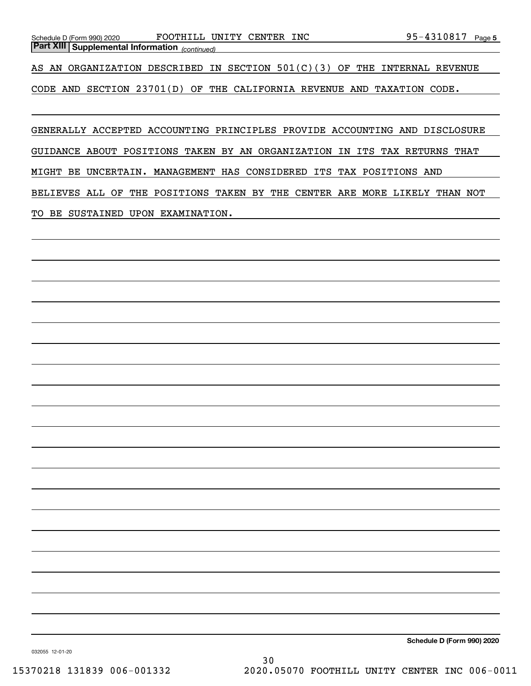AS AN ORGANIZATION DESCRIBED IN SECTION  $501(C)(3)$  OF THE INTERNAL REVENUE

CODE AND SECTION 23701(D) OF THE CALIFORNIA REVENUE AND TAXATION CODE.

GENERALLY ACCEPTED ACCOUNTING PRINCIPLES PROVIDE ACCOUNTING AND DISCLOSURE

GUIDANCE ABOUT POSITIONS TAKEN BY AN ORGANIZATION IN ITS TAX RETURNS THAT

MIGHT BE UNCERTAIN. MANAGEMENT HAS CONSIDERED ITS TAX POSITIONS AND

BELIEVES ALL OF THE POSITIONS TAKEN BY THE CENTER ARE MORE LIKELY THAN NOT

TO BE SUSTAINED UPON EXAMINATION.

*(continued)* **Part XIII Supplemental Information** 

**Schedule D (Form 990) 2020**

032055 12-01-20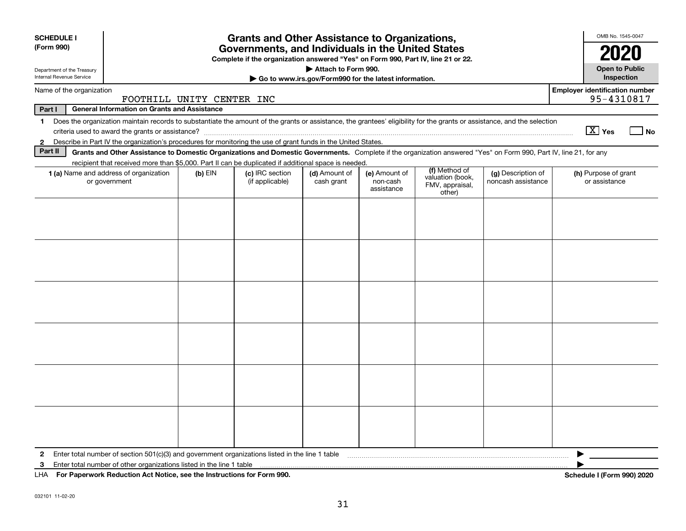| <b>SCHEDULE I</b>                                                                                            |                                                                                                                                                                                                                                                                                     |           | <b>Grants and Other Assistance to Organizations,</b> |                             |                                         |                                                                |                                          | OMB No. 1545-0047                     |  |
|--------------------------------------------------------------------------------------------------------------|-------------------------------------------------------------------------------------------------------------------------------------------------------------------------------------------------------------------------------------------------------------------------------------|-----------|------------------------------------------------------|-----------------------------|-----------------------------------------|----------------------------------------------------------------|------------------------------------------|---------------------------------------|--|
| (Form 990)                                                                                                   | Governments, and Individuals in the United States<br>Complete if the organization answered "Yes" on Form 990, Part IV, line 21 or 22.                                                                                                                                               |           |                                                      |                             |                                         |                                                                |                                          |                                       |  |
| Department of the Treasury<br>Internal Revenue Service                                                       | Attach to Form 990.<br>Go to www.irs.gov/Form990 for the latest information.                                                                                                                                                                                                        |           |                                                      |                             |                                         |                                                                |                                          |                                       |  |
| <b>Employer identification number</b><br>Name of the organization<br>95-4310817<br>FOOTHILL UNITY CENTER INC |                                                                                                                                                                                                                                                                                     |           |                                                      |                             |                                         |                                                                |                                          |                                       |  |
| Part I                                                                                                       | <b>General Information on Grants and Assistance</b>                                                                                                                                                                                                                                 |           |                                                      |                             |                                         |                                                                |                                          |                                       |  |
| 1.                                                                                                           | Does the organization maintain records to substantiate the amount of the grants or assistance, the grantees' eligibility for the grants or assistance, and the selection                                                                                                            |           |                                                      |                             |                                         |                                                                |                                          | $\boxed{\text{X}}$ Yes<br>  No        |  |
| $\mathbf{2}$<br>Part II                                                                                      | Describe in Part IV the organization's procedures for monitoring the use of grant funds in the United States.<br>Grants and Other Assistance to Domestic Organizations and Domestic Governments. Complete if the organization answered "Yes" on Form 990, Part IV, line 21, for any |           |                                                      |                             |                                         |                                                                |                                          |                                       |  |
|                                                                                                              | recipient that received more than \$5,000. Part II can be duplicated if additional space is needed.                                                                                                                                                                                 |           |                                                      |                             |                                         |                                                                |                                          |                                       |  |
|                                                                                                              | 1 (a) Name and address of organization<br>or government                                                                                                                                                                                                                             | $(b)$ EIN | (c) IRC section<br>(if applicable)                   | (d) Amount of<br>cash grant | (e) Amount of<br>non-cash<br>assistance | (f) Method of<br>valuation (book,<br>FMV, appraisal,<br>other) | (g) Description of<br>noncash assistance | (h) Purpose of grant<br>or assistance |  |
|                                                                                                              |                                                                                                                                                                                                                                                                                     |           |                                                      |                             |                                         |                                                                |                                          |                                       |  |
|                                                                                                              |                                                                                                                                                                                                                                                                                     |           |                                                      |                             |                                         |                                                                |                                          |                                       |  |
|                                                                                                              |                                                                                                                                                                                                                                                                                     |           |                                                      |                             |                                         |                                                                |                                          |                                       |  |
|                                                                                                              |                                                                                                                                                                                                                                                                                     |           |                                                      |                             |                                         |                                                                |                                          |                                       |  |
|                                                                                                              |                                                                                                                                                                                                                                                                                     |           |                                                      |                             |                                         |                                                                |                                          |                                       |  |
|                                                                                                              |                                                                                                                                                                                                                                                                                     |           |                                                      |                             |                                         |                                                                |                                          |                                       |  |
| 2                                                                                                            | Enter total number of section 501(c)(3) and government organizations listed in the line 1 table                                                                                                                                                                                     |           |                                                      |                             |                                         |                                                                |                                          |                                       |  |
| 3                                                                                                            | Enter total number of other organizations listed in the line 1 table                                                                                                                                                                                                                |           |                                                      |                             |                                         |                                                                |                                          |                                       |  |
| LHA.                                                                                                         | For Paperwork Reduction Act Notice, see the Instructions for Form 990.                                                                                                                                                                                                              |           |                                                      |                             |                                         |                                                                |                                          | Schedule I (Form 990) 2020            |  |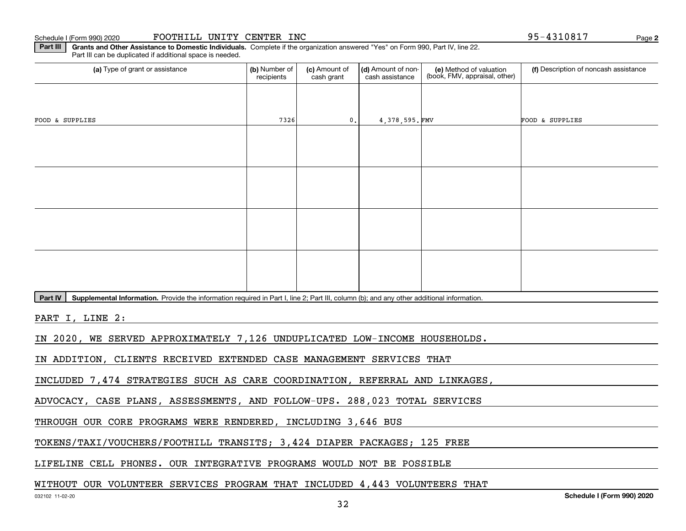Schedule I (Form 990) 2020

| FOOTHILL UNITY CENTER INC |  |  |  |
|---------------------------|--|--|--|
|---------------------------|--|--|--|

**2**95-4310817

**Part III** | Grants and Other Assistance to Domestic Individuals. Complete if the organization answered "Yes" on Form 990, Part IV, line 22. Part III can be duplicated if additional space is needed.

| (a) Type of grant or assistance                                    | (b) Number of<br>recipients | (c) Amount of<br>cash grant | (d) Amount of non-<br>cash assistance | (e) Method of valuation<br>(book, FMV, appraisal, other) | (f) Description of noncash assistance |
|--------------------------------------------------------------------|-----------------------------|-----------------------------|---------------------------------------|----------------------------------------------------------|---------------------------------------|
|                                                                    |                             |                             |                                       |                                                          |                                       |
| FOOD & SUPPLIES                                                    | 7326                        | 0.                          | 4,378,595.FMV                         |                                                          | FOOD & SUPPLIES                       |
|                                                                    |                             |                             |                                       |                                                          |                                       |
|                                                                    |                             |                             |                                       |                                                          |                                       |
|                                                                    |                             |                             |                                       |                                                          |                                       |
|                                                                    |                             |                             |                                       |                                                          |                                       |
|                                                                    |                             |                             |                                       |                                                          |                                       |
|                                                                    |                             |                             |                                       |                                                          |                                       |
|                                                                    |                             |                             |                                       |                                                          |                                       |
|                                                                    |                             |                             |                                       |                                                          |                                       |
| $\sim$ $\sim$ $\sim$ $\sim$ $\sim$<br>$\sim$ $\sim$<br>$\sim$<br>. |                             |                             |                                       |                                                          |                                       |

Part IV | Supplemental Information. Provide the information required in Part I, line 2; Part III, column (b); and any other additional information.

PART I, LINE 2:

IN 2020, WE SERVED APPROXIMATELY 7,126 UNDUPLICATED LOW-INCOME HOUSEHOLDS.

IN ADDITION, CLIENTS RECEIVED EXTENDED CASE MANAGEMENT SERVICES THAT

INCLUDED 7,474 STRATEGIES SUCH AS CARE COORDINATION, REFERRAL AND LINKAGES,

ADVOCACY, CASE PLANS, ASSESSMENTS, AND FOLLOW-UPS. 288,023 TOTAL SERVICES

THROUGH OUR CORE PROGRAMS WERE RENDERED, INCLUDING 3,646 BUS

TOKENS/TAXI/VOUCHERS/FOOTHILL TRANSITS; 3,424 DIAPER PACKAGES; 125 FREE

LIFELINE CELL PHONES. OUR INTEGRATIVE PROGRAMS WOULD NOT BE POSSIBLE

## WITHOUT OUR VOLUNTEER SERVICES PROGRAM THAT INCLUDED 4,443 VOLUNTEERS THAT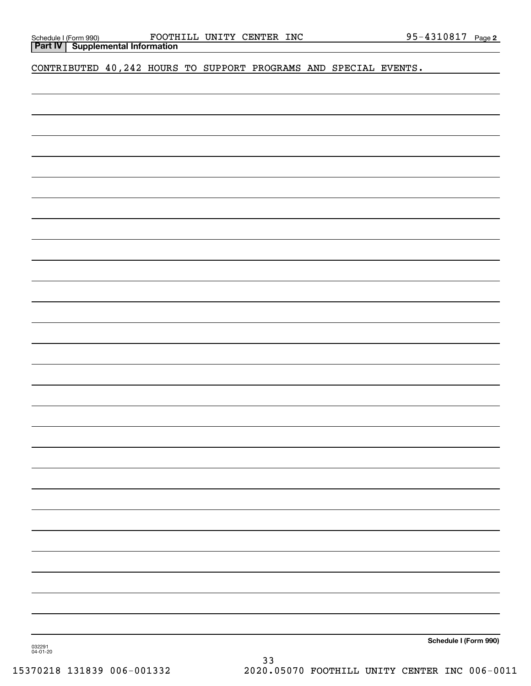| Schedule I (Form 990) |                                           | <b>FOOTH</b> |
|-----------------------|-------------------------------------------|--------------|
|                       | <b>Part IV   Supplemental Information</b> |              |

CONTRIBUTED 40,242 HOURS TO SUPPORT PROGRAMS AND SPECIAL EVENTS.

**Schedule I (Form 990)**

032291 04-01-20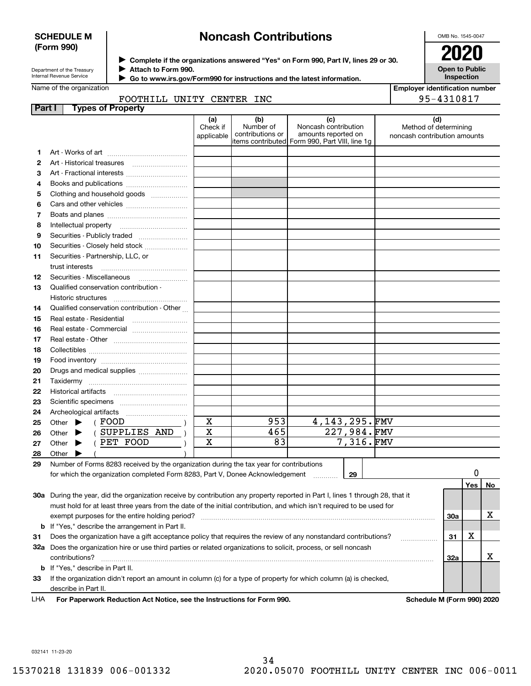#### **SCHEDULE M (Form 990)**

# **Noncash Contributions**

| Department of the Treasury |
|----------------------------|
| Internal Revenue Service   |

**Complete if the organizations answered "Yes" on Form 990, Part IV, lines 29 or 30.** <sup>J</sup>**2020 Attach to Form 990.** J

 **Go to www.irs.gov/Form990 for instructions and the latest information.** J

|        | Name of the organization         |                                                                                                                                |                               |                                                                                        |                                                    |                  | <b>Employer identification number</b> |                              |     |    |
|--------|----------------------------------|--------------------------------------------------------------------------------------------------------------------------------|-------------------------------|----------------------------------------------------------------------------------------|----------------------------------------------------|------------------|---------------------------------------|------------------------------|-----|----|
|        |                                  | FOOTHILL UNITY CENTER INC                                                                                                      |                               |                                                                                        |                                                    |                  |                                       | 95-4310817                   |     |    |
| Part I |                                  | <b>Types of Property</b>                                                                                                       |                               |                                                                                        |                                                    |                  |                                       |                              |     |    |
|        |                                  |                                                                                                                                | (a)<br>Check if<br>applicable | (b)<br>Number of<br>contributions or<br>items contributed Form 990, Part VIII, line 1g | (c)<br>Noncash contribution<br>amounts reported on |                  | noncash contribution amounts          | (d)<br>Method of determining |     |    |
| 1.     |                                  |                                                                                                                                |                               |                                                                                        |                                                    |                  |                                       |                              |     |    |
| 2      | Art - Historical treasures       |                                                                                                                                |                               |                                                                                        |                                                    |                  |                                       |                              |     |    |
| 3      |                                  | Art - Fractional interests                                                                                                     |                               |                                                                                        |                                                    |                  |                                       |                              |     |    |
| 4      |                                  | Books and publications                                                                                                         |                               |                                                                                        |                                                    |                  |                                       |                              |     |    |
| 5      |                                  | Clothing and household goods                                                                                                   |                               |                                                                                        |                                                    |                  |                                       |                              |     |    |
| 6      |                                  |                                                                                                                                |                               |                                                                                        |                                                    |                  |                                       |                              |     |    |
| 7      |                                  |                                                                                                                                |                               |                                                                                        |                                                    |                  |                                       |                              |     |    |
| 8      |                                  |                                                                                                                                |                               |                                                                                        |                                                    |                  |                                       |                              |     |    |
| 9      |                                  | Securities - Publicly traded                                                                                                   |                               |                                                                                        |                                                    |                  |                                       |                              |     |    |
| 10     |                                  | Securities - Closely held stock                                                                                                |                               |                                                                                        |                                                    |                  |                                       |                              |     |    |
| 11     |                                  | Securities - Partnership, LLC, or                                                                                              |                               |                                                                                        |                                                    |                  |                                       |                              |     |    |
|        | trust interests                  |                                                                                                                                |                               |                                                                                        |                                                    |                  |                                       |                              |     |    |
| 12     |                                  |                                                                                                                                |                               |                                                                                        |                                                    |                  |                                       |                              |     |    |
| 13     |                                  | Qualified conservation contribution -                                                                                          |                               |                                                                                        |                                                    |                  |                                       |                              |     |    |
|        | Historic structures              |                                                                                                                                |                               |                                                                                        |                                                    |                  |                                       |                              |     |    |
| 14     |                                  | Qualified conservation contribution - Other                                                                                    |                               |                                                                                        |                                                    |                  |                                       |                              |     |    |
| 15     | Real estate - Residential        |                                                                                                                                |                               |                                                                                        |                                                    |                  |                                       |                              |     |    |
| 16     |                                  | Real estate - Commercial                                                                                                       |                               |                                                                                        |                                                    |                  |                                       |                              |     |    |
| 17     |                                  |                                                                                                                                |                               |                                                                                        |                                                    |                  |                                       |                              |     |    |
| 18     |                                  |                                                                                                                                |                               |                                                                                        |                                                    |                  |                                       |                              |     |    |
| 19     |                                  |                                                                                                                                |                               |                                                                                        |                                                    |                  |                                       |                              |     |    |
| 20     |                                  | Drugs and medical supplies                                                                                                     |                               |                                                                                        |                                                    |                  |                                       |                              |     |    |
| 21     |                                  |                                                                                                                                |                               |                                                                                        |                                                    |                  |                                       |                              |     |    |
| 22     | Historical artifacts             |                                                                                                                                |                               |                                                                                        |                                                    |                  |                                       |                              |     |    |
| 23     |                                  |                                                                                                                                |                               |                                                                                        |                                                    |                  |                                       |                              |     |    |
| 24     |                                  |                                                                                                                                |                               |                                                                                        |                                                    |                  |                                       |                              |     |    |
| 25     | Other $\blacktriangleright$      | ( FOOD                                                                                                                         | X                             | 953                                                                                    |                                                    | 4, 143, 295. FMV |                                       |                              |     |    |
| 26     | Other $\blacktriangleright$      | (SUPPLIES AND                                                                                                                  | $\mathbf X$                   | 465                                                                                    |                                                    | 227,984.FMV      |                                       |                              |     |    |
| 27     | Other $\blacktriangleright$      | (PET FOOD                                                                                                                      | $\mathbf X$                   | 83                                                                                     |                                                    | 7,316.FMV        |                                       |                              |     |    |
| 28     | Other                            |                                                                                                                                |                               |                                                                                        |                                                    |                  |                                       |                              |     |    |
| 29     |                                  | Number of Forms 8283 received by the organization during the tax year for contributions                                        |                               |                                                                                        |                                                    |                  |                                       |                              |     |    |
|        |                                  | for which the organization completed Form 8283, Part V, Donee Acknowledgement                                                  |                               |                                                                                        |                                                    |                  |                                       |                              | 0   |    |
|        |                                  |                                                                                                                                |                               |                                                                                        |                                                    |                  |                                       |                              | Yes | No |
|        |                                  | 30a During the year, did the organization receive by contribution any property reported in Part I, lines 1 through 28, that it |                               |                                                                                        |                                                    |                  |                                       |                              |     |    |
|        |                                  | must hold for at least three years from the date of the initial contribution, and which isn't required to be used for          |                               |                                                                                        |                                                    |                  |                                       |                              |     |    |
|        |                                  |                                                                                                                                |                               |                                                                                        |                                                    |                  |                                       | 30a                          |     | x  |
|        |                                  | <b>b</b> If "Yes," describe the arrangement in Part II.                                                                        |                               |                                                                                        |                                                    |                  |                                       |                              |     |    |
| 31     |                                  | Does the organization have a gift acceptance policy that requires the review of any nonstandard contributions?                 |                               |                                                                                        |                                                    |                  |                                       | 31                           | х   |    |
|        |                                  | 32a Does the organization hire or use third parties or related organizations to solicit, process, or sell noncash              |                               |                                                                                        |                                                    |                  |                                       |                              |     |    |
|        | contributions?                   |                                                                                                                                |                               |                                                                                        |                                                    |                  |                                       | 32a                          |     | х  |
|        | b If "Yes," describe in Part II. |                                                                                                                                |                               |                                                                                        |                                                    |                  |                                       |                              |     |    |
| 33     |                                  | If the organization didn't report an amount in column (c) for a type of property for which column (a) is checked,              |                               |                                                                                        |                                                    |                  |                                       |                              |     |    |
|        | describe in Part II.             |                                                                                                                                |                               |                                                                                        |                                                    |                  |                                       |                              |     |    |

**For Paperwork Reduction Act Notice, see the Instructions for Form 990. Schedule M (Form 990) 2020** LHA

032141 11-23-20

OMB No. 1545-0047 **Open to Public**

**Inspection**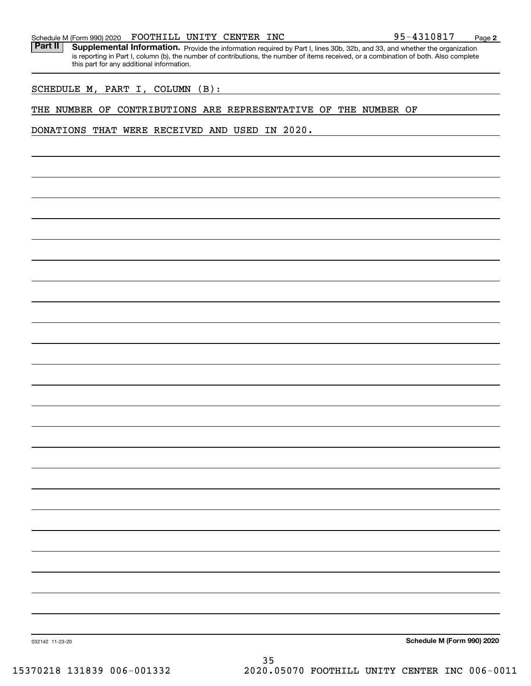|  | Schedule M (Form 990) 2020 | FOOTHILL UNITY CENTER |  |  | INC | 95-4310817<br>Page |  |
|--|----------------------------|-----------------------|--|--|-----|--------------------|--|
|--|----------------------------|-----------------------|--|--|-----|--------------------|--|

Part II | Supplemental Information. Provide the information required by Part I, lines 30b, 32b, and 33, and whether the organization is reporting in Part I, column (b), the number of contributions, the number of items received, or a combination of both. Also complete this part for any additional information.

SCHEDULE M, PART I, COLUMN (B):

#### THE NUMBER OF CONTRIBUTIONS ARE REPRESENTATIVE OF THE NUMBER OF

DONATIONS THAT WERE RECEIVED AND USED IN 2020.

**Schedule M (Form 990) 2020**

**2**

032142 11-23-20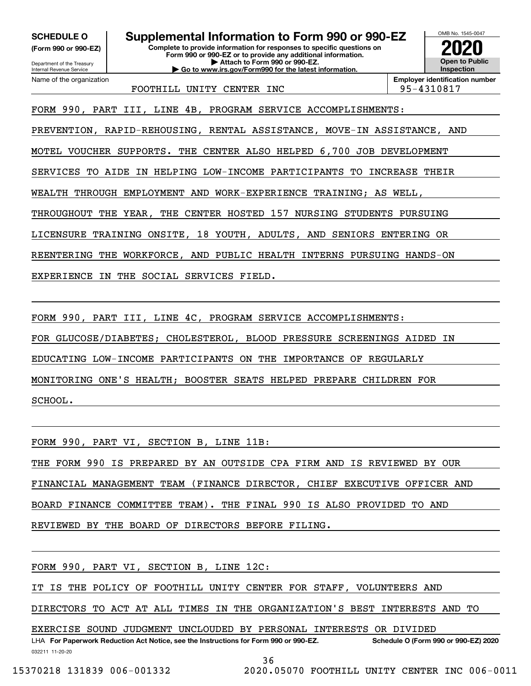**(Form 990 or 990-EZ)**

Department of the Treasury Internal Revenue Service Name of the organization

# **SCHEDULE O Supplemental Information to Form 990 or 990-EZ**

**Complete to provide information for responses to specific questions on Form 990 or 990-EZ or to provide any additional information. | Attach to Form 990 or 990-EZ. | Go to www.irs.gov/Form990 for the latest information.**



FOOTHILL UNITY CENTER INC 95-4310817

FORM 990, PART III, LINE 4B, PROGRAM SERVICE ACCOMPLISHMENTS:

PREVENTION, RAPID-REHOUSING, RENTAL ASSISTANCE, MOVE-IN ASSISTANCE, AND

MOTEL VOUCHER SUPPORTS. THE CENTER ALSO HELPED 6,700 JOB DEVELOPMENT

SERVICES TO AIDE IN HELPING LOW-INCOME PARTICIPANTS TO INCREASE THEIR

WEALTH THROUGH EMPLOYMENT AND WORK-EXPERIENCE TRAINING; AS WELL,

THROUGHOUT THE YEAR, THE CENTER HOSTED 157 NURSING STUDENTS PURSUING

LICENSURE TRAINING ONSITE, 18 YOUTH, ADULTS, AND SENIORS ENTERING OR

REENTERING THE WORKFORCE, AND PUBLIC HEALTH INTERNS PURSUING HANDS-ON

EXPERIENCE IN THE SOCIAL SERVICES FIELD.

FORM 990, PART III, LINE 4C, PROGRAM SERVICE ACCOMPLISHMENTS:

FOR GLUCOSE/DIABETES; CHOLESTEROL, BLOOD PRESSURE SCREENINGS AIDED IN

EDUCATING LOW-INCOME PARTICIPANTS ON THE IMPORTANCE OF REGULARLY

MONITORING ONE'S HEALTH; BOOSTER SEATS HELPED PREPARE CHILDREN FOR

SCHOOL.

FORM 990, PART VI, SECTION B, LINE 11B:

THE FORM 990 IS PREPARED BY AN OUTSIDE CPA FIRM AND IS REVIEWED BY OUR

FINANCIAL MANAGEMENT TEAM (FINANCE DIRECTOR, CHIEF EXECUTIVE OFFICER AND

BOARD FINANCE COMMITTEE TEAM). THE FINAL 990 IS ALSO PROVIDED TO AND

REVIEWED BY THE BOARD OF DIRECTORS BEFORE FILING.

FORM 990, PART VI, SECTION B, LINE 12C:

IT IS THE POLICY OF FOOTHILL UNITY CENTER FOR STAFF, VOLUNTEERS AND

DIRECTORS TO ACT AT ALL TIMES IN THE ORGANIZATION'S BEST INTERESTS AND TO

EXERCISE SOUND JUDGMENT UNCLOUDED BY PERSONAL INTERESTS OR DIVIDED

032211 11-20-20 LHA For Paperwork Reduction Act Notice, see the Instructions for Form 990 or 990-EZ. Schedule O (Form 990 or 990-EZ) 2020

36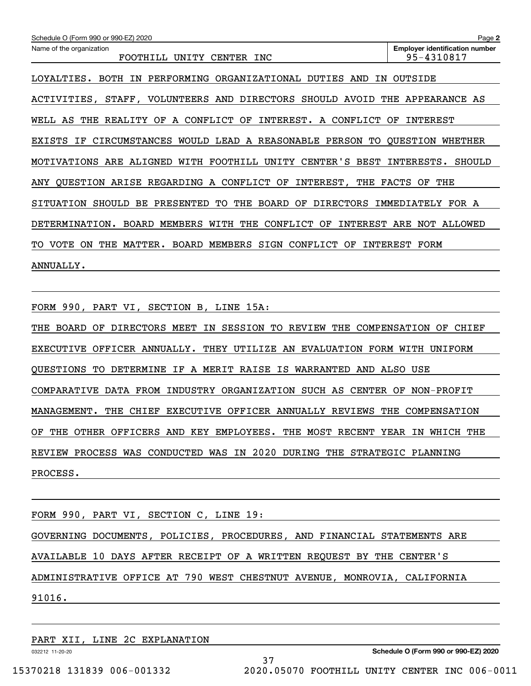| Schedule O (Form 990 or 990-EZ) 2020                                                          | Page 2                                              |
|-----------------------------------------------------------------------------------------------|-----------------------------------------------------|
| Name of the organization<br>UNITY<br>FOOTHILL<br>CENTER<br>INC                                | <b>Employer identification number</b><br>95-4310817 |
| LOYALTIES.<br>PERFORMING<br>ORGANIZATIONAL<br>BOTH<br>IN<br>DUTIES<br>AND<br>ΙN               | OUTSIDE                                             |
| VOLUNTEERS AND DIRECTORS<br>SHOULD<br>AVOID<br>ACTIVITIES,<br>STAFF,                          | THE<br>APPEARANCE<br>AS                             |
| CONFLICT<br>REALITY<br>OF<br>OF<br>INTEREST.<br>A CONFLICT<br>WELL<br>AS<br>THE<br>A          | ΟF<br>INTEREST                                      |
| CIRCUMSTANCES<br>WOULD LEAD A REASONABLE PERSON<br>EXISTS<br>ΙF<br>TO                         | OUESTION<br>WHETHER                                 |
| CENTER'S<br>MOTIVATIONS ARE ALIGNED<br>WITH<br>FOOTHILL UNITY<br>BEST                         | SHOULD<br>INTERESTS.                                |
| QUESTION ARISE REGARDING A CONFLICT OF<br>INTEREST,<br>THE<br>ANY                             | <b>FACTS</b><br>THE<br>OF.                          |
| TО<br>THE<br>BOARD<br>SITUATION<br>SHOULD<br>BE<br>PRESENTED<br>OF<br>DIRECTORS               | IMMEDIATELY<br>FOR A                                |
| DETERMINATION.<br><b>BOARD</b><br>MEMBERS<br>WITH<br>THE<br>CONFLICT<br>INTEREST<br>OF        | ARE<br>NOT<br>ALLOWED                               |
| VOTE<br>MEMBERS<br>SIGN<br>INTEREST<br>ON<br>THE<br>MATTER.<br>BOARD<br>CONFLICT<br>OF<br>TO. | FORM                                                |
| ANNUALLY.                                                                                     |                                                     |

FORM 990, PART VI, SECTION B, LINE 15A:

THE BOARD OF DIRECTORS MEET IN SESSION TO REVIEW THE COMPENSATION OF CHIEF EXECUTIVE OFFICER ANNUALLY. THEY UTILIZE AN EVALUATION FORM WITH UNIFORM QUESTIONS TO DETERMINE IF A MERIT RAISE IS WARRANTED AND ALSO USE COMPARATIVE DATA FROM INDUSTRY ORGANIZATION SUCH AS CENTER OF NON-PROFIT MANAGEMENT. THE CHIEF EXECUTIVE OFFICER ANNUALLY REVIEWS THE COMPENSATION OF THE OTHER OFFICERS AND KEY EMPLOYEES. THE MOST RECENT YEAR IN WHICH THE REVIEW PROCESS WAS CONDUCTED WAS IN 2020 DURING THE STRATEGIC PLANNING PROCESS.

| FORM 990, PART VI, SECTION C, LINE 19: |  |  |                                                                      |                                                                         |  |
|----------------------------------------|--|--|----------------------------------------------------------------------|-------------------------------------------------------------------------|--|
|                                        |  |  |                                                                      | GOVERNING DOCUMENTS, POLICIES, PROCEDURES, AND FINANCIAL STATEMENTS ARE |  |
|                                        |  |  | AVAILABLE 10 DAYS AFTER RECEIPT OF A WRITTEN REQUEST BY THE CENTER'S |                                                                         |  |
|                                        |  |  |                                                                      | ADMINISTRATIVE OFFICE AT 790 WEST CHESTNUT AVENUE, MONROVIA, CALIFORNIA |  |
| 91016.                                 |  |  |                                                                      |                                                                         |  |
|                                        |  |  |                                                                      |                                                                         |  |

37

PART XII, LINE 2C EXPLANATION

032212 11-20-20